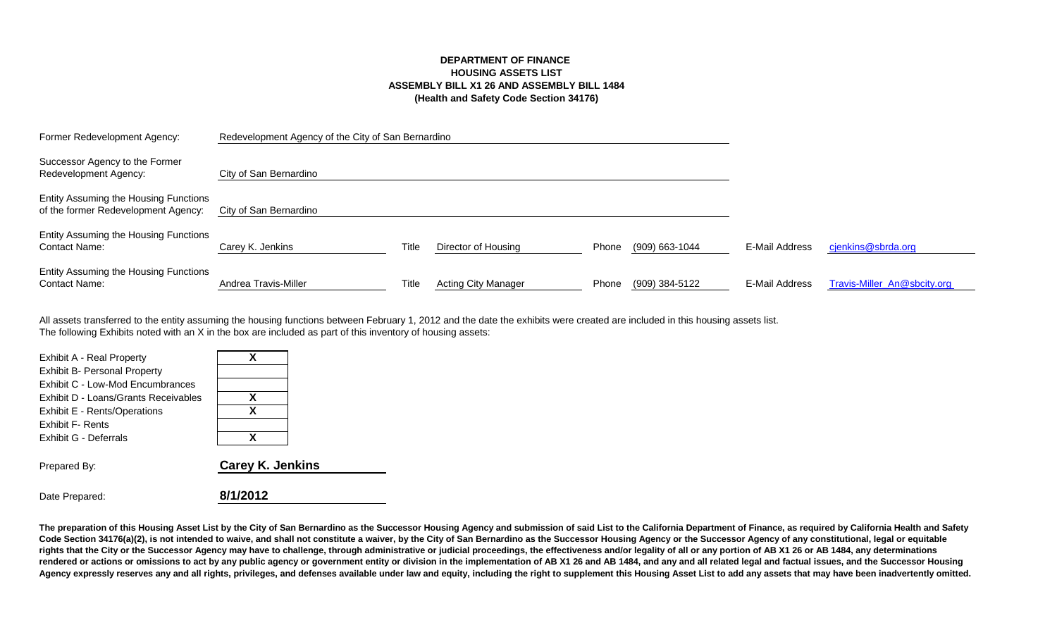## **DEPARTMENT OF FINANCE HOUSING ASSETS LIST ASSEMBLY BILL X1 26 AND ASSEMBLY BILL 1484 (Health and Safety Code Section 34176)**

| Former Redevelopment Agency:                                                 | Redevelopment Agency of the City of San Bernardino |       |                            |       |                |                |                             |
|------------------------------------------------------------------------------|----------------------------------------------------|-------|----------------------------|-------|----------------|----------------|-----------------------------|
| Successor Agency to the Former<br>Redevelopment Agency:                      | City of San Bernardino                             |       |                            |       |                |                |                             |
| Entity Assuming the Housing Functions<br>of the former Redevelopment Agency: | City of San Bernardino                             |       |                            |       |                |                |                             |
| Entity Assuming the Housing Functions<br><b>Contact Name:</b>                | Carey K. Jenkins                                   | Title | Director of Housing        | Phone | (909) 663-1044 | E-Mail Address | cjenkins@sbrda.org          |
| Entity Assuming the Housing Functions<br><b>Contact Name:</b>                | Andrea Travis-Miller                               | Title | <b>Acting City Manager</b> | Phone | (909) 384-5122 | E-Mail Address | Travis-Miller_An@sbcity.org |

The following Exhibits noted with an X in the box are included as part of this inventory of housing assets: All assets transferred to the entity assuming the housing functions between February 1, 2012 and the date the exhibits were created are included in this housing assets list.

| Exhibit A - Real Property            |                         |
|--------------------------------------|-------------------------|
| <b>Exhibit B- Personal Property</b>  |                         |
| Exhibit C - Low-Mod Encumbrances     |                         |
| Exhibit D - Loans/Grants Receivables | x                       |
| Exhibit E - Rents/Operations         | x                       |
| <b>Exhibit F- Rents</b>              |                         |
| Exhibit G - Deferrals                |                         |
| Prepared By:                         | <b>Carey K. Jenkins</b> |

Date Prepared: **8/1/2012**

The preparation of this Housing Asset List by the City of San Bernardino as the Successor Housing Agency and submission of said List to the California Department of Finance, as required by California Health and Safety Code Section 34176(a)(2), is not intended to waive, and shall not constitute a waiver, by the City of San Bernardino as the Successor Housing Agency or the Successor Agency of any constitutional, legal or equitable **rights that the City or the Successor Agency may have to challenge, through administrative or judicial proceedings, the effectiveness and/or legality of all or any portion of AB X1 26 or AB 1484, any determinations**  rendered or actions or omissions to act by any public agency or government entity or division in the implementation of AB X1 26 and AB 1484, and any and all related legal and factual issues, and the Successor Housing Agency expressly reserves any and all rights, privileges, and defenses available under law and equity, including the right to supplement this Housing Asset List to add any assets that may have been inadvertently omitted.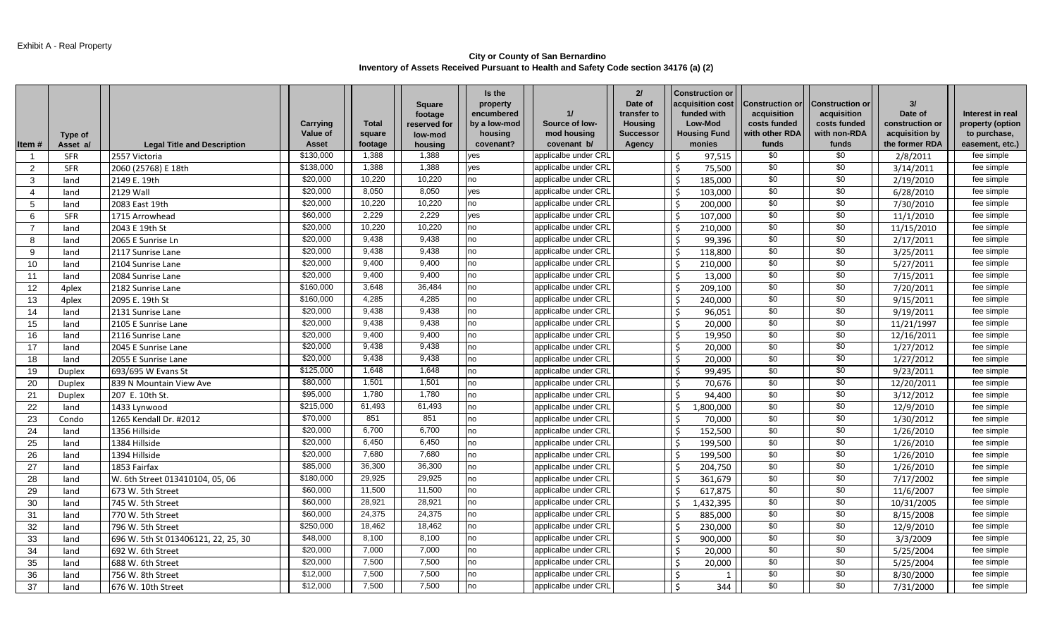### **City or County of San Bernardino Inventory of Assets Received Pursuant to Health and Safety Code section 34176 (a) (2)**

|                | Type of       |                                     | Carrying<br>Value of | <b>Total</b><br>square | <b>Square</b><br>footage<br>reserved for<br>low-mod | Is the<br>property<br>encumbered<br>by a low-mod<br>housing | 11<br>Source of low-<br>mod housing | 21<br>Date of<br>transfer to<br><b>Housing</b><br><b>Successor</b> | <b>Construction or</b><br>acquisition cost<br>funded with<br>Low-Mod<br><b>Housing Fund</b> | <b>Construction or</b><br>acquisition<br>costs funded<br>with other RDA | <b>Construction or</b><br>acquisition<br>costs funded<br>with non-RDA | 31<br>Date of<br>construction or<br>acquisition by | Interest in real<br>property (option<br>to purchase, |
|----------------|---------------|-------------------------------------|----------------------|------------------------|-----------------------------------------------------|-------------------------------------------------------------|-------------------------------------|--------------------------------------------------------------------|---------------------------------------------------------------------------------------------|-------------------------------------------------------------------------|-----------------------------------------------------------------------|----------------------------------------------------|------------------------------------------------------|
| Item #         | Asset a/      | <b>Legal Title and Description</b>  | Asset<br>\$130,000   | footage                | housing<br>1,388                                    | covenant?                                                   | covenant b/                         | Agency                                                             | monies                                                                                      | funds                                                                   | funds<br>\$0                                                          | the former RDA                                     | easement, etc.)                                      |
| - 1            | <b>SFR</b>    | 2557 Victoria                       |                      | 1,388                  |                                                     | yes                                                         | applicalbe under CRI                |                                                                    | l \$<br>97,515                                                                              | \$0                                                                     |                                                                       | 2/8/2011                                           | fee simple                                           |
| $\overline{2}$ | <b>SFR</b>    | 2060 (25768) E 18th                 | \$138,000            | 1,388                  | 1,388                                               | yes                                                         | applicalbe under CRI                |                                                                    | l \$<br>75,500                                                                              | \$0                                                                     | \$0                                                                   | 3/14/2011                                          | fee simple                                           |
| 3              | land          | 2149 E. 19th                        | \$20,000             | 10,220                 | 10,220                                              | no                                                          | applicalbe under CRI                |                                                                    | \$ ا<br>185,000                                                                             | \$0                                                                     | $\overline{30}$                                                       | 2/19/2010                                          | fee simple                                           |
| $\overline{4}$ | land          | <b>2129 Wall</b>                    | \$20,000             | 8,050                  | 8,050                                               | yes                                                         | applicalbe under CRI                |                                                                    | l \$<br>103,000                                                                             | \$0                                                                     | \$0                                                                   | 6/28/2010                                          | fee simple                                           |
| 5              | land          | 2083 East 19th                      | \$20,000             | 10,220                 | 10,220                                              | no                                                          | applicalbe under CRI                |                                                                    | l \$<br>200,000                                                                             | \$0                                                                     | \$0                                                                   | 7/30/2010                                          | fee simple                                           |
| 6              | <b>SFR</b>    | 1715 Arrowhead                      | \$60,000             | 2,229                  | 2,229                                               | <b>ves</b>                                                  | applicalbe under CRI                |                                                                    | l \$<br>107,000                                                                             | $\sqrt{6}$                                                              | $\overline{30}$                                                       | 11/1/2010                                          | fee simple                                           |
| $\overline{7}$ | land          | 2043 E 19th St                      | \$20,000             | 10,220                 | 10,220                                              | no                                                          | applicalbe under CRI                |                                                                    | \$ ا<br>210,000                                                                             | \$0                                                                     | \$0                                                                   | 11/15/2010                                         | fee simple                                           |
| 8              | land          | 2065 E Sunrise Ln                   | \$20,000             | 9,438                  | 9,438                                               | no                                                          | applicalbe under CRI                |                                                                    | l \$<br>99,396                                                                              | \$0                                                                     | $\overline{30}$                                                       | 2/17/2011                                          | fee simple                                           |
| 9              | land          | 2117 Sunrise Lane                   | \$20,000             | 9,438                  | 9,438                                               | no                                                          | applicalbe under CRI                |                                                                    | l \$<br>118,800                                                                             | \$0                                                                     | \$0                                                                   | 3/25/2011                                          | fee simple                                           |
| 10             | land          | 2104 Sunrise Lane                   | \$20,000             | 9,400                  | 9,400                                               | no                                                          | applicalbe under CRI                |                                                                    | -\$<br>210,000                                                                              | \$0                                                                     | \$0                                                                   | 5/27/2011                                          | fee simple                                           |
| 11             | land          | 2084 Sunrise Lane                   | \$20,000             | 9,400                  | 9,400                                               | no                                                          | applicalbe under CRI                |                                                                    | ا \$<br>13,000                                                                              | \$0                                                                     | \$0                                                                   | 7/15/2011                                          | fee simple                                           |
| 12             | 4plex         | 2182 Sunrise Lane                   | \$160,000            | 3,648                  | 36.484                                              | no                                                          | applicalbe under CRI                |                                                                    | l \$<br>209,100                                                                             | \$0                                                                     | \$0                                                                   | 7/20/2011                                          | fee simple                                           |
| 13             | 4plex         | 2095 E. 19th St                     | \$160,000            | 4,285                  | 4,285                                               | no                                                          | applicalbe under CRL                |                                                                    | l \$<br>240.000                                                                             | $\sqrt{6}$                                                              | $\overline{30}$                                                       | 9/15/2011                                          | fee simple                                           |
| 14             | land          | 2131 Sunrise Lane                   | \$20,000             | 9,438                  | 9,438                                               | no                                                          | applicalbe under CRI                |                                                                    | l \$<br>96,051                                                                              | \$0                                                                     | \$0                                                                   | 9/19/2011                                          | fee simple                                           |
| 15             | land          | 2105 E Sunrise Lane                 | \$20,000             | 9,438                  | 9,438                                               | no                                                          | applicalbe under CRI                |                                                                    | $\vert$ \$<br>20,000                                                                        | \$0                                                                     | \$0                                                                   | 11/21/1997                                         | fee simple                                           |
| 16             | land          | 2116 Sunrise Lane                   | \$20,000             | 9,400                  | 9,400                                               | no                                                          | applicalbe under CRI                |                                                                    | l \$<br>19,950                                                                              | \$0                                                                     | \$0                                                                   | 12/16/2011                                         | fee simple                                           |
| 17             | land          | 2045 E Sunrise Lane                 | \$20,000             | 9,438                  | 9,438                                               | no                                                          | applicalbe under CRI                |                                                                    | l \$<br>20,000                                                                              | \$0                                                                     | \$0                                                                   | 1/27/2012                                          | fee simple                                           |
| 18             | land          | 2055 E Sunrise Lane                 | \$20,000             | 9,438                  | 9,438                                               | no                                                          | applicalbe under CRL                |                                                                    | l \$<br>20,000                                                                              | \$0                                                                     | \$0                                                                   | 1/27/2012                                          | fee simple                                           |
| 19             | <b>Duplex</b> | 693/695 W Evans St                  | \$125,000            | 1,648                  | 1,648                                               | no                                                          | applicalbe under CRI                |                                                                    | \$ ا<br>99,495                                                                              | \$0                                                                     | \$0                                                                   | 9/23/2011                                          | fee simple                                           |
| 20             | <b>Duplex</b> | 839 N Mountain View Ave             | \$80,000             | 1,501                  | 1,501                                               | no                                                          | applicalbe under CRI                |                                                                    | l \$<br>70,676                                                                              | \$0                                                                     | $\overline{30}$                                                       | 12/20/2011                                         | fee simple                                           |
| 21             | <b>Duplex</b> | 207 E. 10th St.                     | \$95,000             | 1,780                  | 1,780                                               | no                                                          | applicalbe under CRI                |                                                                    | $\mathsf{\dot{S}}$<br>94,400                                                                | \$0                                                                     | \$0                                                                   | 3/12/2012                                          | fee simple                                           |
| 22             | land          | 1433 Lynwood                        | \$215,000            | 61,493                 | 61,493                                              | no                                                          | applicalbe under CRL                |                                                                    | 1,800,000<br>-\$                                                                            | \$0                                                                     | \$0                                                                   | 12/9/2010                                          | fee simple                                           |
| 23             | Condo         | 1265 Kendall Dr. #2012              | \$70,000             | 851                    | 851                                                 | no                                                          | applicalbe under CRI                |                                                                    | l \$<br>70,000                                                                              | \$0                                                                     | \$0                                                                   | 1/30/2012                                          | fee simple                                           |
| 24             | land          | 1356 Hillside                       | \$20,000             | 6,700                  | 6,700                                               | no                                                          | applicalbe under CRI                |                                                                    | l \$<br>152,500                                                                             | \$0                                                                     | \$0                                                                   | 1/26/2010                                          | fee simple                                           |
| 25             | land          | 1384 Hillside                       | \$20,000             | 6,450                  | 6,450                                               | no                                                          | applicalbe under CRI                |                                                                    | 199,500<br>l \$                                                                             | \$0                                                                     | \$0                                                                   | 1/26/2010                                          | fee simple                                           |
| 26             | land          | 1394 Hillside                       | \$20,000             | 7,680                  | 7,680                                               | no                                                          | applicalbe under CRI                |                                                                    | l \$<br>199,500                                                                             | \$0                                                                     | \$0                                                                   | 1/26/2010                                          | fee simple                                           |
| 27             | land          | 1853 Fairfax                        | \$85,000             | 36,300                 | 36,300                                              | no                                                          | applicalbe under CRI                |                                                                    | - Ś<br>204,750                                                                              | \$0                                                                     | \$0                                                                   | 1/26/2010                                          | fee simple                                           |
| 28             | land          | W. 6th Street 013410104, 05, 06     | \$180,000            | 29,925                 | 29,925                                              | no                                                          | applicalbe under CRI                |                                                                    | -Ś<br>361,679                                                                               | \$0                                                                     | \$0                                                                   | 7/17/2002                                          | fee simple                                           |
| 29             | land          | 673 W. 5th Street                   | \$60,000             | 11,500                 | 11,500                                              | no                                                          | applicalbe under CRI                |                                                                    | - Ś<br>617,875                                                                              | \$0                                                                     | \$0                                                                   | 11/6/2007                                          | fee simple                                           |
| 30             | land          | 745 W. 5th Street                   | \$60,000             | 28,921                 | 28,921                                              | no                                                          | applicalbe under CRI                |                                                                    | -Ś<br>1,432,395                                                                             | \$0                                                                     | \$0                                                                   | 10/31/2005                                         | fee simple                                           |
| 31             | land          | 770 W. 5th Street                   | \$60,000             | 24,375                 | 24,375                                              | no                                                          | applicalbe under CRI                |                                                                    | \$<br>885,000                                                                               | \$0                                                                     | \$0                                                                   | 8/15/2008                                          | fee simple                                           |
| 32             | land          | 796 W. 5th Street                   | \$250,000            | 18,462                 | 18,462                                              | no                                                          | applicalbe under CRI                |                                                                    | l \$<br>230.000                                                                             | \$0                                                                     | \$0                                                                   | 12/9/2010                                          | fee simple                                           |
| 33             | land          | 696 W. 5th St 013406121, 22, 25, 30 | \$48,000             | 8,100                  | 8,100                                               | no                                                          | applicalbe under CRI                |                                                                    | 900,000<br>l \$                                                                             | \$0                                                                     | \$0                                                                   | 3/3/2009                                           | fee simple                                           |
| 34             | land          | 692 W. 6th Street                   | \$20,000             | 7,000                  | 7,000                                               | no                                                          | applicalbe under CRI                |                                                                    | -\$<br>20,000                                                                               | \$0                                                                     | \$0                                                                   | 5/25/2004                                          | fee simple                                           |
| 35             | land          | 688 W. 6th Street                   | \$20,000             | 7,500                  | 7,500                                               | no                                                          | applicalbe under CRI                |                                                                    | \$ ا<br>20,000                                                                              | \$0                                                                     | \$0                                                                   | 5/25/2004                                          | fee simple                                           |
| 36             | land          | 756 W. 8th Street                   | \$12,000             | 7,500                  | 7,500                                               | no                                                          | applicalbe under CRL                |                                                                    | l \$<br>1                                                                                   | \$0                                                                     | \$0                                                                   | 8/30/2000                                          | fee simple                                           |
| 37             | land          | 676 W. 10th Street                  | \$12,000             | 7,500                  | 7,500                                               | no                                                          | applicalbe under CRI                |                                                                    | $\ddot{\mathsf{S}}$<br>344                                                                  | \$0                                                                     | \$0                                                                   | 7/31/2000                                          | fee simple                                           |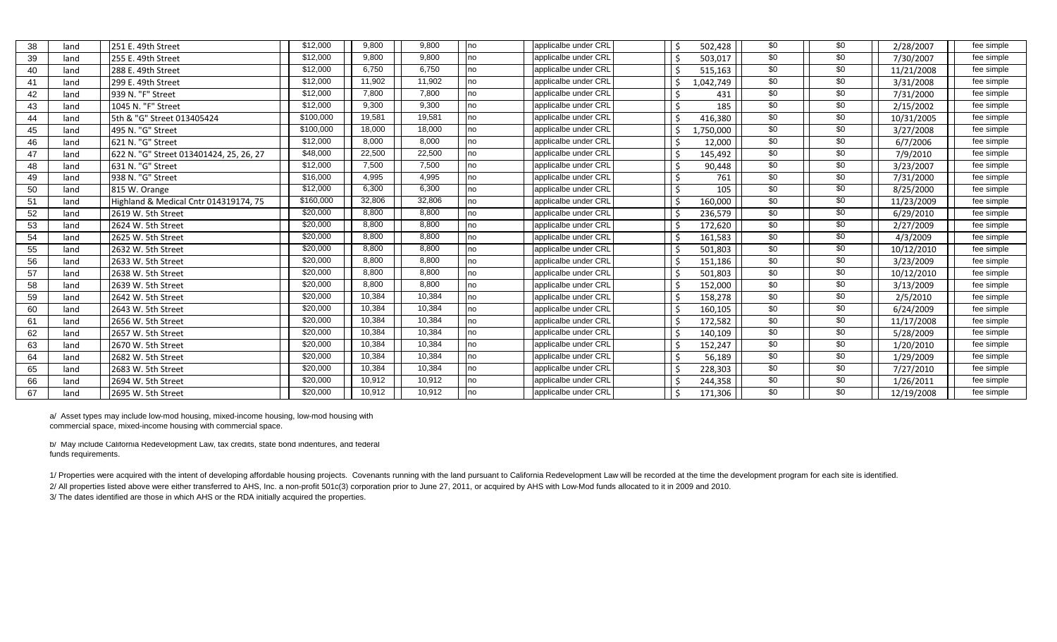| 38 | land | 251 E. 49th Street                      | \$12,000  | 9,800  | 9.800  | no | applicalbe under CRL | 502,428   | \$0 | \$0 | 2/28/2007  | fee simple |
|----|------|-----------------------------------------|-----------|--------|--------|----|----------------------|-----------|-----|-----|------------|------------|
| 39 | land | l255 E. 49th Street                     | \$12,000  | 9,800  | 9,800  | no | applicalbe under CRL | 503,017   | \$0 | \$0 | 7/30/2007  | fee simple |
| 40 | land | 288 E. 49th Street                      | \$12,000  | 6,750  | 6,750  | no | applicalbe under CRL | 515,163   | \$0 | \$0 | 11/21/2008 | fee simple |
| 41 | land | 299 E. 49th Street                      | \$12,000  | 11,902 | 11,902 | no | applicalbe under CRL | 1,042,749 | \$0 | \$0 | 3/31/2008  | fee simple |
| 42 | land | 939 N. "F" Street                       | \$12,000  | 7,800  | 7,800  | no | applicalbe under CRL | 431       | \$0 | \$0 | 7/31/2000  | fee simple |
| 43 | land | 1045 N. "F" Street                      | \$12,000  | 9,300  | 9,300  | no | applicalbe under CRL | 185       | \$0 | \$0 | 2/15/2002  | fee simple |
| 44 | land | 5th & "G" Street 013405424              | \$100,000 | 19,581 | 19,581 | no | applicalbe under CRL | 416,380   | \$0 | \$0 | 10/31/2005 | fee simple |
| 45 | land | 495 N. "G" Street                       | \$100,000 | 18,000 | 18,000 | no | applicalbe under CRL | ,750,000  | \$0 | \$0 | 3/27/2008  | fee simple |
| 46 | land | 621 N. "G" Street                       | \$12,000  | 8,000  | 8,000  | no | applicalbe under CRL | 12,000    | \$0 | \$0 | 6/7/2006   | fee simple |
| 47 | land | 622 N. "G" Street 013401424, 25, 26, 27 | \$48,000  | 22,500 | 22,500 | no | applicalbe under CRL | 145,492   | \$0 | \$0 | 7/9/2010   | fee simple |
| 48 | land | 631 N. "G" Street                       | \$12,000  | 7,500  | 7,500  | no | applicalbe under CRL | 90,448    | \$0 | \$0 | 3/23/2007  | fee simple |
| 49 | land | 938 N. "G" Street                       | \$16,000  | 4,995  | 4,995  | no | applicalbe under CRL | 761       | \$0 | \$0 | 7/31/2000  | fee simple |
| 50 | land | 815 W. Orange                           | \$12,000  | 6,300  | 6,300  | no | applicalbe under CRL | 105       | \$0 | \$0 | 8/25/2000  | fee simple |
| 51 | land | Highland & Medical Cntr 014319174, 75   | \$160,000 | 32,806 | 32,806 | no | applicalbe under CRL | 160,000   | \$0 | \$0 | 11/23/2009 | fee simple |
| 52 | land | 2619 W. 5th Street                      | \$20,000  | 8,800  | 8,800  | no | applicalbe under CRL | 236,579   | \$0 | \$0 | 6/29/2010  | fee simple |
| 53 | land | 2624 W. 5th Street                      | \$20,000  | 8,800  | 8,800  | no | applicalbe under CRL | 172,620   | \$0 | \$0 | 2/27/2009  | fee simple |
| 54 | land | 2625 W. 5th Street                      | \$20,000  | 8,800  | 8,800  | no | applicalbe under CRL | 161,583   | \$0 | \$0 | 4/3/2009   | fee simple |
| 55 | land | 2632 W. 5th Street                      | \$20,000  | 8,800  | 8,800  | no | applicalbe under CRL | 501,803   | \$0 | \$0 | 10/12/2010 | fee simple |
| 56 | land | 2633 W. 5th Street                      | \$20,000  | 8,800  | 8,800  | no | applicalbe under CRL | 151,186   | \$0 | \$0 | 3/23/2009  | fee simple |
| 57 | land | 2638 W. 5th Street                      | \$20,000  | 8,800  | 8,800  | no | applicalbe under CRL | 501,803   | \$0 | \$0 | 10/12/2010 | fee simple |
| 58 | land | 2639 W. 5th Street                      | \$20,000  | 8,800  | 8,800  | no | applicalbe under CRL | 152,000   | \$0 | \$0 | 3/13/2009  | fee simple |
| 59 | land | 2642 W. 5th Street                      | \$20,000  | 10,384 | 10,384 | no | applicalbe under CRL | 158,278   | \$0 | \$0 | 2/5/2010   | fee simple |
| 60 | land | 2643 W. 5th Street                      | \$20,000  | 10,384 | 10,384 | no | applicalbe under CRL | 160,105   | \$0 | \$0 | 6/24/2009  | fee simple |
| 61 | land | 2656 W. 5th Street                      | \$20,000  | 10,384 | 10,384 | no | applicalbe under CRL | 172,582   | \$0 | \$0 | 11/17/2008 | fee simple |
| 62 | land | 12657 W. 5th Street                     | \$20,000  | 10,384 | 10,384 | no | applicalbe under CRL | 140,109   | \$0 | \$0 | 5/28/2009  | fee simple |
| 63 | land | 2670 W. 5th Street                      | \$20,000  | 10,384 | 10,384 | no | applicalbe under CRL | 152,247   | \$0 | \$0 | 1/20/2010  | fee simple |
| 64 | land | 2682 W. 5th Street                      | \$20,000  | 10,384 | 10,384 | no | applicalbe under CRL | 56,189    | \$0 | \$0 | 1/29/2009  | fee simple |
| 65 | land | 2683 W. 5th Street                      | \$20,000  | 10,384 | 10,384 | no | applicalbe under CRL | 228,303   | \$0 | \$0 | 7/27/2010  | fee simple |
| 66 | land | 2694 W. 5th Street                      | \$20,000  | 10,912 | 10,912 | no | applicalbe under CRL | 244,358   | \$0 | \$0 | 1/26/2011  | fee simple |
| 67 | land | 2695 W. 5th Street                      | \$20,000  | 10,912 | 10,912 | no | applicalbe under CRL | 171,306   | \$0 | \$0 | 12/19/2008 | fee simple |

a/ Asset types may include low-mod housing, mixed-income housing, low-mod housing with commercial space, mixed-income housing with commercial space.

b/ May include California Redevelopment Law, tax credits, state bond indentures, and federal funds requirements.

1/ Properties were acquired with the intent of developing affordable housing projects. Covenants running with the land pursuant to California Redevelopment Law will be recorded at the time the development program for each

2/ All properties listed above were either transferred to AHS, Inc. a non-profit 501c(3) corporation prior to June 27, 2011, or acquired by AHS with Low-Mod funds allocated to it in 2009 and 2010.

3/ The dates identified are those in which AHS or the RDA initially acquired the properties.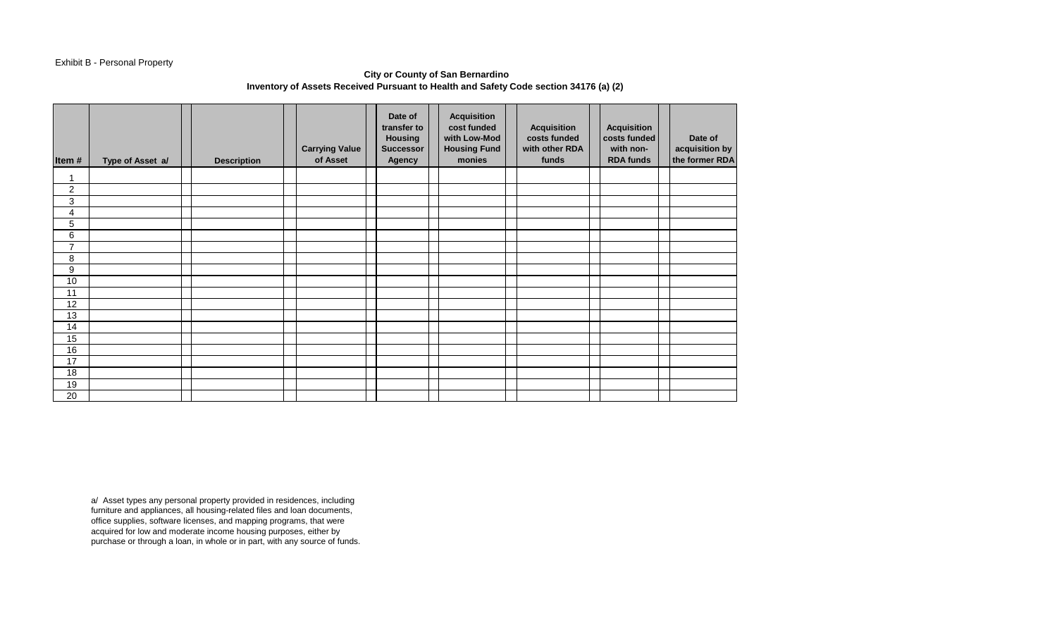# Exhibit B - Personal Property

## **City or County of San Bernardino Inventory of Assets Received Pursuant to Health and Safety Code section 34176 (a) (2)**

| Item#          | Type of Asset a/ | <b>Description</b> | <b>Carrying Value</b><br>of Asset | Date of<br>transfer to<br><b>Housing</b><br><b>Successor</b><br><b>Agency</b> | <b>Acquisition</b><br>cost funded<br>with Low-Mod<br><b>Housing Fund</b><br>monies | <b>Acquisition</b><br>costs funded<br>with other RDA<br>funds | <b>Acquisition</b><br>costs funded<br>with non-<br><b>RDA funds</b> | Date of<br>acquisition by<br>the former RDA |
|----------------|------------------|--------------------|-----------------------------------|-------------------------------------------------------------------------------|------------------------------------------------------------------------------------|---------------------------------------------------------------|---------------------------------------------------------------------|---------------------------------------------|
| 1              |                  |                    |                                   |                                                                               |                                                                                    |                                                               |                                                                     |                                             |
| $\overline{2}$ |                  |                    |                                   |                                                                               |                                                                                    |                                                               |                                                                     |                                             |
| 3              |                  |                    |                                   |                                                                               |                                                                                    |                                                               |                                                                     |                                             |
| 4              |                  |                    |                                   |                                                                               |                                                                                    |                                                               |                                                                     |                                             |
| 5              |                  |                    |                                   |                                                                               |                                                                                    |                                                               |                                                                     |                                             |
| 6              |                  |                    |                                   |                                                                               |                                                                                    |                                                               |                                                                     |                                             |
| $\overline{7}$ |                  |                    |                                   |                                                                               |                                                                                    |                                                               |                                                                     |                                             |
| 8              |                  |                    |                                   |                                                                               |                                                                                    |                                                               |                                                                     |                                             |
| 9              |                  |                    |                                   |                                                                               |                                                                                    |                                                               |                                                                     |                                             |
| 10             |                  |                    |                                   |                                                                               |                                                                                    |                                                               |                                                                     |                                             |
| 11             |                  |                    |                                   |                                                                               |                                                                                    |                                                               |                                                                     |                                             |
| 12             |                  |                    |                                   |                                                                               |                                                                                    |                                                               |                                                                     |                                             |
| 13             |                  |                    |                                   |                                                                               |                                                                                    |                                                               |                                                                     |                                             |
| 14             |                  |                    |                                   |                                                                               |                                                                                    |                                                               |                                                                     |                                             |
| 15             |                  |                    |                                   |                                                                               |                                                                                    |                                                               |                                                                     |                                             |
| 16             |                  |                    |                                   |                                                                               |                                                                                    |                                                               |                                                                     |                                             |
| 17             |                  |                    |                                   |                                                                               |                                                                                    |                                                               |                                                                     |                                             |
| 18             |                  |                    |                                   |                                                                               |                                                                                    |                                                               |                                                                     |                                             |
| 19             |                  |                    |                                   |                                                                               |                                                                                    |                                                               |                                                                     |                                             |
| 20             |                  |                    |                                   |                                                                               |                                                                                    |                                                               |                                                                     |                                             |

a/ Asset types any personal property provided in residences, including furniture and appliances, all housing-related files and loan documents, office supplies, software licenses, and mapping programs, that were acquired for low and moderate income housing purposes, either by purchase or through a loan, in whole or in part, with any source of funds.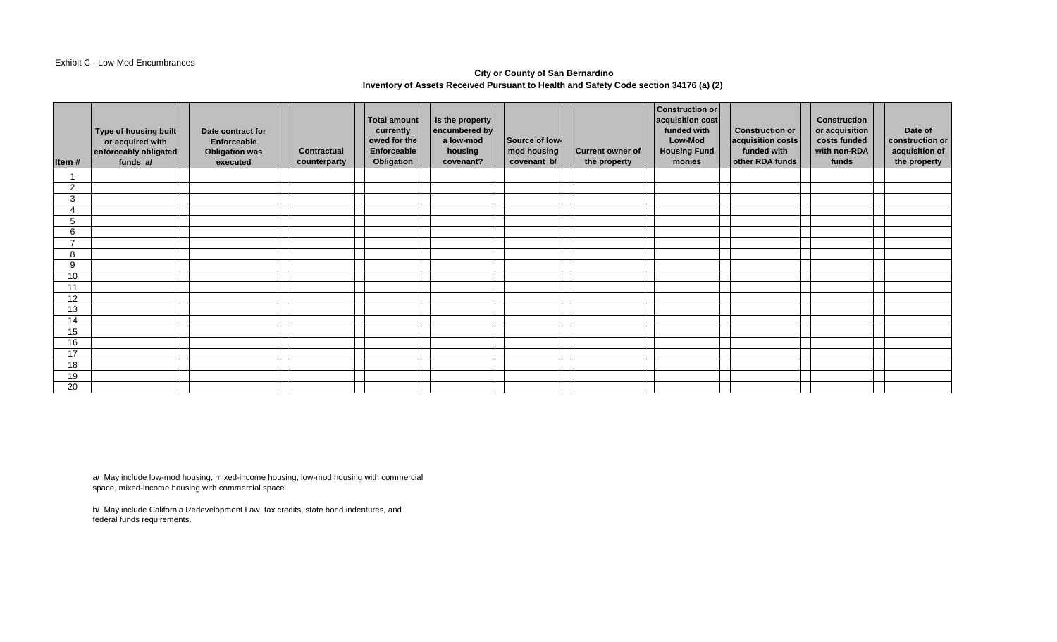#### Exhibit C - Low-Mod Encumbrances

### **City or County of San Bernardino Inventory of Assets Received Pursuant to Health and Safety Code section 34176 (a) (2)**

| Item#          | Type of housing built<br>or acquired with<br>enforceably obligated<br>funds a/ | Date contract for<br>Enforceable<br><b>Obligation was</b><br>executed | <b>Contractual</b><br>counterparty | Total amount<br>currently<br>owed for the<br>Enforceable<br>Obligation | Is the property<br>encumbered by<br>a low-mod<br>housing<br>covenant? | Source of low-<br>mod housing<br>covenant b/ | <b>Current owner of</b><br>the property | Construction or<br>acquisition cost<br>funded with<br>Low-Mod<br><b>Housing Fund</b><br>monies | <b>Construction or</b><br>acquisition costs<br>funded with<br>other RDA funds | <b>Construction</b><br>or acquisition<br>costs funded<br>with non-RDA<br>funds | Date of<br>construction or<br>acquisition of<br>the property |
|----------------|--------------------------------------------------------------------------------|-----------------------------------------------------------------------|------------------------------------|------------------------------------------------------------------------|-----------------------------------------------------------------------|----------------------------------------------|-----------------------------------------|------------------------------------------------------------------------------------------------|-------------------------------------------------------------------------------|--------------------------------------------------------------------------------|--------------------------------------------------------------|
|                |                                                                                |                                                                       |                                    |                                                                        |                                                                       |                                              |                                         |                                                                                                |                                                                               |                                                                                |                                                              |
| $\overline{2}$ |                                                                                |                                                                       |                                    |                                                                        |                                                                       |                                              |                                         |                                                                                                |                                                                               |                                                                                |                                                              |
| 3              |                                                                                |                                                                       |                                    |                                                                        |                                                                       |                                              |                                         |                                                                                                |                                                                               |                                                                                |                                                              |
|                |                                                                                |                                                                       |                                    |                                                                        |                                                                       |                                              |                                         |                                                                                                |                                                                               |                                                                                |                                                              |
| 5              |                                                                                |                                                                       |                                    |                                                                        |                                                                       |                                              |                                         |                                                                                                |                                                                               |                                                                                |                                                              |
| 6              |                                                                                |                                                                       |                                    |                                                                        |                                                                       |                                              |                                         |                                                                                                |                                                                               |                                                                                |                                                              |
| $\overline{ }$ |                                                                                |                                                                       |                                    |                                                                        |                                                                       |                                              |                                         |                                                                                                |                                                                               |                                                                                |                                                              |
| 8              |                                                                                |                                                                       |                                    |                                                                        |                                                                       |                                              |                                         |                                                                                                |                                                                               |                                                                                |                                                              |
| 9              |                                                                                |                                                                       |                                    |                                                                        |                                                                       |                                              |                                         |                                                                                                |                                                                               |                                                                                |                                                              |
| 10             |                                                                                |                                                                       |                                    |                                                                        |                                                                       |                                              |                                         |                                                                                                |                                                                               |                                                                                |                                                              |
| 11             |                                                                                |                                                                       |                                    |                                                                        |                                                                       |                                              |                                         |                                                                                                |                                                                               |                                                                                |                                                              |
| 12             |                                                                                |                                                                       |                                    |                                                                        |                                                                       |                                              |                                         |                                                                                                |                                                                               |                                                                                |                                                              |
| 13             |                                                                                |                                                                       |                                    |                                                                        |                                                                       |                                              |                                         |                                                                                                |                                                                               |                                                                                |                                                              |
| 14             |                                                                                |                                                                       |                                    |                                                                        |                                                                       |                                              |                                         |                                                                                                |                                                                               |                                                                                |                                                              |
| 15             |                                                                                |                                                                       |                                    |                                                                        |                                                                       |                                              |                                         |                                                                                                |                                                                               |                                                                                |                                                              |
| 16             |                                                                                |                                                                       |                                    |                                                                        |                                                                       |                                              |                                         |                                                                                                |                                                                               |                                                                                |                                                              |
| 17             |                                                                                |                                                                       |                                    |                                                                        |                                                                       |                                              |                                         |                                                                                                |                                                                               |                                                                                |                                                              |
| 18             |                                                                                |                                                                       |                                    |                                                                        |                                                                       |                                              |                                         |                                                                                                |                                                                               |                                                                                |                                                              |
| 19             |                                                                                |                                                                       |                                    |                                                                        |                                                                       |                                              |                                         |                                                                                                |                                                                               |                                                                                |                                                              |
| 20             |                                                                                |                                                                       |                                    |                                                                        |                                                                       |                                              |                                         |                                                                                                |                                                                               |                                                                                |                                                              |

a/ May include low-mod housing, mixed-income housing, low-mod housing with commercial space, mixed-income housing with commercial space.

b/ May include California Redevelopment Law, tax credits, state bond indentures, and federal funds requirements.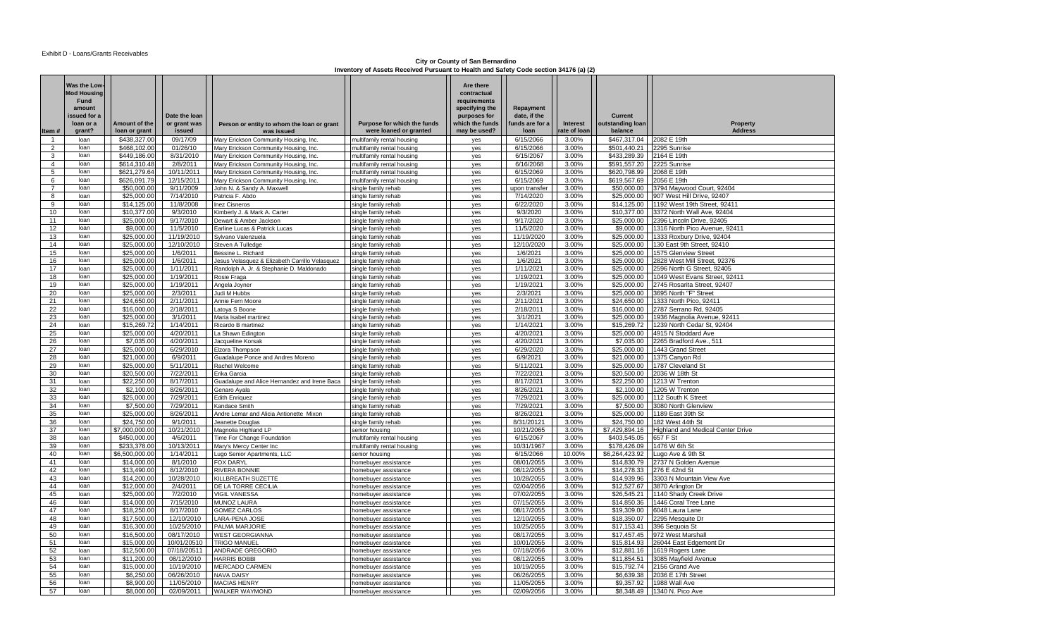**City or County of San Bernardino Inventory of Assets Received Pursuant to Health and Safety Code section 34176 (a) (2)** 

|                              | Was the Low<br><b>Mod Housing</b><br>Fund<br>amount<br>issued for a<br>loan or a | Amount of the                | Date the loan<br>or grant was | Person or entity to whom the loan or grant                          | Purpose for which the funds                       | Are there<br>contractual<br>requirements<br>specifying the<br>purposes for<br>vhich the funds | Repayment<br>date. if the<br>unds are for a | Interest       | <b>Current</b><br>outstanding loan | Property                                                          |
|------------------------------|----------------------------------------------------------------------------------|------------------------------|-------------------------------|---------------------------------------------------------------------|---------------------------------------------------|-----------------------------------------------------------------------------------------------|---------------------------------------------|----------------|------------------------------------|-------------------------------------------------------------------|
| Item#                        | grant?                                                                           | loan or grant                | issued                        | was issued                                                          | were loaned or granted                            | may be used?                                                                                  | loan                                        | rate of Ioan   | balance                            | <b>Address</b>                                                    |
| $\mathbf{1}$                 | loan                                                                             | \$438,327.00                 | 09/17/09                      | Mary Erickson Community Housing, Inc.                               | multifamily rental housing                        | yes                                                                                           | 6/15/2066                                   | 3.00%          | \$467.317.04                       | 2082 E 19th                                                       |
| $\overline{2}$               | loan                                                                             | \$468,102.00                 | 01/26/10                      | Mary Erickson Community Housing, Inc.                               | multifamily rental housing                        | yes                                                                                           | 6/15/2066                                   | 3.00%          | \$501,440.21 2295 Sunrise          |                                                                   |
| 3<br>$\overline{\mathbf{A}}$ | loan                                                                             | \$449,186.00                 | 8/31/2010                     | Mary Erickson Community Housing, Inc.                               | multifamily rental housing                        | yes                                                                                           | 6/15/2067                                   | 3.00%          | \$433,289.39 2164 E 19th           |                                                                   |
|                              | loan<br>loan                                                                     | \$614,310.48                 | 2/8/2011                      | Mary Erickson Community Housing, Inc.                               | multifamily rental housing                        | yes                                                                                           | 6/16/2068                                   | 3.00%          | \$591,557.20 2225 Sunrise          |                                                                   |
| 5                            | loan                                                                             | \$621,279.64<br>\$626,091.79 | 10/11/2011<br>12/15/2011      | Mary Erickson Community Housing, Inc.                               | multifamily rental housing                        | yes                                                                                           | 6/15/2069<br>6/15/2069                      | 3.00%<br>3.00% | \$620,798.99 2068 E 19th           |                                                                   |
| 6<br>$\overline{7}$          | loan                                                                             | \$50,000.00                  | 9/11/2009                     | Mary Erickson Community Housing, Inc.<br>John N. & Sandy A. Maxwell | multifamily rental housing<br>single family rehab | yes<br>yes                                                                                    | upon transfer                               | 3.00%          | \$619,567.69 2056 E 19th           | \$50,000,00 3794 Maywood Court, 92404                             |
| 8                            | loan                                                                             | \$25,000.00                  | 7/14/2010                     | Patricia F. Abdo                                                    | single family rehab                               | yes                                                                                           | 7/14/2020                                   | 3.00%          |                                    | \$25,000.00 907 West Hill Drive, 92407                            |
| 9                            | loan                                                                             | \$14,125.00                  | 11/8/2008                     | Inez Cisneros                                                       | single family rehab                               | yes                                                                                           | 6/22/2020                                   | 3.00%          |                                    | \$14,125.00   1192 West 19th Street, 92411                        |
| 10                           | loan                                                                             | \$10,377.00                  | 9/3/2010                      | Kimberly J. & Mark A. Carter                                        | single family rehab                               | yes                                                                                           | 9/3/2020                                    | 3.00%          |                                    | \$10,377.00 3372 North Wall Ave, 92404                            |
| 11                           | loan                                                                             | \$25,000.00                  | 9/17/2010                     | Dewart & Amber Jackson                                              | single family rehab                               | yes                                                                                           | 9/17/2020                                   | 3.00%          |                                    | \$25,000.00 2396 Lincoln Drive, 92405                             |
| 12                           | loan                                                                             | \$9,000.00                   | 11/5/2010                     | Earline Lucas & Patrick Lucas                                       | single family rehab                               | ves                                                                                           | 11/5/2020                                   | 3.00%          |                                    | \$9,000.00   1316 North Pico Avenue, 92411                        |
| 13                           | loan                                                                             | \$25,000.00                  | 11/19/2010                    | Sylvano Valenzuela                                                  | single family rehab                               | yes                                                                                           | 11/19/2020                                  | 3.00%          |                                    | \$25,000.00 1333 Roxbury Drive, 92404                             |
| 14                           | loan                                                                             | \$25,000.00                  | 12/10/2010                    | Steven A Tulledge                                                   | single family rehab                               | yes                                                                                           | 12/10/2020                                  | 3.00%          |                                    | \$25,000.00 130 East 9th Street, 92410                            |
| 15                           | loan                                                                             | \$25,000.00                  | 1/6/2011                      | Bessine L. Richard                                                  | single family rehab                               | yes                                                                                           | 1/6/2021                                    | 3.00%          |                                    | \$25,000.00   1575 Glenview Street                                |
| 16                           | loan                                                                             | \$25,000.00                  | 1/6/2011                      | Jesus Velasquez & Elizabeth Carrillo Velasquez                      | single family rehab                               | yes                                                                                           | 1/6/2021                                    | 3.00%          | \$25,000.00                        | 2828 West Mill Street, 92376                                      |
| 17                           | loan                                                                             | \$25,000.00                  | 1/11/2011                     | Randolph A. Jr. & Stephanie D. Maldonado                            | single family rehab                               | yes                                                                                           | 1/11/2021                                   | 3.00%          |                                    | \$25,000.00 2596 North G Street, 92405                            |
| 18                           | loan                                                                             | \$25,000.00                  | 1/19/2011                     | Rosie Fraga                                                         | single family rehab                               | ves                                                                                           | 1/19/2021                                   | 3.00%          |                                    | \$25,000,00   1049 West Evans Street, 92411                       |
| 19                           | loan                                                                             | \$25,000.00                  | 1/19/2011                     | Angela Joyner                                                       | single family rehab                               | yes                                                                                           | 1/19/2021                                   | 3.00%          | \$25,000.00                        | 2745 Rosarita Street, 92407                                       |
| 20                           | loan                                                                             | \$25,000.00                  | 2/3/2011                      | Judi M Hubbs                                                        | single family rehab                               | yes                                                                                           | 2/3/2021                                    | 3.00%          |                                    | \$25,000.00 3695 North "F" Street                                 |
| 21                           | loan                                                                             | \$24,650.00                  | 2/11/2011                     | Annie Fern Moore                                                    | single family rehab                               | ves                                                                                           | 2/11/2021                                   | 3.00%          |                                    | \$24.650.00   1333 North Pico, 92411                              |
| 22                           | loan                                                                             | \$16,000.00                  | 2/18/2011                     | atoya S Boone                                                       | single family rehab                               | yes                                                                                           | 2/18/2011                                   | 3.00%          | \$16,000.00                        | 2787 Serrano Rd, 92405                                            |
| 23                           | loan                                                                             | \$25,000.00                  | 3/1/2011                      | Maria Isabel martinez                                               | single family rehab                               | yes                                                                                           | 3/1/2021                                    | 3.00%          |                                    | \$25,000.00 1936 Magnolia Avenue, 92411                           |
| 24                           | loan                                                                             | \$15,269.72                  | 1/14/2011                     | Ricardo B martinez                                                  | single family rehab                               | yes                                                                                           | 1/14/2021                                   | 3.00%          | \$15,269.72                        | 1239 North Cedar St, 92404                                        |
| 25                           | loan                                                                             | \$25,000.00                  | 4/20/2011                     | a Shawn Edington                                                    | single family rehab                               | yes                                                                                           | 4/20/2021                                   | 3.00%          |                                    | \$25,000.00 4915 N Stoddard Ave                                   |
| 26                           | loan                                                                             | \$7,035.00                   | 4/20/2011                     | Jacqueline Korsak                                                   | single family rehab                               | yes                                                                                           | 4/20/2021                                   | 3.00%          |                                    | \$7,035.00 2265 Bradford Ave., 511                                |
| 27                           | loan                                                                             | \$25,000.00                  | 6/29/2010                     | Elzora Thompson                                                     | single family rehab                               | yes                                                                                           | 6/29/2020                                   | 3.00%          |                                    | \$25,000.00   1443 Grand Street                                   |
| 28                           | loan                                                                             | \$21,000.00                  | 6/9/2011                      | Guadalupe Ponce and Andres Moreno                                   | single family rehab                               | yes                                                                                           | 6/9/2021                                    | 3.00%          |                                    | \$21,000.00 1375 Canyon Rd                                        |
| 29                           | loan                                                                             | \$25,000.00                  | 5/11/2011                     | Rachel Welcome                                                      | single family rehab                               | yes                                                                                           | 5/11/2021                                   | 3.00%          |                                    | \$25,000.00   1787 Cleveland St                                   |
| 30                           | loan                                                                             | \$20,500.00                  | 7/22/2011                     | Erika Garcia                                                        | single family rehab                               | yes                                                                                           | 7/22/2021                                   | 3.00%          | \$20,500.00                        | 2036 W 18th St                                                    |
| 31                           | loan                                                                             | \$22,250.00                  | 8/17/2011                     | Guadalupe and Alice Hernandez and Irene Baca                        | single family rehab                               | ves                                                                                           | 8/17/2021                                   | 3.00%          |                                    | \$22,250.00 1213 W Trenton                                        |
| 32                           | loan                                                                             | \$2,100.00                   | 8/26/2011                     | Genaro Ayala                                                        | single family rehab                               | yes                                                                                           | 8/26/2021                                   | 3.00%          |                                    | \$2.100.00   1205 W Trenton                                       |
| 33                           | loan                                                                             | \$25,000.00                  | 7/29/2011                     | <b>Edith Enriquez</b>                                               | single family rehab                               | yes                                                                                           | 7/29/2021                                   | 3.00%          |                                    | \$25,000.00   112 South K Street                                  |
| 34                           | loan                                                                             | \$7,500.00                   | 7/29/2011                     | Kandace Smith                                                       | single family rehab                               | yes                                                                                           | 7/29/2021                                   | 3.00%          | \$7,500.00                         | 3080 North Glenview                                               |
| 35<br>36                     | loan<br>loan                                                                     | \$25,000.00<br>\$24,750.00   | 8/26/2011<br>9/1/2011         | Andre Lemar and Alicia Antionette Mixon                             | single family rehab                               | yes                                                                                           | 8/26/2021<br>8/31/20121                     | 3.00%<br>3.00% |                                    | \$25,000.00   1189 East 39th St<br>\$24,750.00   182 West 44th St |
| 37                           | loan                                                                             | \$7,000,000.00               | 10/21/2010                    | Jeanette Douglas<br>Magnolia Highland LP                            | single family rehab<br>senior housing             | yes<br>yes                                                                                    | 10/21/2065                                  | 3.00%          | \$7,429,894.16                     | <b>Highland and Medical Center Drive</b>                          |
| 38                           | loan                                                                             | \$450,000.00                 | 4/6/2011                      | Time For Change Foundation                                          | multifamily rental housing                        | yes                                                                                           | 6/15/2067                                   | 3.00%          | \$403,545.05 657 F St              |                                                                   |
| 39                           | loan                                                                             | \$233,378.00                 | 10/13/2011                    | Mary's Mercy Center Inc                                             | multifamily rental housing                        | yes                                                                                           | 10/31/1967                                  | 3.00%          |                                    | \$178,426.09 1476 W 6th St                                        |
| 40                           | loan                                                                             | \$6,500,000.00               | 1/14/2011                     | Lugo Senior Apartments, LLC                                         | senior housing                                    | yes                                                                                           | 6/15/2066                                   | 10.00%         | \$6,264,423.92                     | Lugo Ave & 9th St                                                 |
| 41                           | loan                                                                             | \$14,000.00                  | 8/1/2010                      | <b>FOX DARYL</b>                                                    | homebuyer assistance                              | yes                                                                                           | 08/01/2055                                  | 3.00%          |                                    | \$14,830.79 2737 N Golden Avenue                                  |
| 42                           | loan                                                                             | \$13,490.00                  | 8/12/2010                     | RIVERA BONNIE                                                       | homebuyer assistance                              | yes                                                                                           | 08/12/2055                                  | 3.00%          |                                    | \$14,278.33 276 E 42nd St                                         |
| 43                           | loan                                                                             | \$14,200.00                  | 10/28/2010                    | KILLBREATH SUZETTE                                                  | homebuyer assistance                              | ves                                                                                           | 10/28/2055                                  | 3.00%          |                                    | \$14.939.96   3303 N Mountain View Ave                            |
| 44                           | loan                                                                             | \$12,000.00                  | 2/4/2011                      | DE LA TORRE CECILIA                                                 | homebuyer assistance                              | yes                                                                                           | 02/04/2056                                  | 3.00%          |                                    | \$12.527.67 3870 Arlington Dr                                     |
| 45                           | loan                                                                             | \$25,000.00                  | 7/2/2010                      | <b>VIGIL VANESSA</b>                                                | homebuyer assistance                              | yes                                                                                           | 07/02/2055                                  | 3.00%          |                                    | \$26,545.21   1140 Shady Creek Drive                              |
| 46                           | loan                                                                             | \$14,000.00                  | 7/15/2010                     | <b>MUNOZ LAURA</b>                                                  | homebuver assistance                              | yes                                                                                           | 07/15/2055                                  | 3.00%          |                                    | \$14,850,36   1446 Coral Tree Lane                                |
| 47                           | loan                                                                             | \$18,250.00                  | 8/17/2010                     | <b>GOMEZ CARLOS</b>                                                 | homebuyer assistance                              | yes                                                                                           | 08/17/2055                                  | 3.00%          | \$19,309.00                        | 6048 Laura Lane                                                   |
| 48                           | loan                                                                             | \$17,500.00                  | 12/10/2010                    | LARA-PENA JOSE                                                      | homebuyer assistance                              | yes                                                                                           | 12/10/2055                                  | 3.00%          |                                    | \$18,350.07 2295 Mesquite Dr                                      |
| 49                           | loan                                                                             | \$16,300.00                  | 10/25/2010                    | PALMA MARJORIE                                                      | homebuyer assistance                              | yes                                                                                           | 10/25/2055                                  | 3.00%          |                                    | \$17,153.41 396 Sequoia St                                        |
| 50                           | loan                                                                             | \$16,500.00                  | 08/17/2010                    | <b>WEST GEORGIANNA</b>                                              | homebuyer assistance                              | yes                                                                                           | 08/17/2055                                  | 3.00%          |                                    | \$17,457.45   972 West Marshall                                   |
| 51                           | loan                                                                             | \$15,000.00                  | 10/01/20510                   | <b>TRIGO MANUEL</b>                                                 | homebuyer assistance                              | yes                                                                                           | 10/01/2055                                  | 3.00%          |                                    | \$15,814.93 26044 East Edgemont Dr                                |
| 52                           | loan                                                                             | \$12,500.00                  | 07/18/20511                   | ANDRADE GREGORIO                                                    | homebuyer assistance                              | yes                                                                                           | 07/18/2056                                  | 3.00%          |                                    | \$12,881.16 1619 Rogers Lane                                      |
| 53                           | loan                                                                             | \$11,200.00                  | 08/12/2010                    | <b>HARRIS BOBBI</b>                                                 | homebuyer assistance                              | ves                                                                                           | 08/12/2055                                  | 3.00%          |                                    | \$11,854.51 3085 Mayfield Avenue                                  |
| 54                           | loan                                                                             | \$15,000.00                  | 10/19/2010                    | MERCADO CARMEN                                                      | homebuyer assistance                              | yes                                                                                           | 10/19/2055                                  | 3.00%          |                                    | \$15,792.74 2156 Grand Ave                                        |
| 55                           | loan                                                                             | \$6,250.00                   | 06/26/2010                    | <b>NAVA DAISY</b>                                                   | homebuyer assistance                              | yes                                                                                           | 06/26/2055                                  | 3.00%          |                                    | \$6.639.38 2036 E 17th Street                                     |
| 56                           | loan                                                                             | \$8,900.00                   | 11/05/2010                    | <b>MACIAS HENRY</b>                                                 | homebuyer assistance                              | ves                                                                                           | 11/05/2055                                  | 3.00%          |                                    | \$9,357.92 1988 Wall Ave                                          |
| 57                           | loan                                                                             | \$8,000.00                   | 02/09/2011                    | <b>WALKER WAYMOND</b>                                               | homebuver assistance                              | ves                                                                                           | 02/09/2056                                  | 3.00%          |                                    | \$8,348.49   1340 N. Pico Ave                                     |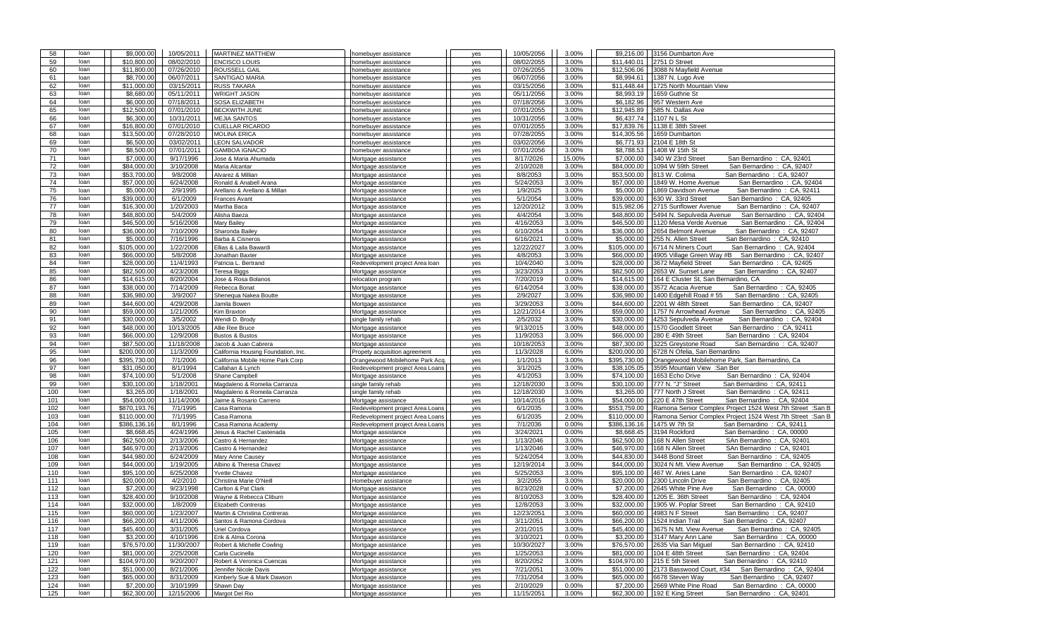| 58  | loan | \$9,000.00   | 10/05/2011 | <b>MARTINEZ MATTHEW</b>                  | homebuyer assistance             | yes | 10/05/2056 | 3.00%  | \$9,216.00   | 3156 Dumbarton Ave                                         |
|-----|------|--------------|------------|------------------------------------------|----------------------------------|-----|------------|--------|--------------|------------------------------------------------------------|
| 59  | loan | \$10,800.00  | 08/02/2010 | <b>ENCISCO LOUIS</b>                     | homebuyer assistance             | yes | 08/02/2055 | 3.00%  | \$11,440.01  | 2751 D Street                                              |
| 60  | loan | \$11,800.00  | 07/26/2010 | <b>ROUSSELL GAIL</b>                     | homebuyer assistance             | yes | 07/26/2055 | 3.00%  | \$12,506.06  | 3088 N Mayfield Avenue                                     |
| 61  | loan | \$8,700.00   | 06/07/2011 | <b>SANTIGAO MARIA</b>                    | homebuyer assistance             | yes | 06/07/2056 | 3.00%  | \$8,994.61   | 1387 N. Lugo Ave                                           |
| 62  | loan | \$11,000.00  | 03/15/2011 | <b>RUSS TAKARA</b>                       | homebuyer assistance             | yes | 03/15/2056 | 3.00%  | \$11,448.44  | 1725 North Mountain View                                   |
| 63  | loan | \$8,680.00   | 05/11/2011 | <b>WRIGHT JASON</b>                      | homebuver assistance             | yes | 05/11/2056 | 3.00%  | \$8,993.19   | 1659 Guthrie St                                            |
| 64  | loan | \$6,000.00   | 07/18/2011 | <b>SOSA ELIZABETH</b>                    | homebuyer assistance             | yes | 07/18/2056 | 3.00%  | \$6,182.96   | 957 Western Ave                                            |
| 65  | loan | \$12,500.00  | 07/01/2010 | <b>BECKWITH JUNE</b>                     | homebuyer assistance             | yes | 07/01/2055 | 3.00%  | \$12,945.89  | 585 N. Dallas Ave                                          |
| 66  | loan | \$6,300.00   | 10/31/2011 | <b>MEJIA SANTOS</b>                      | homebuver assistance             | yes | 10/31/2056 | 3.00%  | \$6,437.74   | 1107 N L St                                                |
| 67  | loan | \$16,800.00  | 07/01/2010 | <b>CUELLAR RICARDO</b>                   | homebuyer assistance             | yes | 07/01/2055 | 3.00%  | \$17,839.76  | 1138 E 38th Street                                         |
| 68  | loan | \$13,500.00  | 07/28/2010 | <b>MOLINA ERICA</b>                      | homebuyer assistance             | yes | 07/28/2055 | 3.00%  | \$14,305.56  | 1659 Dumbarton                                             |
| 69  | loan | \$6,500.00   | 03/02/2011 | <b>LEON SALVADOR</b>                     | homebuyer assistance             | yes | 03/02/2056 | 3.00%  | \$6,771.93   | 2104 E 18th St                                             |
| 70  | loan | \$8,500.00   | 07/01/2011 | <b>GAMBOA IGNACIO</b>                    | homebuyer assistance             | yes | 07/01/2056 | 3.00%  | \$8,788.53   | 1408 W 15th St                                             |
| 71  | loan | \$7,000.00   | 9/17/1996  | Jose & Maria Ahumada                     | Mortgage assistance              | yes | 8/17/2026  | 15.00% | \$7,000.00   | 340 W 23rd Street<br>San Bernardino: CA, 92401             |
| 72  | loan | \$84,000.00  | 3/10/2008  | Maria Alcantar                           | Mortgage assistance              | yes | 2/10/2028  | 3.00%  | \$84,000.00  | San Bernardino: CA, 92407<br>1094 W 59th Street            |
| 73  | loan | \$53,700.00  | 9/8/2008   | Alvarez & Millian                        | Mortgage assistance              |     | 8/8/2053   | 3.00%  | \$53,500.00  | San Bernardino: CA. 92407<br>813 W. Colima                 |
|     | loan | \$57,000.00  |            | Ronald & Anabell Arana                   |                                  | yes | 5/24/2053  | 3.00%  |              |                                                            |
| 74  |      |              | 6/24/2008  |                                          | Mortgage assistance              | yes |            |        | \$57,000.00  | 1849 W. Home Avenue<br>San Bernardino: CA, 92404           |
| 75  | loan | \$5,000.00   | 2/9/1995   | Arellano & Arellano & Millan             | Mortgage assistance              | yes | 1/9/2025   | 3.00%  | \$5,000.00   | 1869 Davidson Avenue<br>San Bernardino: CA, 92411          |
| 76  | loan | \$39,000.00  | 6/1/2009   | <b>Frances Avant</b>                     | Mortgage assistance              | yes | 5/1/2054   | 3.00%  | \$39,000.00  | 630 W. 33rd Street<br>San Bernardino: CA, 92405            |
| 77  | loan | \$16,300.00  | 1/20/2003  | Martha Baca                              | Mortgage assistance              | yes | 12/20/2012 | 3.00%  | \$15,982.06  | 2715 Sunflower Avenue<br>San Bernardino: CA, 92407         |
| 78  | loan | \$48,800.00  | 5/4/2009   | Alisha Baeza                             | Mortgage assistance              | yes | 4/4/2054   | 3.00%  | \$48,800.00  | 5494 N. Sepulveda Avenue<br>San Bernardino: CA, 92404      |
| 79  | loan | \$46,500.00  | 5/16/2008  | <b>Mary Bailey</b>                       | Mortgage assistance              | yes | 4/16/2053  | 3.00%  | \$46,500.00  | 1120 Mesa Verde Avenue<br>San Bernardino: CA, 92404        |
| 80  | loan | \$36,000.00  | 7/10/2009  | Sharonda Bailey                          | Mortgage assistance              | yes | 6/10/2054  | 3.00%  | \$36,000.00  | 2654 Belmont Avenue<br>San Bernardino: CA, 92407           |
| 81  | loan | \$5,000.00   | 7/16/1996  | Barba & Cisneros                         | Mortgage assistance              | yes | 6/16/2021  | 0.00%  | \$5,000.00   | 255 N. Allen Street<br>San Bernardino: CA, 92410           |
| 82  | loan | \$105,000.00 | 1/22/2008  | Ellias & Laila Bawardi                   | Mortgage assistance              | yes | 12/22/2027 | 3.00%  | \$105,000.00 | 6714 N Miners Court<br>San Bernardino: CA. 92404           |
| 83  | loan | \$66,000.00  | 5/8/2008   | Jonathan Baxter                          | Mortgage assistance              | yes | 4/8/2053   | 3.00%  | \$66,000.00  | 4905 Village Green Wav #B<br>San Bernardino: CA, 92407     |
| 84  | loan | \$28,000.00  | 11/4/1993  | Patricia L. Bertrand                     | Redevelopment project Area loan  | yes | 10/4/2040  | 3.00%  | \$28,000.00  | 3672 Mayfield Street<br>San Bernardino: CA, 92405          |
| 85  | loan | \$82,500.00  | 4/23/2008  | <b>Teresa Biggs</b>                      | Mortgage assistance              | yes | 3/23/2053  | 3.00%  | \$82,500.00  | 2653 W. Sunset Lane<br>San Bernardino: CA, 92407           |
| 86  | loan | \$14,615.00  | 8/20/2004  | Jose & Rosa Bolanos                      | relocation program               | yes | 7/20/2019  | 0.00%  | \$14,615.00  | 164 E Cluster St, San Bernardino, CA                       |
| 87  | loan | \$38,000.00  | 7/14/2009  | Rebecca Bonat                            | Mortgage assistance              | yes | 6/14/2054  | 3.00%  | \$38,000.00  | 3572 Acacia Avenue<br>San Bernardino: CA, 92405            |
| 88  | loan | \$36,980.00  | 3/9/2007   | Shenequa Nakea Boutte                    | Mortgage assistance              | yes | 2/9/2027   | 3.00%  | \$36,980.00  | 1400 Edgehill Road #55<br>San Bernardino: CA, 92405        |
| 89  | loan | \$44,600.00  | 4/29/2008  | Jamila Bowen                             | Mortgage assistance              | yes | 3/29/2053  | 3.00%  | \$44,600.00  | 2201 W 48th Street<br>San Bernardino: CA, 92407            |
| 90  | loan | \$59,000.00  | 1/21/2005  | Kim Braxton                              | Mortgage assistance              | yes | 12/21/2014 | 3.00%  | \$59,000.00  | 1757 N Arrowhead Avenue<br>San Bernardino: CA, 92405       |
| 91  | loan | \$30,000.00  | 3/5/2002   | Wendi D. Brody                           | single family rehab              | yes | 2/5/2032   | 3.00%  | \$30,000.00  | 4253 Sepulveda Avenue<br>San Bernardino: CA. 92404         |
| 92  | loan | \$48,000.00  | 10/13/2005 | Allie Ree Bruce                          | Mortgage assistance              | yes | 9/13/2015  | 3.00%  | \$48,000.00  | 1570 Goodlett Street<br>San Bernardino: CA, 92411          |
| 93  | loan | \$66,000.00  | 12/9/2008  | <b>Bustos &amp; Bustos</b>               |                                  |     | 11/9/2053  | 3.00%  | \$66,000.00  | 280 E 49th Street<br>San Bernardino: CA, 92404             |
|     | loan | \$87,500.00  |            |                                          | Mortgage assistance              | yes |            | 3.00%  | \$87,300.00  | 3225 Greystone Road<br>San Bernardino: CA, 92407           |
| 94  | loan |              | 11/18/2008 | Jacob & Juan Cabrera                     | Mortgage assistance              | yes | 10/18/2053 |        |              |                                                            |
| 95  |      | \$200,000.00 | 11/3/2009  | California Housing Foundation, Inc.      | Propety acquisition agreement    | yes | 11/3/2028  | 6.00%  | \$200,000.00 | 6728 N Ofelia, San Bernardino                              |
| 96  | loan | \$395,730.00 | 7/1/2006   | California Mobile Home Park Corp         | Orangewood Mobilehome Park Acq.  | yes | 1/1/2013   | 3.00%  | \$395,730.00 | Orangewood Mobilehome Park, San Bernardino, Ca             |
| 97  | loan | \$31,050.00  | 8/1/1994   | Callahan & Lynch                         | Redevelopment project Area Loans | yes | 3/1/2025   | 3.00%  | \$38,105.05  | 3595 Mountain View : San Ber                               |
| 98  | loan | \$74,100.00  | 5/1/2008   | Shane Campbell                           | Mortgage assistance              | yes | 4/1/2053   | 3.00%  | \$74,100.00  | San Bernardino: CA, 92404<br>1653 Echo Drive               |
| 99  | loan | \$30,100.00  | 1/18/2001  | Magdaleno & Romelia Carranza             | single family rehab              | yes | 12/18/2030 | 3.00%  | \$30,100.00  | 777 N. "J" Street<br>San Bernardino: CA, 92411             |
| 100 | loan | \$3,265.00   | 1/18/2001  | Magdaleno & Romeila Carranza             | single family rehab              | yes | 12/18/2030 | 3.00%  | \$3,265.00   | 777 North J Street<br>San Bernardino: CA, 92411            |
| 101 | loan | \$54,000.00  | 11/14/2006 | Jaime & Rosario Carreno                  | Mortgage assistance              | yes | 10/14/2016 | 3.00%  | \$54,000.00  | 220 E 47th Street<br>San Bernardino: CA, 92404             |
| 102 | loan | \$870,193.76 | 7/1/1995   | Casa Ramona                              | Redevelopment project Area Loans | yes | 6/1/2035   | 3.00%  | \$553,759.00 | Ramona Senior Complex Project 1524 West 7th Street : San B |
| 103 | loan | \$110,000.00 | 7/1/1995   | Casa Ramona                              | Redevelopment project Area Loans | yes | 6/1/2035   | 2.00%  | \$110,000.00 | Ramona Senior Complex Project 1524 West 7th Street : San B |
| 104 | loan | \$386,136.16 | 8/1/1996   | Casa Ramona Academy                      | Redevelopment project Area Loans | yes | 7/1/2036   | 0.00%  | \$386,136.16 | 1475 W 7th St<br>San Bernardino: CA, 92411                 |
| 105 | loan | \$8,668.45   | 4/24/1996  | Jesus & Rachel Castenada                 | Mortgage assistance              | yes | 3/24/2021  | 0.00%  | \$8,668.45   | 3194 Rockford<br>San Bernardino: CA, 00000                 |
| 106 | loan | \$62,500.00  | 2/13/2006  | Castro & Hernandez                       | Mortgage assistance              | yes | 1/13/2046  | 3.00%  | \$62,500.00  | 168 N Allen Street<br>SAn Bernardino: CA, 92401            |
| 107 | loan | \$46,970.00  | 2/13/2006  | Castro & Hernandez                       | Mortgage assistance              | yes | 1/13/2046  | 3.00%  | \$46,970.00  | 168 N Allen Street<br>SAn Bernardino: CA, 92401            |
| 108 | loan | \$44,980.00  | 6/24/2009  | Mary Anne Causey                         | Mortgage assistance              | yes | 5/24/2054  | 3.00%  | \$44,830.00  | 3448 Bond Street<br>San Bernardino: CA, 92405              |
| 109 | loan | \$44,000.00  | 1/19/2005  | Albino & Theresa Chavez                  | Mortgage assistance              | yes | 12/19/2014 | 3.00%  | \$44,000.00  | 3024 N Mt. View Avenue<br>San Bernardino: CA, 92405        |
| 110 | loan | \$95,100.00  | 6/25/2008  | <b>Yvette Chavez</b>                     | Mortgage assistance              | yes | 5/25/2053  | 3.00%  | \$95,100.00  | 467 W. Aries Lane<br>San Bernardino: CA, 92407             |
| 111 | loan | \$20,000.00  | 4/2/2010   | Christina Marie O'Neill                  | Homebuyer assistance             | yes | 3/2/2055   | 3.00%  | \$20,000.00  | 2300 Lincoln Drive<br>San Bernardino: CA, 92405            |
| 112 | loan | \$7,200.00   | 9/23/1998  | Carlton & Pat Clark                      | Mortgage assistance              | yes | 8/23/2028  | 0.00%  | \$7,200.00   | 2645 White Pine Ave<br>San Bernardino: CA, 00000           |
| 113 | loan | \$28,400.00  | 9/10/2008  | Wayne & Rebecca Cliburn                  | Mortgage assistance              | yes | 8/10/2053  | 3.00%  | \$28,400.00  | 1205 E. 36th Street<br>San Bernardino: CA, 92404           |
|     | loan | \$32,000.00  |            |                                          |                                  |     |            | 3.00%  | \$32,000.00  |                                                            |
| 114 |      |              | 1/8/2009   | <b>Elizabeth Contreras</b>               | Mortgage assistance              | yes | 12/8/2053  |        |              | 1905 W. Poplar Street<br>San Bernardino: CA, 92410         |
| 115 | loan | \$60,000.00  |            | 1/23/2007   Martin & Christina Contreras | Mortgage assistance              | yes | 12/23/2051 | 3.00%  |              | \$60,000.00   4983 N F Street<br>San Bernardino: CA, 92407 |
| 116 | loan | \$66,200.00  | 4/11/2006  | Santos & Ramona Cordova                  | Mortgage assistance              | yes | 3/11/2051  | 3.00%  | \$66,200.00  | 1524 Indian Trail<br>San Bernardino: CA, 92407             |
| 117 | loan | \$45,400.00  | 3/31/2005  | Uriel Cordova                            | Mortgage assistance              | yes | 2/31/2015  | 3.00%  | \$45,400.00  | 3675 N Mt. View Avenue<br>San Bernardino: CA, 92405        |
| 118 | loan | \$3,200.00   | 4/10/1996  | Erik & Alma Corona                       | Mortgage assistance              | yes | 3/10/2021  | 0.00%  | \$3,200.00   | 3147 Mary Ann Lane<br>San Bernardino: CA, 00000            |
| 119 | loan | \$76,570.00  | 11/30/2007 | Robert & Michelle Cowling                | Mortgage assistance              | yes | 10/30/2027 | 3.00%  | \$76,570.00  | 2635 Via San Miguel<br>San Bernardino: CA, 92410           |
| 120 | loan | \$81,000.00  | 2/25/2008  | Carla Cucinella                          | Mortgage assistance              | yes | 1/25/2053  | 3.00%  | \$81,000.00  | 104 E 48th Street<br>San Bernardino: CA, 92404             |
| 121 | loan | \$104,970.00 | 9/20/2007  | Robert & Veronica Cuencas                | Mortgage assistance              | yes | 8/20/2052  | 3.00%  | \$104,970.00 | 215 E 5th Street<br>San Bernardino: CA, 92410              |
| 122 | loan | \$51,000.00  | 8/21/2006  | Jennifer Nicole Davis                    | Mortgage assistance              | yes | 7/21/2051  | 3.00%  | \$51,000.00  | San Bernardino: CA, 92404<br>2173 Basswood Court, #34      |
| 123 | loan | \$65,000.00  | 8/31/2009  | Kimberly Sue & Mark Dawson               | Mortgage assistance              | yes | 7/31/2054  | 3.00%  | \$65,000.00  | 6678 Steven Way<br>San Bernardino: CA, 92407               |
| 124 | loan | \$7,200.00   | 3/10/1999  | Shawn Day                                | Mortgage assistance              | yes | 2/10/2029  | 0.00%  | \$7,200.00   | 2669 White Pine Road<br>San Bernardino: CA, 00000          |
| 125 | loan | \$62,300.00  | 12/15/2006 | Margot Del Rio                           | Mortgage assistance              | yes | 11/15/2051 | 3.00%  | \$62,300.00  | 192 E King Street<br>San Bernardino: CA, 92401             |
|     |      |              |            |                                          |                                  |     |            |        |              |                                                            |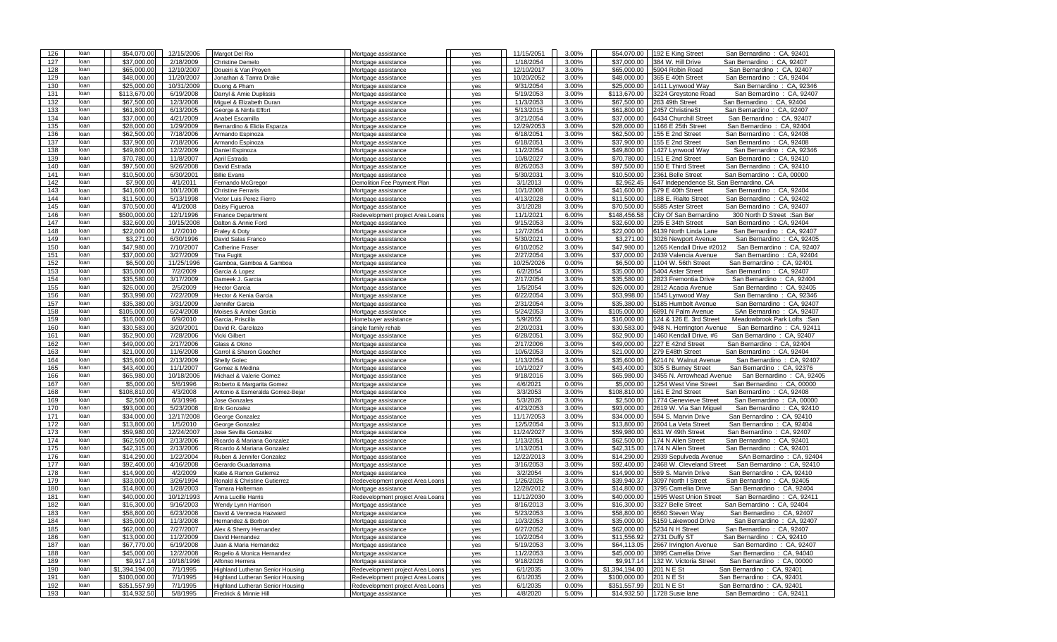| 126        | loan         | \$54,070.00                 | 12/15/2006           | Margot Del Rio                                             | Mortgage assistance                                     | yes        | 11/15/2051           | 3.00%          | \$54,070.00               | 192 E King Street<br>San Bernardino: CA, 92401                                          |
|------------|--------------|-----------------------------|----------------------|------------------------------------------------------------|---------------------------------------------------------|------------|----------------------|----------------|---------------------------|-----------------------------------------------------------------------------------------|
| 127        | loan         | \$37,000.00                 | 2/18/2009            | <b>Christine Demelo</b>                                    | Mortgage assistance                                     | yes        | 1/18/2054            | 3.00%          | \$37,000.00               | 384 W. Hill Drive<br>San Bernardino: CA, 92407                                          |
| 128        | loan         | \$65,000.00                 | 12/10/2007           | Doueiri & Van Proyen                                       | Mortgage assistance                                     | yes        | 12/10/2017           | 3.00%          | \$65,000.00               | 5904 Robin Road<br>San Bernardino: CA, 92407                                            |
| 129        | loan         | \$48,000.00                 | 11/20/2007           | Jonathan & Tamra Drake                                     | Mortgage assistance                                     |            | 10/20/2052           | 3.00%          | \$48,000.00               | 365 E 40th Street<br>San Bernardino: CA, 92404                                          |
|            |              |                             |                      |                                                            |                                                         | yes        |                      |                |                           |                                                                                         |
| 130        | loan         | \$25,000.00                 | 10/31/2009           | Duong & Pham                                               | Mortgage assistance                                     | yes        | 9/31/2054            | 3.00%          | \$25,000.00               | 1411 Lynwood Way<br>San Bernardino: CA, 92346                                           |
| 131        | loan         | \$113,670.00                | 6/19/2008            | Darryl & Amie Duplissis                                    | Mortgage assistance                                     | yes        | 5/19/2053            | 3.00%          | \$113,670.00              | 3224 Greystone Road<br>San Bernardino: CA, 92407                                        |
| 132        | loan         | \$67,500.00                 | 12/3/2008            | Miquel & Elizabeth Duran                                   | Mortgage assistance                                     | yes        | 11/3/2053            | 3.00%          | \$67,500.00               | 263 49th Street<br>San Bernardino: CA, 92404                                            |
| 133        | loan         | \$61,800,00                 | 6/13/2005            | George & Ninfa Effort                                      | Mortgage assistance                                     | yes        | 5/13/2015            | 3.00%          | \$61,800.00               | 2457 ChristineSt<br>San Bernardino: CA, 92407                                           |
| 134        | loan         | \$37,000.00                 | 4/21/2009            | Anabel Escamilla                                           | Mortgage assistance                                     | yes        | 3/21/2054            | 3.00%          | \$37,000.00               | 6434 Churchill Street<br>San Bernardino: CA, 92407                                      |
| 135        | loan         | \$28,000.00                 | 1/29/2009            | Bernardino & Elidia Esparza                                | Mortgage assistance                                     | yes        | 12/29/2053           | 3.00%          | \$28,000.00               | 1166 E 25th Street<br>San Bernardino: CA, 92404                                         |
| 136        | loan         | \$62,500.00                 | 7/18/2006            | Armando Espinoza                                           | Mortgage assistance                                     | yes        | 6/18/2051            | 3.00%          | \$62,500.00               | 155 E 2nd Street<br>San Bernardino: CA, 92408                                           |
| 137        | loan         | \$37,900.00                 | 7/18/2006            | Armando Espinoza                                           | Mortgage assistance                                     | yes        | 6/18/2051            | 3.00%          | \$37,900.00               | 155 E 2nd Street<br>San Bernardino: CA, 92408                                           |
| 138        | loan         | \$49,800.00                 | 12/2/2009            | Daniel Espinoza                                            | Mortgage assistance                                     | yes        | 11/2/2054            | 3.00%          | \$49,800.00               | 1427 Lynwood Way<br>San Bernardino: CA, 92346                                           |
| 139        | loan         | \$70,780.00                 | 11/8/2007            | April Estrada                                              |                                                         |            | 10/8/2027            | 3.00%          | \$70,780.00               | 151 E 2nd Street<br>San Bernardino: CA, 92410                                           |
|            |              |                             |                      |                                                            | Mortgage assistance                                     | yes        |                      |                |                           |                                                                                         |
| 140        | loan         | \$97,500.00                 | 9/26/2008            | David Estrada                                              | Mortgage assistance                                     | yes        | 8/26/2053            | 3.00%          | \$97,500.00               | 150 E Third Street<br>San Bernardino: CA, 92410                                         |
| 141        | loan         | \$10,500.00                 | 6/30/2001            | <b>Billie Evans</b>                                        | Mortgage assistance                                     | yes        | 5/30/2031            | 3.00%          | \$10,500.00               | 2361 Belle Street<br>San Bernardino: CA, 00000                                          |
| 142        | loan         | \$7,900.00                  | 4/1/2011             | Fernando McGregor                                          | Demolition Fee Payment Plan                             | yes        | 3/1/2013             | 0.00%          | \$2.962.45                | 647 Independence St, San Bernardino, CA                                                 |
| 143        | loan         | \$41,600.00                 | 10/1/2008            | <b>Christine Ferraris</b>                                  | Mortgage assistance                                     | yes        | 10/1/2008            | 3.00%          | \$41,600.00               | 579 E 40th Street<br>San Bernardino: CA, 92404                                          |
| 144        | loan         | \$11,500.00                 | 5/13/1998            | Victor Luis Perez Fierro                                   | Mortgage assistance                                     | yes        | 4/13/2028            | 0.00%          | \$11,500.00               | 188 E. Rialto Street<br>San Bernardino: CA, 92402                                       |
| 145        | loan         | \$70,500.00                 | 4/1/2008             | Daisy Figueroa                                             | Mortgage assistance                                     | yes        | 3/1/2028             | 3.00%          | \$70,500.00               | 5585 Aster Street<br>San Bernardino: CA, 92407                                          |
| 146        | loan         | \$500,000.00                | 12/1/1996            | <b>Finance Department</b>                                  | Redevelopment project Area Loans                        | yes        | 11/1/2021            | 6.00%          | \$148,456.58              | City Of San Bernardino<br>300 North D Street : San Ber                                  |
| 147        | loan         | \$32,600.00                 | 10/15/2008           | Dalton & Annie Ford                                        | Mortgage assistance                                     | yes        | 9/15/2053            | 3.00%          | \$32,600.00               | 295 E 34th Street<br>San Bernardino: CA, 92404                                          |
| 148        | loan         | \$22,000.00                 | 1/7/2010             | Fraley & Doty                                              | Mortgage assistance                                     | yes        | 12/7/2054            | 3.00%          | \$22,000.00               | 6139 North Linda Lane<br>San Bernardino: CA, 92407                                      |
| 149        | loan         | \$3,271.00                  | 6/30/1996            |                                                            |                                                         |            | 5/30/2021            | 0.00%          | \$3,271.00                | San Bernardino: CA, 92405                                                               |
|            |              |                             |                      | David Salas Franco                                         | Mortgage assistance                                     | yes        |                      |                |                           | 3026 Newport Avenue                                                                     |
| 150        | loan         | \$47,980.00                 | 7/10/2007            | Catherine Fraser                                           | Mortgage assistance                                     | yes        | 6/10/2052            | 3.00%          | \$47,980.00               | 1265 Kendall Drive #2012<br>San Bernardino: CA, 92407                                   |
| 151        | loan         | \$37,000.00                 | 3/27/2009            | <b>Tina Fugitt</b>                                         | Mortgage assistance                                     | yes        | 2/27/2054            | 3.00%          | \$37,000.00               | 2439 Valencia Avenue<br>San Bernardino: CA, 92404                                       |
| 152        | loan         | \$6,500.00                  | 11/25/1996           | Gamboa, Gamboa & Gamboa                                    | Mortgage assistance                                     | yes        | 10/25/2026           | 0.00%          | \$6,500.00                | 1104 W. 56th Street<br>San Bernardino: CA, 92401                                        |
| 153        | loan         | \$35,000.00                 | 7/2/2009             | Garcia & Lopez                                             | Mortgage assistance                                     | yes        | 6/2/2054             | 3.00%          | \$35,000.00               | 5404 Aster Street<br>San Bernardino: CA, 92407                                          |
| 154        | loan         | \$35,580.00                 | 3/17/2009            | Dameek J. Garcia                                           | Mortgage assistance                                     | yes        | 2/17/2054            | 3.00%          | \$35,580.00               | 2823 Fremontia Drive<br>San Bernardino: CA, 92404                                       |
| 155        | loan         | \$26,000.00                 | 2/5/2009             | Hector Garcia                                              | Mortgage assistance                                     | yes        | 1/5/2054             | 3.00%          | \$26,000.00               | 2812 Acacia Avenue<br>San Bernardino: CA, 92405                                         |
| 156        | loan         | \$53,998.00                 | 7/22/2009            | Hector & Kenia Garcia                                      | Mortgage assistance                                     | yes        | 6/22/2054            | 3.00%          | \$53,998.00               | 1545 Lynwood Way<br>San Bernardino: CA, 92346                                           |
| 157        | loan         | \$35,380.00                 | 3/31/2009            | Jennifer Garcia                                            | Mortgage assistance                                     | yes        | 2/31/2054            | 3.00%          | \$35,380.00               | 5185 Humbolt Avenue<br>San Bernardino: CA, 92407                                        |
| 158        | loan         | \$105,000.00                | 6/24/2008            | Moises & Amber Garcia                                      | Mortgage assistance                                     |            | 5/24/2053            | 3.00%          | \$105,000.00              | 6891 N Palm Avenue<br>SAn Bernardino: CA, 92407                                         |
|            |              |                             |                      |                                                            |                                                         | yes        |                      |                |                           |                                                                                         |
| 159        | loan         | \$16,000.00                 | 6/9/2010             | Garcia, Priscilla                                          | Iomebuyer assistance                                    | yes        | 5/9/2055             | 3.00%          | \$16,000.00               | 124 & 126 E. 3rd Street<br>Meadowbrook Park Lofts : San                                 |
| 160        | loan         | \$30,583.00                 | 3/20/2001            | David R. Garcilazo                                         | single family rehab                                     | yes        | 2/20/2031            | 3.00%          | \$30,583.00               | 948 N. Herrington Avenue<br>San Bernardino: CA, 92411                                   |
| 161        | loan         | \$52,900.00                 | 7/28/2006            | Vicki Gilbert                                              | Mortgage assistance                                     | yes        | 6/28/2051            | 3.00%          | \$52,900.00               | 1460 Kendall Drive, #6<br>San Bernardino: CA, 92407                                     |
| 162        | loan         | \$49,000.00                 | 2/17/2006            | Glass & Okino                                              | Mortgage assistance                                     | yes        | 2/17/2006            | 3.00%          | \$49,000.00               | San Bernardino: CA, 92404<br>227 E 42nd Street                                          |
| 163        | loan         | \$21,000.00                 | 11/6/2008            | Carrol & Sharon Goacher                                    | Mortgage assistance                                     | yes        | 10/6/2053            | 3.00%          | \$21,000.00               | 279 E48th Street<br>San Bernardino: CA, 92404                                           |
| 164        | loan         | \$35,600.00                 | 2/13/2009            | <b>Shelly Golec</b>                                        | Mortgage assistance                                     | yes        | 1/13/2054            | 3.00%          | \$35,600.00               | 6214 N. Walnut Avenue<br>San Bernardino: CA, 92407                                      |
| 165        | loan         | \$43,400.00                 | 11/1/2007            | Gomez & Medina                                             | Mortgage assistance                                     | yes        | 10/1/2027            | 3.00%          | \$43,400.00               | 305 S Burney Street<br>San Bernardino: CA, 92376                                        |
| 166        | loan         | \$65,980.00                 | 10/18/2006           | Michael & Valerie Gomez                                    | Mortgage assistance                                     |            |                      |                |                           |                                                                                         |
| 167        | loan         | \$5,000.00                  |                      |                                                            |                                                         |            |                      |                |                           |                                                                                         |
| 168        | loan         |                             |                      |                                                            |                                                         | yes        | 9/18/2016            | 3.00%          | \$65,980.00               | 3455 N. Arrowhead Avenue<br>San Bernardino: CA, 92405                                   |
| 169        |              |                             | 5/6/1996             | Roberto & Margarita Gomez                                  | Mortgage assistance                                     | yes        | 4/6/2021             | 0.00%          | \$5,000.00                | 1254 West Vine Street<br>San Bernardino: CA, 00000                                      |
|            |              | \$108,810.00                | 4/3/2008             | Antonio & Esmeralda Gomez-Bejar                            | Mortgage assistance                                     | yes        | 3/3/2053             | 3.00%          | \$108,810.00              | 161 E 2nd Street<br>San Bernardino: CA, 92408                                           |
| 170        | loan         | \$2,500.00                  | 6/3/1996             | <b>Jose Gonzales</b>                                       | Mortgage assistance                                     | yes        | 5/3/2026             | 3.00%          | \$2,500.00                | 1774 Genevieve Street<br>San Bernardino: CA, 00000                                      |
|            | loan         | \$93,000.00                 | 5/23/2008            | Erik Gonzalez                                              | Mortgage assistance                                     | yes        | 4/23/2053            | 3.00%          | \$93,000.00               | 2619 W. Via San Miquel<br>San Bernardino: CA, 92410                                     |
| 171        | loan         | \$34,000.00                 | 12/17/2008           | George Gonzalez                                            | Mortgage assistance                                     | yes        | 11/17/2053           | 3.00%          | \$34,000.00               | 594 S. Marvin Drive<br>San Bernardino: CA, 92410                                        |
| 172        | loan         | \$13,800.00                 | 1/5/2010             | George Gonzalez                                            | Mortgage assistance                                     | yes        | 12/5/2054            | 3.00%          | \$13,800.00               | 2604 La Veta Street<br>San Bernardino: CA, 92404                                        |
| 173        | loan         | \$59,980.00                 | 12/24/2007           | Jose Sevilla Gonzalez                                      | Mortgage assistance                                     | yes        | 11/24/2027           | 3.00%          | \$59,980.00               | 631 W 49th Street<br>San Bernardino: CA, 92407                                          |
| 174        | loan         | \$62,500.00                 | 2/13/2006            | Ricardo & Mariana Gonzalez                                 | Mortgage assistance                                     | yes        | 1/13/2051            | 3.00%          | \$62,500.00               | 174 N Allen Street<br>San Bernardino: CA, 92401                                         |
| 175        | loan         | \$42,315.00                 | 2/13/2006            | Ricardo & Mariana Gonzalez                                 | Mortgage assistance                                     | yes        | 1/13/2051            | 3.00%          | \$42,315.00               | 174 N Allen Street<br>San Bernardino: CA, 92401                                         |
| 176        | loan         | \$14,290.00                 | 1/22/2004            | Ruben & Jennifer Gonzalez                                  |                                                         |            | 12/22/2013           | 3.00%          | \$14,290.00               | 2939 Sepulveda Avenue<br>SAn Bernardino: CA, 92404                                      |
|            | loan         |                             |                      |                                                            | Mortgage assistance                                     | yes        |                      |                |                           |                                                                                         |
| 177        |              | \$92,400.00                 | 4/16/2008            | Gerardo Guadarrama                                         | Mortgage assistance                                     | yes        | 3/16/2053            | 3.00%          | \$92,400.00               | 2468 W. Cleveland Street<br>San Bernardino: CA, 92410                                   |
| 178        | loan         | \$14,900.00                 | 4/2/2009             | Katie & Ramon Gutierrez                                    | Mortgage assistance                                     | yes        | 3/2/2054             | 3.00%          | \$14,900.00               | 559 S. Marvin Drive<br>San Bernardino: CA, 92410                                        |
| 179        | loan         | \$33,000.00                 | 3/26/1994            | Ronald & Christine Gutierrez                               | Redevelopment project Area Loans                        | yes        | 1/26/2026            | 3.00%          | \$39,940.37               | 3097 North I Street<br>San Bernardino: CA, 92405                                        |
| 180        | loan         | \$14,800.00                 | 1/28/2003            | Tamara Halterman                                           | Mortgage assistance                                     | yes        | 12/28/2012           | 3.00%          | \$14,800.00               | 3795 Camellia Drive<br>San Bernardino: CA, 92404                                        |
| 181        | loan         | \$40,000.00                 | 10/12/1993           | Anna Lucille Harris                                        | Redevelopment project Area Loans                        | yes        | 11/12/2030           | 3.00%          | \$40,000.00               | 1595 West Union Street<br>San Bernardino: CA, 92411                                     |
| 182        | loan         | \$16,300.00                 | 9/16/2003            | Wendy Lynn Harrison                                        | Mortgage assistance                                     | yes        | 8/16/2013            | 3.00%          | \$16,300.00               | 3327 Belle Street<br>San Bernardino: CA, 92404                                          |
| 183        | loan         | \$58,800.00                 | 6/23/2008            | David & Vennecia Hazward                                   | Mortgage assistance                                     | yes        | 5/23/2053            | 3.00%          | \$58,800.00               | 6560 Steven Way<br>San Bernardino: CA, 92407                                            |
| 184        | loan         | \$35,000.00                 | 11/3/2008            | Hernandez & Borbon                                         | Mortgage assistance                                     | yes        | 10/3/2053            | 3.00%          |                           | \$35,000.00   5159 Lakewood Drive<br>San Bernardino: CA, 92407                          |
| 185        | loan         | \$62,000.00                 | 7/27/2007            | Alex & Sherry Hernandez                                    | Mortgage assistance                                     | yes        | 6/27/2052            | 3.00%          |                           | \$62,000.00 5234 N H Street<br>San Bernardino: CA, 92407                                |
| 186        | loan         | \$13,000.00                 | 11/2/2009            | David Hernandez                                            | Mortgage assistance                                     | yes        | 10/2/2054            | 3.00%          |                           | \$11,556.92 2731 Duffy ST<br>San Bernardino: CA, 92410                                  |
|            | loan         |                             |                      | Juan & Maria Hernandez                                     |                                                         |            |                      |                |                           |                                                                                         |
| 187        |              | \$67,770.00                 | 6/19/2008            |                                                            | Mortgage assistance                                     | yes        | 5/19/2053            | 3.00%          |                           | \$64,113.05 2667 Irvington Avenue<br>San Bernardino: CA, 92407                          |
| 188        | loan         | \$45,000.00                 | 12/2/2008            | Rogelio & Monica Hernandez                                 | Mortgage assistance                                     | yes        | 11/2/2053            | 3.00%          |                           | \$45,000.00 3895 Camellia Drive<br>San Bernardino: CA, 94040                            |
| 189        | loan         | \$9,917.14                  | 10/18/1996           | Alfonso Herrera                                            | Mortgage assistance                                     | yes        | 9/18/2026            | 0.00%          |                           | \$9,917.14 132 W. Victoria Street<br>San Bernardino: CA, 00000                          |
| 190        | loan         | \$1,394,194.00              | 7/1/1995             | Highland Lutheran Senior Housing                           | Redevelopment project Area Loans                        | yes        | 6/1/2035             | 3.00%          | \$1,394,194.00 201 N E St | San Bernardino: CA, 92401                                                               |
| 191        | loan         | \$100,000.00                | 7/1/1995             | Highland Lutheran Senior Housing                           | Redevelopment project Area Loans                        | yes        | 6/1/2035             | 2.00%          | \$100,000.00 201 N E St   | San Bernardino: CA, 92401                                                               |
| 192<br>193 | loan<br>loan | \$351,557.99<br>\$14,932.50 | 7/1/1995<br>5/8/1995 | Highland Lutheran Senior Housing<br>Fredrick & Minnie Hill | Redevelopment project Area Loans<br>Mortgage assistance | yes<br>yes | 6/1/2035<br>4/8/2020 | 0.00%<br>5.00% | \$351,557.99 201 N E St   | San Bernardino: CA, 92401<br>\$14,932.50   1728 Susie lane<br>San Bernardino: CA, 92411 |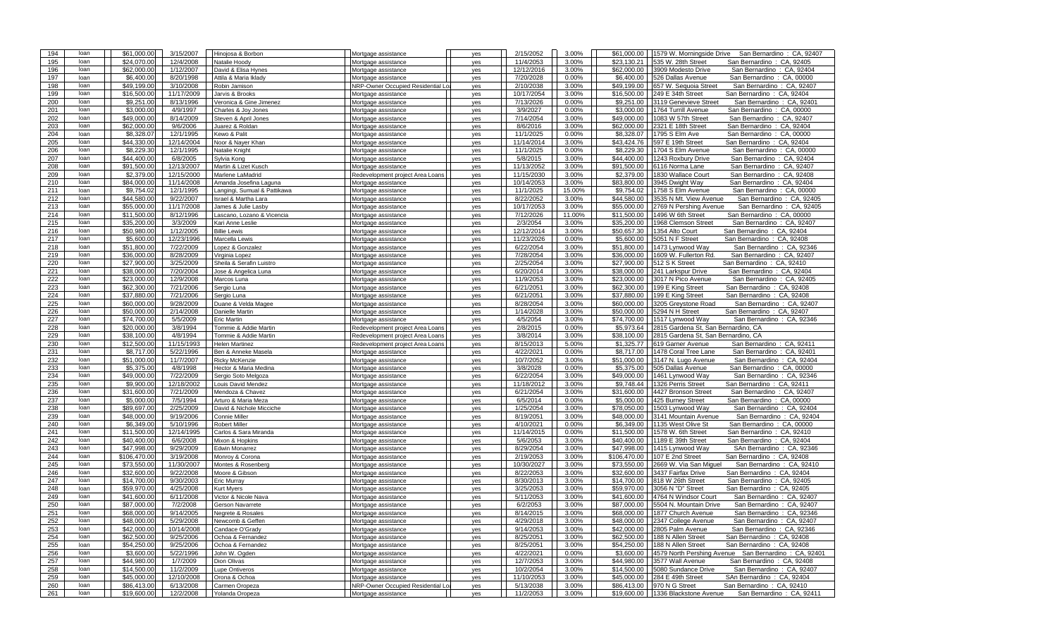| 194 | loan | \$61,000.00             | 3/15/2007  | Hinojosa & Borbon            | Mortgage assistance                                       | ves | 2/15/2052  | 3.00%  | \$61,000.00  | 1579 W. Morningside Drive<br>San Bernardino: CA, 92407  |
|-----|------|-------------------------|------------|------------------------------|-----------------------------------------------------------|-----|------------|--------|--------------|---------------------------------------------------------|
| 195 | loan | \$24,070.00             | 12/4/2008  | Natalie Hoody                | Mortgage assistance                                       | yes | 11/4/2053  | 3.00%  | \$23,130.21  | 535 W. 28th Street<br>San Bernardino: CA, 92405         |
| 196 | loan | \$62,000.00             | 1/12/2007  | David & Elisa Hynes          | Mortgage assistance                                       | yes | 12/12/2016 | 3.00%  | \$62,000.00  | 3909 Modesto Drive<br>San Bernardino: CA, 92404         |
| 197 | loan | \$6,400.00              | 8/20/1998  | Attila & Maria Iklady        | Mortgage assistance                                       | yes | 7/20/2028  | 0.00%  | \$6,400.00   | 526 Dallas Avenue<br>San Bernardino: CA, 00000          |
| 198 | loan | \$49,199.00             | 3/10/2008  | Robin Jamison                | NRP-Owner Occupied Residential Loa                        | yes | 2/10/2038  | 3.00%  | \$49,199.00  | San Bernardino: CA, 92407<br>657 W. Sequoia Street      |
| 199 | loan | \$16,500.00             | 11/17/2009 | Jarvis & Brooks              | Mortgage assistance                                       | ves | 10/17/2054 | 3.00%  | \$16,500.00  | 249 E 34th Street<br>San Bernardino: CA, 92404          |
| 200 | loan | \$9,251.00              | 8/13/1996  | Veronica & Gine Jimenez      | Mortgage assistance                                       | yes | 7/13/2026  | 0.00%  | \$9,251.00   | 3119 Genevieve Street<br>San Bernardino: CA, 92401      |
| 201 | loan | \$3,000.00              | 4/9/1997   | Charles & Joy Jones          | Mortgage assistance                                       | yes | 3/9/2027   | 0.00%  | \$3,000.00   | 1764 Turrill Avenue<br>San Bernardino: CA, 00000        |
| 202 | loan | \$49,000.00             | 8/14/2009  | Steven & April Jones         | Mortgage assistance                                       | yes | 7/14/2054  | 3.00%  | \$49,000.00  | 1083 W 57th Street<br>San Bernardino: CA, 92407         |
| 203 | loan | \$62,000.00             | 9/6/2006   | Juarez & Roldan              | Mortgage assistance                                       | yes | 8/6/2016   | 3.00%  | \$62,000.00  | 2321 E 18th Street<br>San Bernardino: CA, 92404         |
| 204 | loan | \$8.328.07              | 12/1/1995  | Kewo & Palit                 | Mortgage assistance                                       | ves | 11/1/2025  | 0.00%  | \$8.328.07   | 1795 S Elm Ave<br>San Bernardino:<br>CA. 00000          |
| 205 | loan | \$44,330.00             | 12/14/2004 | Noor & Nayer Khan            | Mortgage assistance                                       | yes | 11/14/2014 | 3.00%  | \$43,424.76  | 597 E 19th Street<br>San Bernardino: CA, 92404          |
| 206 | loan | \$8,229.30              | 12/1/1995  | Natalie Knight               | Mortgage assistance                                       | yes | 11/1/2025  | 0.00%  | \$8,229,30   | 1704 S Elm Avenue<br>San Bernardino<br>CA, 00000        |
| 207 | loan | \$44,400.00             | 6/8/2005   | Sylvia Kong                  | Mortgage assistance                                       | yes | 5/8/2015   | 3.00%  | \$44,400.00  | 1243 Roxbury Drive<br>San Bernardino: CA, 92404         |
| 208 | loan | \$91,500.00             | 12/13/2007 | Martin & Lizet Kusch         | Mortgage assistance                                       | yes | 11/13/2052 | 3.00%  | \$91,500.00  | 6116 Norma Lane<br>San Bernardino: CA, 92407            |
| 209 | loan | \$2,379.00              | 12/15/2000 | Marlene LaMadrid             | Redevelopment project Area Loans                          | yes | 11/15/2030 | 3.00%  | \$2,379.00   | 1830 Wallace Court<br>San Bernardino: CA, 92408         |
| 210 | loan | \$84,000.00             | 11/14/2008 | Amanda Josefina Laguna       | Mortgage assistance                                       | yes | 10/14/2053 | 3.00%  | \$83,800.00  | 3945 Dwight Way<br>San Bernardino: CA, 92404            |
| 211 | loan | \$9,754.02              | 12/1/1995  | Langingi, Sumual & Pattikawa | Mortgage assistance                                       | yes | 11/1/2025  | 15.00% | \$9,754.02   | 1758 S Elm Avenue<br>CA. 00000<br>San Bernardino:       |
| 212 | loan | \$44,580.00             | 9/22/2007  | Israel & Martha Lara         | Mortgage assistance                                       | yes | 8/22/2052  | 3.00%  | \$44,580.00  | 3535 N Mt. View Avenue<br>San Bernardino: CA, 92405     |
| 213 | loan | \$55,000.00             | 11/17/2008 | James & Julie Lasby          | Mortgage assistance                                       | yes | 10/17/2053 | 3.00%  | \$55,000.00  | San Bernardino: CA, 92405<br>2769 N Pershing Avenue     |
| 214 | loan | \$11,500.00             | 8/12/1996  | Lascano, Lozano & Vicencia   | Mortgage assistance                                       | yes | 7/12/2026  | 11.00% | \$11,500.00  | 1496 W 6th Street<br>San Bernardino: CA, 00000          |
| 215 | loan | \$35,200.00             | 3/3/2009   | Kari Anne Leslie             | Mortgage assistance                                       | ves | 2/3/2054   | 3.00%  | \$35,200.00  | 1968 Clemson Street<br>San Bernardino: CA, 92407        |
| 216 | loan | \$50,980.00             | 1/12/2005  | <b>Billie Lewis</b>          | Mortgage assistance                                       | yes | 12/12/2014 | 3.00%  | \$50,657.30  | 1354 Alto Court<br>San Bernardino: CA, 92404            |
| 217 | loan | \$5,600.00              | 12/23/1996 | Marcella Lewis               | Mortgage assistance                                       | yes | 11/23/2026 | 0.00%  | \$5,600.00   | 5051 N F Street<br>San Bernardino: CA, 92408            |
| 218 | loan | \$51,800.00             | 7/22/2009  | Lopez & Gonzalez             | Mortgage assistance                                       | yes | 6/22/2054  | 3.00%  | \$51,800.00  | 1473 Lynwood Way<br>San Bernardino: CA, 92346           |
| 219 | loan | \$36,000.00             | 8/28/2009  | Virginia Lopez               | Mortgage assistance                                       | yes | 7/28/2054  | 3.00%  | \$36,000.00  | 1609 W. Fullerton Rd.<br>San Bernardino: CA, 92407      |
| 220 | loan | \$27,900.00             | 3/25/2009  | Sheila & Serafin Luistro     | Mortgage assistance                                       | yes | 2/25/2054  | 3.00%  | \$27,900.00  | 512 S K Street<br>San Bernardino: CA, 92410             |
| 221 | loan | \$38,000.00             | 7/20/2004  | Jose & Angelica Luna         | Mortgage assistance                                       | yes | 6/20/2014  | 3.00%  | \$38,000.00  | San Bernardino: CA, 92404<br>241 Larkspur Drive         |
| 222 | loan | \$23,000.00             | 12/9/2008  | Marcos Luna                  | Mortgage assistance                                       | yes | 11/9/2053  | 3.00%  | \$23,000.00  | 3017 N Pico Avenue<br>San Bernardino:<br>CA, 92405      |
| 223 | loan | \$62,300.00             | 7/21/2006  | Sergio Luna                  | Mortgage assistance                                       | yes | 6/21/2051  | 3.00%  | \$62,300.00  | 199 E King Street<br>San Bernardino: CA, 92408          |
| 224 | loan | \$37,880.00             | 7/21/2006  | Sergio Luna                  | Mortgage assistance                                       | yes | 6/21/2051  | 3.00%  | \$37,880.00  | 199 E King Street<br>San Bernardino: CA, 92408          |
| 225 | loan | \$60,000.00             | 9/28/2009  | Duane & Velda Magee          | Mortgage assistance                                       | yes | 8/28/2054  | 3.00%  | \$60,000.00  | 3205 Greystone Road<br>San Bernardino: CA, 92407        |
| 226 | loan | \$50,000.00             | 2/14/2008  | Danielle Martin              | Mortgage assistance                                       | yes | 1/14/2028  | 3.00%  | \$50,000.00  | San Bernardino: CA, 92407<br>5294 N H Street            |
| 227 | loan | \$74,700.00             | 5/5/2009   | <b>Eric Martin</b>           | Mortgage assistance                                       | yes | 4/5/2054   | 3.00%  | \$74,700.00  | 1517 Lynwood Way<br>San Bernardino: CA, 92346           |
|     |      |                         |            |                              |                                                           |     |            |        |              |                                                         |
| 228 | loan | \$20,000.00             | 3/8/1994   | Tommie & Addie Martin        | Redevelopment project Area Loans                          | yes | 2/8/2015   | 0.00%  | \$5,973.64   | 2815 Gardena St, San Bernardino, CA                     |
| 229 | loan | \$38,100.00             | 4/8/1994   | Tommie & Addie Martin        | Redevelopment project Area Loans                          | yes | 3/8/2014   | 3.00%  | \$38,100.00  | 2815 Gardena St, San Bernardino, CA                     |
| 230 | loan | \$12,500.00             | 11/15/1993 | Helen Martinez               | Redevelopment project Area Loans                          | yes | 8/15/2013  | 5.00%  | \$1.325.77   | 619 Garner Avenue<br>San Bernardino: CA, 92411          |
| 231 | loan | \$8,717.00              | 5/22/1996  | Ben & Anneke Masela          | Mortgage assistance                                       | yes | 4/22/2021  | 0.00%  | \$8,717.00   | San Bernardino: CA, 92401<br>1478 Coral Tree Lane       |
| 232 | loan | \$51,000.00             | 11/7/2007  | <b>Ricky McKenzie</b>        | Mortgage assistance                                       | yes | 10/7/2052  | 3.00%  | \$51,000.00  | 3147 N. Lugo Avenue<br>San Bernardino: CA, 92404        |
| 233 | loan | \$5,375.00              | 4/8/1998   | Hector & Maria Medina        | Mortgage assistance                                       | yes | 3/8/2028   | 0.00%  | \$5,375.00   | 505 Dallas Avenue<br>San Bernardino: CA, 00000          |
| 234 | loan | \$49,000.00             | 7/22/2009  | Sergio Soto Melgoza          | Mortgage assistance                                       | yes | 6/22/2054  | 3.00%  | \$49,000.00  | 1461 Lynwood Way<br>San Bernardino: CA, 92346           |
| 235 | loan | \$9,900.00              | 12/18/2002 | ouis David Mendez            | Mortgage assistance                                       | ves | 11/18/2012 | 3.00%  | \$9,748.44   | 1326 Perris Street<br>San Bernardino: CA, 92411         |
| 236 | loan | $\overline{$31,600.00}$ | 7/21/2009  | Mendoza & Chavez             | Mortgage assistance                                       | yes | 6/21/2054  | 3.00%  | \$31,600.00  | San Bernardino: CA, 92407<br>4427 Bronson Street        |
| 237 | loan | \$5,000.00              | 7/5/1994   | Arturo & Maria Meza          | Mortgage assistance                                       | yes | 6/5/2014   | 0.00%  | \$5,000.00   | 425 Burney Street<br>San Bernardino:<br>CA, 00000       |
| 238 | loan | \$89,697.00             | 2/25/2009  | David & Nichole Micciche     | Mortgage assistance                                       | yes | 1/25/2054  | 3.00%  | \$78,050.00  | 1503 Lynwood Way<br>San Bernardino: CA, 92404           |
| 239 | loan | \$48,000.00             | 9/19/2006  | Connie Miller                | Mortgage assistance                                       | yes | 8/19/2051  | 3.00%  | \$48,000.00  | San Bernardino: CA, 92404<br>3141 Mountain Avenue       |
| 240 | loan | \$6.349.00              | 5/10/1996  | <b>Robert Miller</b>         | Mortgage assistance                                       | yes | 4/10/2021  | 0.00%  | \$6,349.00   | 1135 West Olive St<br>San Bernardino: CA, 00000         |
| 241 | loan | \$11,500.00             | 12/14/1995 | Carlos & Sara Miranda        | Mortgage assistance                                       | yes | 11/14/2015 | 0.00%  | \$11,500.00  | 1578 W. 6th Street<br>San Bernardino: CA, 92410         |
| 242 | loan | \$40,400.00             | 6/6/2008   | Mixon & Hopkins              | Mortgage assistance                                       | yes | 5/6/2053   | 3.00%  | \$40,400.00  | 1189 E 39th Street<br>San Bernardino: CA, 92404         |
| 243 | loan | \$47,998.00             | 9/29/2009  | Edwin Monarrez               | Mortgage assistance                                       | yes | 8/29/2054  | 3.00%  | \$47,998.00  | 1415 Lynwood Way<br>SAn Bernardino: CA, 92346           |
| 244 | loan | \$106,470.00            | 3/19/2008  | Monroy & Corona              | Mortgage assistance                                       | yes | 2/19/2053  | 3.00%  | \$106,470.00 | 107 E 2nd Street<br>San Bernardino: CA, 92408           |
| 245 | loan | \$73,550.00             | 11/30/2007 | Montes & Rosenberg           | Mortgage assistance                                       | yes | 10/30/2027 | 3.00%  | \$73,550.00  | 2669 W. Via San Miquel<br>San Bernardino: CA, 92410     |
| 246 | loan | \$32,600.00             | 9/22/2008  | Moore & Gibson               | Mortgage assistance                                       | yes | 8/22/2053  | 3.00%  | \$32,600.00  | 3437 Fairfax Drive<br>San Bernardino: CA, 92404         |
| 247 | loan | \$14,700.00             | 9/30/2003  | Eric Murray                  | Mortgage assistance                                       | yes | 8/30/2013  | 3.00%  | \$14,700.00  | CA, 92405<br>818 W 26th Street<br>San Bernardino:       |
| 248 | loan | \$59,970.00             | 4/25/2008  | Kurt Myers                   | Mortgage assistance                                       | yes | 3/25/2053  | 3.00%  | \$59,970.00  | 3056 N "D" Street<br>San Bernardino: CA, 92405          |
| 249 | loan | \$41,600.00             | 6/11/2008  | Victor & Nicole Nava         | Mortgage assistance                                       | yes | 5/11/2053  | 3.00%  | \$41,600.00  | 4764 N Windsor Court<br>San Bernardino: CA, 92407       |
| 250 | loan | \$87,000.00             | 7/2/2008   | Gerson Navarrete             | Mortgage assistance                                       | yes | 6/2/2053   | 3.00%  | \$87,000.00  | 5504 N. Mountain Drive<br>San Bernardino: CA, 92407     |
| 251 | loan | \$68,000.00             | 9/14/2005  | Negrete & Rosales            | Mortgage assistance                                       | yes | 8/14/2015  | 3.00%  | \$68,000.00  | 1877 Church Avenue<br>San Bernardino: CA, 92346         |
| 252 | loan | \$48,000.00             | 5/29/2008  | Newcomb & Geffen             | Mortgage assistance                                       | yes | 4/29/2018  | 3.00%  | \$48,000.00  | San Bernardino: CA, 92407<br>2347 College Avenue        |
| 253 | loan | \$42,000.00             | 10/14/2008 | Candace O'Grady              | Mortgage assistance                                       | yes | 9/14/2053  | 3.00%  | \$42,000.00  | San Bernardino: CA, 92346<br>2805 Palm Avenue           |
| 254 | loan | \$62,500.00             | 9/25/2006  | Ochoa & Fernandez            | Mortgage assistance                                       | yes | 8/25/2051  | 3.00%  | \$62,500.00  | San Bernardino: CA, 92408<br>188 N Allen Street         |
| 255 | loan | \$54,250.00             | 9/25/2006  | Ochoa & Fernandez            | Mortgage assistance                                       | yes | 8/25/2051  | 3.00%  | \$54,250.00  | 188 N Allen Street<br>San Bernardino: CA, 92408         |
| 256 | loan | \$3,600.00              | 5/22/1996  | John W. Ogden                | Mortgage assistance                                       | ves | 4/22/2021  | 0.00%  | \$3,600.00   | 4579 North Pershing Avenue<br>San Bernardino: CA, 92401 |
| 257 | loan | \$44,980.00             | 1/7/2009   | Dion Olivas                  | Mortgage assistance                                       | yes | 12/7/2053  | 3.00%  | \$44,980.00  | San Bernardino: CA, 92408<br>3577 Wall Avenue           |
| 258 | loan | \$14,500.00             | 11/2/2009  | Lupe Ontiveros               | Mortgage assistance                                       | yes | 10/2/2054  | 3.00%  | \$14,500.00  | 5080 Sundance Drive<br>San Bernardino: CA, 92407        |
| 259 | loan | \$45,000.00             | 12/10/2008 | Orona & Ochoa                | Mortgage assistance                                       | yes | 11/10/2053 | 3.00%  | \$45,000.00  | 284 E 49th Street<br>SAn Bernardino: CA, 92404          |
| 260 | loan | \$86,413.00             | 6/13/2008  | Carmen Oropeza               | NRP-Owner Occupied Residential Loa<br>Mortgage assistance | yes | 5/13/2038  | 3.00%  | \$86,413.00  | 970 N G Street<br>San Bernardino: CA, 92410             |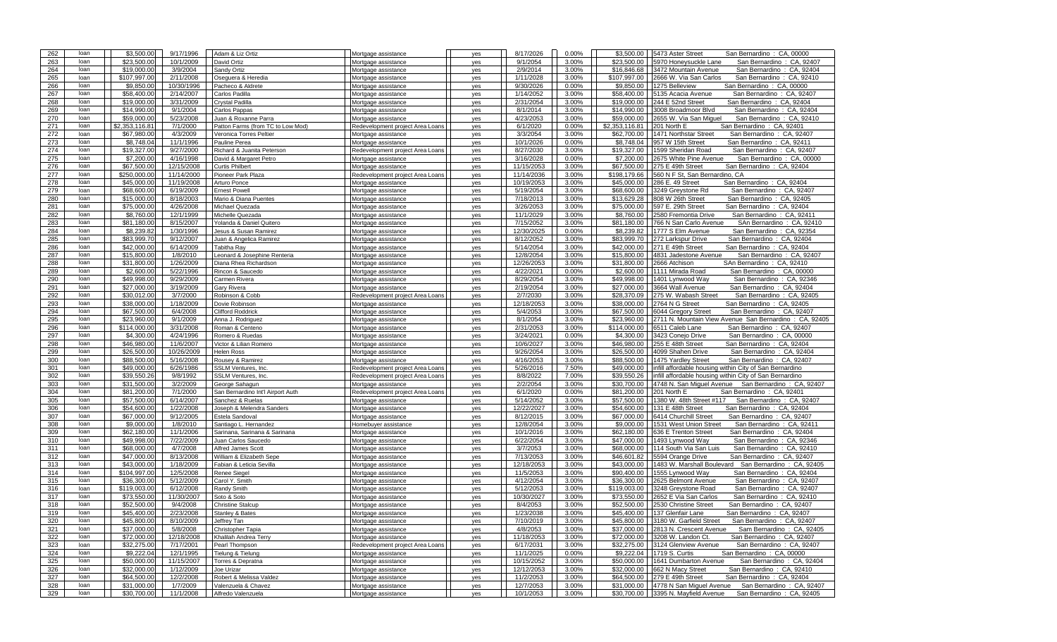| 263<br>\$23,500.00<br>10/1/2009<br>9/1/2054<br>3.00%<br>\$23,500.00<br>loan<br>5970 Honeysuckle Lane<br>San Bernardino: CA, 92407<br>David Ortiz<br>Mortgage assistance<br>yes<br>264<br>loan<br>\$19,000.00<br>3/9/2004<br>Sandy Ortiz<br>2/9/2014<br>3.00%<br>\$16,846.68<br>3472 Mountain Avenue<br>San Bernardino: CA, 92404<br>Mortgage assistance<br>yes<br>265<br>loan<br>\$107.997.00<br>2/11/2008<br>1/11/2028<br>3.00%<br>\$107.997.00<br>2666 W. Via San Carlos<br>San Bernardino: CA, 92410<br>Oseguera & Heredia<br>Mortgage assistance<br>yes<br>266<br>loan<br>\$9.850.00<br>10/30/1996<br>9/30/2026<br>0.00%<br>\$9,850.00<br>1275 Belleview<br>San Bernardino: CA, 00000<br>Pacheco & Aldrete<br>Mortgage assistance<br>yes<br>267<br>\$58,400.00<br>2/14/2007<br>1/14/2052<br>3.00%<br>\$58,400.00<br>5135 Acacia Avenue<br>loan<br>Carlos Padilla<br>Mortgage assistance<br>San Bernardino: CA, 92407<br>ves<br>3/31/2009<br>268<br>loan<br>\$19,000.00<br>2/31/2054<br>3.00%<br>\$19,000.00<br>244 E 52nd Street<br>San Bernardino: CA, 92404<br>Crystal Padilla<br>Mortgage assistance<br>yes<br>269<br>loan<br>\$14,990.00<br>9/1/2004<br>8/1/2014<br>3.00%<br>\$14,990.00<br>Carlos Pappas<br>Mortgage assistance<br>3008 Broadmoor Blvd<br>San Bernardino: CA, 92404<br>yes<br>270<br>loan<br>\$59,000.00<br>5/23/2008<br>4/23/2053<br>3.00%<br>\$59,000.00<br>2655 W. Via San Miquel<br>San Bernardino: CA, 92410<br>Juan & Roxanne Parra<br>Mortgage assistance<br>yes<br>271<br>loan<br>6/1/2020<br>0.00%<br>\$2,353,116.81<br>7/1/2000<br>\$2,353,116.81<br>201 North E<br>San Bernardino: CA, 92401<br>Patton Farms (from TC to Low Mod)<br>Redevelopment project Area Loans<br>yes<br>272<br>loan<br>\$67,980,00<br>4/3/2009<br>3/3/2054<br>3.00%<br>\$62,700.00<br>1471 Northstar Street<br>San Bernardino: CA, 92407<br>Veronica Torres Peltier<br>Mortgage assistance<br>ves<br>273<br>loan<br>\$8,748.04<br>11/1/1996<br>10/1/2026<br>0.00%<br>\$8,748.04<br>957 W 15th Street<br>San Bernardino: CA, 92411<br>Pauline Perea<br>Mortgage assistance<br>yes<br>274<br>\$19,327.00<br>9/27/2000<br>8/27/2030<br>loan<br>Richard & Juanita Peterson<br>Redevelopment project Area Loans<br>3.00%<br>\$19,327.00<br>1599 Sheridan Road<br>San Bernardino: CA, 92407<br>yes<br>275<br>loan<br>\$7,200.00<br>4/16/1998<br>David & Margaret Petro<br>Mortgage assistance<br>3/16/2028<br>0.00%<br>\$7,200.00<br>2675 White Pine Avenue<br>San Bernardino: CA, 00000<br>yes<br>276<br>\$67,500.00<br>11/15/2053<br>3.00%<br>\$67,500.00<br>275 E 49th Street<br>loan<br>12/15/2008<br>San Bernardino: CA, 92404<br><b>Curtis Philbert</b><br>Mortgage assistance<br>yes<br>277<br>loan<br>\$250,000.00<br>11/14/2000<br>Pioneer Park Plaza<br>11/14/2036<br>3.00%<br>\$198,179.66<br>560 N F St, San Bernardino, CA<br>Redevelopment project Area Loans<br>yes<br>278<br>loan<br>\$45,000.00<br>11/19/2008<br>Arturo Ponce<br>10/19/2053<br>3.00%<br>\$45,000.00<br>286 E. 49 Street<br>San Bernardino: CA, 92404<br>Mortgage assistance<br>yes<br>279<br>loan<br>\$68,600.00<br>6/19/2009<br>5/19/2054<br>3.00%<br>\$68,600.00<br>3249 Greystone Rd<br>San Bernardino: CA. 92407<br><b>Ernest Powell</b><br>Mortgage assistance<br>yes<br>280<br>\$15,000.00<br>8/18/2003<br>7/18/2013<br>3.00%<br>\$13,629.28<br>San Bernardino:<br>loan<br>Mario & Diana Puentes<br>Mortgage assistance<br>308 W 26th Street<br>CA. 92405<br>yes<br>281<br>loan<br>\$75,000.00<br>4/26/2008<br>3/26/2053<br>3.00%<br>\$75,000.00<br>597 E. 29th Street<br>San Bernardino: CA, 92404<br>Michael Quezada<br>Mortgage assistance<br>yes<br>282<br>loan<br>\$8,760.00<br>12/1/1999<br>Michelle Quezada<br>Mortgage assistance<br>11/1/2029<br>3.00%<br>\$8,760.00<br>2580 Fremontia Drive<br>San Bernardino: CA, 92411<br>yes<br>283<br>loan<br>\$81,180.00<br>8/15/2007<br>7/15/2052<br>3.00%<br>\$81,180.00<br>766 N San Carlo Avenue<br>SAn Bernardino: CA, 92410<br>Yolanda & Daniel Quitero<br>Mortgage assistance<br>yes<br>284<br>\$8,239.82<br>\$8,239.82<br>1/30/1996<br>12/30/2025<br>0.00%<br>1777 S Elm Avenue<br>San Bernardino: CA, 92354<br>loan<br>Jesus & Susan Ramirez<br>Mortgage assistance<br>yes<br>285<br>loan<br>\$83.999.70<br>9/12/2007<br>8/12/2052<br>3.00%<br>\$83,999.70<br>272 Larkspur Drive<br>San Bernardino: CA, 92404<br>Juan & Angelica Ramirez<br>Mortgage assistance<br>yes<br>286<br>\$42,000.00<br>6/14/2009<br>5/14/2054<br>3.00%<br>\$42,000.00<br>271 E 49th Street<br>San Bernardino: CA, 92404<br>loan<br>Tabitha Ray<br>Mortgage assistance<br>yes<br>287<br>loan<br>\$15,800.00<br>1/8/2010<br>Leonard & Josephine Renteria<br>12/8/2054<br>3.00%<br>\$15,800.00<br>4831 Jadestone Avenue<br>San Bernardino: CA, 92407<br>Mortgage assistance<br>yes<br>288<br>loan<br>\$31,800.00<br>1/26/2009<br>Diana Rhea Richardson<br>12/26/2053<br>3.00%<br>\$31,800.00<br>2666 Atchison<br>SAn Bernardino: CA, 92410<br>Mortgage assistance<br>yes<br>289<br>loan<br>\$2,600.00<br>5/22/1996<br>4/22/2021<br>0.00%<br>\$2,600.00<br>1111 Mirada Road<br>Rincon & Saucedo<br>San Bernardino: CA, 00000<br>Mortgage assistance<br>yes<br>290<br>loan<br>\$49,998.00<br>9/29/2009<br>8/29/2054<br>3.00%<br>\$49,998.00<br>1401 Lynwood Way<br>San Bernardino: CA, 92346<br>Carmen Rivera<br>Mortgage assistance<br>yes<br>loan<br>3.00%<br>\$27,000.00<br>291<br>\$27,000.00<br>3/19/2009<br>2/19/2054<br>3664 Wall Avenue<br>San Bernardino: CA, 92404<br>Gary Rivera<br>Mortgage assistance<br>yes<br>292<br>loan<br>\$30,012,00<br>3/7/2000<br>Robinson & Cobb<br>Redevelopment project Area Loans<br>2/7/2030<br>3.00%<br>\$28,370.09<br>275 W. Wabash Street<br>San Bernardino: CA, 92405<br>yes<br>293<br>loan<br>\$38,000.00<br>1/18/2009<br>12/18/2053<br>3.00%<br>\$38,000.00<br>2764 N G Street<br>San Bernardino: CA, 92405<br>Dovie Robinson<br>Mortgage assistance<br>yes<br>6/4/2008<br>294<br>\$67,500.00<br>5/4/2053<br>3.00%<br>\$67,500.00<br>loan<br><b>Clifford Roddrick</b><br>6044 Gregory Street<br>San Bernardino: CA, 92407<br>Mortgage assistance<br>yes<br>295<br>loan<br>\$23,960.00<br>9/1/2009<br>8/1/2054<br>3.00%<br>\$23,960.00<br>2711 N. Mountain View Avenue San Bernardino: CA, 92405<br>Anna J. Rodriguez<br>Mortgage assistance<br>yes<br>296<br>loan<br>\$114,000.00<br>3/31/2008<br>2/31/2053<br>3.00%<br>\$114.000.00<br>6511 Caleb Lane<br>San Bernardino: CA, 92407<br>Roman & Centeno<br>Mortgage assistance<br>yes<br>297<br>loan<br>\$4,300.00<br>3/24/2021<br>0.00%<br>4/24/1996<br>Romero & Ruedas<br>\$4,300.00<br>3423 Conejo Drive<br>San Bernardino: CA, 00000<br>Mortgage assistance<br>yes<br>298<br>\$46,980.00<br>11/6/2007<br>3.00%<br>\$46,980.00<br>255 E 48th Street<br>San Bernardino: CA, 92404<br>loan<br>Victor & Lilian Romero<br>Mortgage assistance<br>10/6/2027<br>yes<br>\$26,500.00<br>10/26/2009<br>299<br>loan<br>9/26/2054<br>3.00%<br>\$26,500.00<br>San Bernardino: CA, 92404<br><b>Helen Ross</b><br>4099 Shahen Drive<br>Mortgage assistance<br>yes<br>300<br>loan<br>\$88,500.00<br>5/16/2008<br>Rousey & Ramirez<br>4/16/2053<br>3.00%<br>\$88,500.00<br>1475 Yardley Street<br>San Bernardino: CA, 92407<br>Mortgage assistance<br>yes<br>301<br>loan<br>\$49,000.00<br>6/26/1986<br>SSLM Ventures, Inc.<br>5/26/2016<br>7.50%<br>\$49,000.00<br>infill affordable housing within City of San Bernardino<br>Redevelopment project Area Loans<br>yes<br>302<br>loan<br>\$39,550.26<br>9/8/1992<br>8/8/2022<br>7.00%<br>\$39,550.26<br>SSLM Ventures, Inc.<br>Redevelopment project Area Loans<br>infill affordable housing within City of San Bernardino<br>yes<br>303<br>\$31.500.00<br>3/2/2009<br>2/2/2054<br>3.00%<br>4748 N. San Miquel Avenue San Bernardino: CA, 92407<br>loan<br>George Sahagun<br>Mortgage assistance<br>\$30,700.00<br>VAS<br>304<br>loan<br>\$81,200.00<br>7/1/2000<br>6/1/2020<br>0.00%<br>\$81,200.00<br>201 North E<br>San Bernardino: CA, 92401<br>San Bernardino Int'l Airport Auth<br>Redevelopment project Area Loans<br>yes<br>\$57,500.00<br>305<br>loan<br>\$57,500.00<br>6/14/2007<br>5/14/2052<br>3.00%<br>1380 W. 48th Street #117<br>San Bernardino: CA, 92407<br>Sanchez & Ruelas<br>Mortgage assistance<br>yes<br>306<br>loan<br>\$54,600.00<br>1/22/2008<br>Joseph & Melendra Sanders<br>12/22/2027<br>3.00%<br>\$54,600.00<br>131 E 48th Street<br>San Bernardino: CA, 92404<br>Mortgage assistance<br>yes<br>loan<br>307<br>\$67,000.00<br>9/12/2005<br>8/12/2015<br>3.00%<br>\$67,000.00<br>6414 Churchill Street<br>San Bernardino: CA, 92407<br>Estela Sandoval<br>Mortgage assistance<br>yes<br>308<br>loan<br>\$9,000.00<br>1/8/2010<br>12/8/2054<br>3.00%<br>\$9,000.00<br>1531 West Union Street<br>San Bernardino: CA, 92411<br>Santiago L. Hernandez<br>Homebuyer assistance<br>yes<br>309<br>loan<br>\$62,180.00<br>11/1/2006<br>10/1/2016<br>3.00%<br>\$62,180.00<br>San Bernardino: CA, 92404<br>Sarinana, Sarinana & Sarinana<br>636 E Trenton Street<br>Mortgage assistance<br>yes<br>7/22/2009<br>\$49,998.00<br>6/22/2054<br>3.00%<br>\$47,000.00<br>310<br>loan<br>Juan Carlos Saucedo<br>Mortgage assistance<br>1493 Lynwood Way<br>San Bernardino: CA, 92346<br>yes<br>311<br>loan<br>\$68,000.00<br>4/7/2008<br>Alfred James Scott<br>3/7/2053<br>3.00%<br>\$68,000.00<br>114 South Via San Luis<br>San Bernardino: CA, 92410<br>Mortgage assistance<br>yes<br>312<br>loan<br>7/13/2053<br>3.00%<br>\$47,000.00<br>8/13/2008<br>William & Elizabeth Sepe<br>\$46,601.82<br>5594 Orange Drive<br>San Bernardino: CA, 92407<br>Mortgage assistance<br>yes<br>313<br>loan<br>\$43,000.00<br>1/18/2009<br>12/18/2053<br>3.00%<br>\$43,000.00<br>1483 W. Marshall Boulevard San Bernardino: CA, 92405<br>Fabian & Leticia Sevilla<br>Mortgage assistance<br>yes<br>314<br>loan<br>\$104,997.00<br>12/5/2008<br>11/5/2053<br>3.00%<br>\$90,400.00<br>San Bernardino: CA, 92404<br>1555 Lynwood Way<br>Renee Siegel<br>Mortgage assistance<br>yes<br>315<br>\$36,300.00<br>5/12/2009<br>4/12/2054<br>3.00%<br>\$36,300.00<br>loan<br>Carol Y. Smith<br>Mortgage assistance<br>2625 Belmont Avenue<br>San Bernardino: CA, 92407<br>yes<br>316<br>\$119,003.00<br>loan<br>6/12/2008<br>Randy Smith<br>5/12/2053<br>3.00%<br>\$119.003.00<br>3248 Greystone Road<br>San Bernardino: CA, 92407<br>Mortgage assistance<br>yes<br>317<br>loan<br>\$73,550.00<br>11/30/2007<br>10/30/2027<br>3.00%<br>\$73,550.00<br>2652 E Via San Carlos<br>San Bernardino: CA, 92410<br>Soto & Soto<br>Mortgage assistance<br>yes<br>318<br>loan<br>\$52,500.00<br>9/4/2008<br>8/4/2053<br>3.00%<br>\$52,500.00<br>2530 Christine Street<br>San Bernardino: CA, 92407<br><b>Christine Stalcup</b><br>Mortgage assistance<br>yes<br>319<br>loan<br>\$45,400.00<br>2/23/2008<br>1/23/2038<br>3.00%<br>\$45,400.00<br>137 Glenfair Lane<br>San Bernardino: CA, 92407<br>Stanley & Bates<br>Mortgage assistance<br>yes<br>\$45,800.00<br>3.00%<br>320<br>loan<br>8/10/2009<br>7/10/2019<br>\$45,800.00<br>3180 W. Garfield Street<br>San Bernardino: CA, 92407<br>Jeffrey Tan<br>Mortgage assistance<br>yes<br>321<br>\$37,000.00<br>5/8/2008<br>4/8/2053<br>3.00%<br>\$37,000.00<br>2813 N. Crescent Avenue<br>Sam Bernardino: CA, 92405<br>loan<br>Christopher Tapia<br>Mortgage assistance<br>yes<br>322<br>loan<br>\$72,000.00<br>12/18/2008<br>11/18/2053<br>3.00%<br>\$72,000.00<br>3208 W. Landon Ct.<br>San Bernardino: CA, 92407<br>Khalilah Andrea Terry<br>Mortgage assistance<br>yes<br>323<br>loan<br>\$32,275.00<br>7/17/2001<br>Pearl Thompson<br>Redevelopment project Area Loans<br>6/17/2031<br>3.00%<br>\$32,275.00<br>3124 Glenview Avenue<br>San Bernardino: CA, 92407<br>yes<br>324<br>loan<br>\$9,222.04<br>12/1/1995<br>11/1/2025<br>0.00%<br>\$9,222.04<br>1719 S. Curtis<br>San Bernardino: CA, 00000<br>Tielung & Tielung<br>Mortgage assistance<br>yes<br>325<br>\$50,000.00<br>11/15/2007<br>10/15/2052<br>\$50,000.00<br>loan<br>3.00%<br>San Bernardino: CA, 92404<br>Torres & Depratna<br>Mortgage assistance<br>yes<br>1641 Dumbarton Avenue<br>326<br>loan<br>\$32,000.00<br>1/12/2009<br>12/12/2053<br>\$32,000.00<br>Joe Urizar<br>Mortgage assistance<br>3.00%<br>662 N Macy Street<br>San Bernardino: CA, 92410<br>yes<br>327<br>loan<br>\$64,500.00<br>3.00%<br>\$64,500.00<br>12/2/2008<br>Robert & Melissa Valdez<br>11/2/2053<br>279 E 49th Street<br>San Bernardino: CA, 92404<br>Mortgage assistance<br>yes<br>328<br>loan<br>\$31,000.00<br>1/7/2009<br>Valenzuela & Chavez<br>Mortgage assistance<br>12/7/2053<br>3.00%<br>\$31,000.00<br>4778 N San Miquel Avenue<br>San Bernardino: CA, 92407<br>yes<br>329<br>loan<br>\$30,700.00<br>11/1/2008<br>Alfredo Valenzuela<br>10/1/2053<br>3.00%<br>\$30,700.00<br>3395 N. Mayfield Avenue<br>San Bernardino: CA, 92405<br>Mortgage assistance<br>yes | 262 | loan | \$3.500.00 | 9/17/1996 | Adam & Liz Ortiz | Mortgage assistance | yes | 8/17/2026 | 0.00% | \$3.500.00 | 5473 Aster Street<br>San Bernardino: CA, 00000 |
|-------------------------------------------------------------------------------------------------------------------------------------------------------------------------------------------------------------------------------------------------------------------------------------------------------------------------------------------------------------------------------------------------------------------------------------------------------------------------------------------------------------------------------------------------------------------------------------------------------------------------------------------------------------------------------------------------------------------------------------------------------------------------------------------------------------------------------------------------------------------------------------------------------------------------------------------------------------------------------------------------------------------------------------------------------------------------------------------------------------------------------------------------------------------------------------------------------------------------------------------------------------------------------------------------------------------------------------------------------------------------------------------------------------------------------------------------------------------------------------------------------------------------------------------------------------------------------------------------------------------------------------------------------------------------------------------------------------------------------------------------------------------------------------------------------------------------------------------------------------------------------------------------------------------------------------------------------------------------------------------------------------------------------------------------------------------------------------------------------------------------------------------------------------------------------------------------------------------------------------------------------------------------------------------------------------------------------------------------------------------------------------------------------------------------------------------------------------------------------------------------------------------------------------------------------------------------------------------------------------------------------------------------------------------------------------------------------------------------------------------------------------------------------------------------------------------------------------------------------------------------------------------------------------------------------------------------------------------------------------------------------------------------------------------------------------------------------------------------------------------------------------------------------------------------------------------------------------------------------------------------------------------------------------------------------------------------------------------------------------------------------------------------------------------------------------------------------------------------------------------------------------------------------------------------------------------------------------------------------------------------------------------------------------------------------------------------------------------------------------------------------------------------------------------------------------------------------------------------------------------------------------------------------------------------------------------------------------------------------------------------------------------------------------------------------------------------------------------------------------------------------------------------------------------------------------------------------------------------------------------------------------------------------------------------------------------------------------------------------------------------------------------------------------------------------------------------------------------------------------------------------------------------------------------------------------------------------------------------------------------------------------------------------------------------------------------------------------------------------------------------------------------------------------------------------------------------------------------------------------------------------------------------------------------------------------------------------------------------------------------------------------------------------------------------------------------------------------------------------------------------------------------------------------------------------------------------------------------------------------------------------------------------------------------------------------------------------------------------------------------------------------------------------------------------------------------------------------------------------------------------------------------------------------------------------------------------------------------------------------------------------------------------------------------------------------------------------------------------------------------------------------------------------------------------------------------------------------------------------------------------------------------------------------------------------------------------------------------------------------------------------------------------------------------------------------------------------------------------------------------------------------------------------------------------------------------------------------------------------------------------------------------------------------------------------------------------------------------------------------------------------------------------------------------------------------------------------------------------------------------------------------------------------------------------------------------------------------------------------------------------------------------------------------------------------------------------------------------------------------------------------------------------------------------------------------------------------------------------------------------------------------------------------------------------------------------------------------------------------------------------------------------------------------------------------------------------------------------------------------------------------------------------------------------------------------------------------------------------------------------------------------------------------------------------------------------------------------------------------------------------------------------------------------------------------------------------------------------------------------------------------------------------------------------------------------------------------------------------------------------------------------------------------------------------------------------------------------------------------------------------------------------------------------------------------------------------------------------------------------------------------------------------------------------------------------------------------------------------------------------------------------------------------------------------------------------------------------------------------------------------------------------------------------------------------------------------------------------------------------------------------------------------------------------------------------------------------------------------------------------------------------------------------------------------------------------------------------------------------------------------------------------------------------------------------------------------------------------------------------------------------------------------------------------------------------------------------------------------------------------------------------------------------------------------------------------------------------------------------------------------------------------------------------------------------------------------------------------------------------------------------------------------------------------------------------------------------------------------------------------------------------------------------------------------------------------------------------------------------------------------------------------------------------------------------------------------------------------------------------------------------------------------------------------------------------------------------------------------------------------------------------------------------------------------------------------------------------------------------------------------------------------------------------------------------------------------------------------------------------------------------------------------------------------------------------------------------------------------------------------------------------------------------------------------------------------------------------------------------------------------------------------------------------------------------------------------------------------------------------------------------------------------------------------------------------------------------------------------------------------------------------------------------------------------------------------------------------------------------------------------------------------------------------------------------------------------------------------------------------------------------------------------------------------------------------------------------------------------------------------------------------------------------------------------------------------------------------------------------------------------------------------------------------------------------------------------------------------------------------------------------------------------------------------------------------------------------------------------------------------------------------------------------------------------------------------------------------------------------------------------------------------------------------------------------------------------------------------------------------------------------------------------------------------------------------------------------------------------------------------------------------------------------------------------------------------------------------------------------------------------------------------------------------------------------------------------------------------------------------------------------------------------------------------------------------------------------------------------------------------------------------------------------------------------------------------------------------------------------------------------------------------------------------------------------------------------------------------------------------------------------------------------------------------------------------------------------------------------------------------------------------------------------------------------------------------------------------------------------------------------------------------------------------------------------------------------------------------------------------------------------------------------------------------------------------------------------------------------------------------------------------------------------------------------------------------------------------------------------------------------------------------------------------------------------------------------------------------------------------------------------------------------------------------------------------------------------------------------------------------------------------------------------------------|-----|------|------------|-----------|------------------|---------------------|-----|-----------|-------|------------|------------------------------------------------|
|                                                                                                                                                                                                                                                                                                                                                                                                                                                                                                                                                                                                                                                                                                                                                                                                                                                                                                                                                                                                                                                                                                                                                                                                                                                                                                                                                                                                                                                                                                                                                                                                                                                                                                                                                                                                                                                                                                                                                                                                                                                                                                                                                                                                                                                                                                                                                                                                                                                                                                                                                                                                                                                                                                                                                                                                                                                                                                                                                                                                                                                                                                                                                                                                                                                                                                                                                                                                                                                                                                                                                                                                                                                                                                                                                                                                                                                                                                                                                                                                                                                                                                                                                                                                                                                                                                                                                                                                                                                                                                                                                                                                                                                                                                                                                                                                                                                                                                                                                                                                                                                                                                                                                                                                                                                                                                                                                                                                                                                                                                                                                                                                                                                                                                                                                                                                                                                                                                                                                                                                                                                                                                                                                                                                                                                                                                                                                                                                                                                                                                                                                                                                                                                                                                                                                                                                                                                                                                                                                                                                                                                                                                                                                                                                                                                                                                                                                                                                                                                                                                                                                                                                                                                                                                                                                                                                                                                                                                                                                                                                                                                                                                                                                                                                                                                                                                                                                                                                                                                                                                                                                                                                                                                                                                                                                                                                                                                                                                                                                                                                                                                                                                                                                                                                                                                                                                                                                                                                                                                                                                                                                                                                                                                                                                                                                                                                                                                                                                                                                                                                                                                                                                                                                                                                                                                                                                                                                                                                                                                                                                                                                                                                                                                                                                                                                                                                                                                                                                                                                                                                                                                                                                                                                                                                                                                                                                                                                                                                                                                                                                                                                                                                                                                                                                                                                                                                                                                                                                                                                                                                                                                                                                                                                                                                                                                                                                                                                                                                                                                                                                                                                                                                                                                                                                                                                                                                                                                                                                                   |     |      |            |           |                  |                     |     |           |       |            |                                                |
|                                                                                                                                                                                                                                                                                                                                                                                                                                                                                                                                                                                                                                                                                                                                                                                                                                                                                                                                                                                                                                                                                                                                                                                                                                                                                                                                                                                                                                                                                                                                                                                                                                                                                                                                                                                                                                                                                                                                                                                                                                                                                                                                                                                                                                                                                                                                                                                                                                                                                                                                                                                                                                                                                                                                                                                                                                                                                                                                                                                                                                                                                                                                                                                                                                                                                                                                                                                                                                                                                                                                                                                                                                                                                                                                                                                                                                                                                                                                                                                                                                                                                                                                                                                                                                                                                                                                                                                                                                                                                                                                                                                                                                                                                                                                                                                                                                                                                                                                                                                                                                                                                                                                                                                                                                                                                                                                                                                                                                                                                                                                                                                                                                                                                                                                                                                                                                                                                                                                                                                                                                                                                                                                                                                                                                                                                                                                                                                                                                                                                                                                                                                                                                                                                                                                                                                                                                                                                                                                                                                                                                                                                                                                                                                                                                                                                                                                                                                                                                                                                                                                                                                                                                                                                                                                                                                                                                                                                                                                                                                                                                                                                                                                                                                                                                                                                                                                                                                                                                                                                                                                                                                                                                                                                                                                                                                                                                                                                                                                                                                                                                                                                                                                                                                                                                                                                                                                                                                                                                                                                                                                                                                                                                                                                                                                                                                                                                                                                                                                                                                                                                                                                                                                                                                                                                                                                                                                                                                                                                                                                                                                                                                                                                                                                                                                                                                                                                                                                                                                                                                                                                                                                                                                                                                                                                                                                                                                                                                                                                                                                                                                                                                                                                                                                                                                                                                                                                                                                                                                                                                                                                                                                                                                                                                                                                                                                                                                                                                                                                                                                                                                                                                                                                                                                                                                                                                                                                                                                                                   |     |      |            |           |                  |                     |     |           |       |            |                                                |
|                                                                                                                                                                                                                                                                                                                                                                                                                                                                                                                                                                                                                                                                                                                                                                                                                                                                                                                                                                                                                                                                                                                                                                                                                                                                                                                                                                                                                                                                                                                                                                                                                                                                                                                                                                                                                                                                                                                                                                                                                                                                                                                                                                                                                                                                                                                                                                                                                                                                                                                                                                                                                                                                                                                                                                                                                                                                                                                                                                                                                                                                                                                                                                                                                                                                                                                                                                                                                                                                                                                                                                                                                                                                                                                                                                                                                                                                                                                                                                                                                                                                                                                                                                                                                                                                                                                                                                                                                                                                                                                                                                                                                                                                                                                                                                                                                                                                                                                                                                                                                                                                                                                                                                                                                                                                                                                                                                                                                                                                                                                                                                                                                                                                                                                                                                                                                                                                                                                                                                                                                                                                                                                                                                                                                                                                                                                                                                                                                                                                                                                                                                                                                                                                                                                                                                                                                                                                                                                                                                                                                                                                                                                                                                                                                                                                                                                                                                                                                                                                                                                                                                                                                                                                                                                                                                                                                                                                                                                                                                                                                                                                                                                                                                                                                                                                                                                                                                                                                                                                                                                                                                                                                                                                                                                                                                                                                                                                                                                                                                                                                                                                                                                                                                                                                                                                                                                                                                                                                                                                                                                                                                                                                                                                                                                                                                                                                                                                                                                                                                                                                                                                                                                                                                                                                                                                                                                                                                                                                                                                                                                                                                                                                                                                                                                                                                                                                                                                                                                                                                                                                                                                                                                                                                                                                                                                                                                                                                                                                                                                                                                                                                                                                                                                                                                                                                                                                                                                                                                                                                                                                                                                                                                                                                                                                                                                                                                                                                                                                                                                                                                                                                                                                                                                                                                                                                                                                                                                                                                   |     |      |            |           |                  |                     |     |           |       |            |                                                |
|                                                                                                                                                                                                                                                                                                                                                                                                                                                                                                                                                                                                                                                                                                                                                                                                                                                                                                                                                                                                                                                                                                                                                                                                                                                                                                                                                                                                                                                                                                                                                                                                                                                                                                                                                                                                                                                                                                                                                                                                                                                                                                                                                                                                                                                                                                                                                                                                                                                                                                                                                                                                                                                                                                                                                                                                                                                                                                                                                                                                                                                                                                                                                                                                                                                                                                                                                                                                                                                                                                                                                                                                                                                                                                                                                                                                                                                                                                                                                                                                                                                                                                                                                                                                                                                                                                                                                                                                                                                                                                                                                                                                                                                                                                                                                                                                                                                                                                                                                                                                                                                                                                                                                                                                                                                                                                                                                                                                                                                                                                                                                                                                                                                                                                                                                                                                                                                                                                                                                                                                                                                                                                                                                                                                                                                                                                                                                                                                                                                                                                                                                                                                                                                                                                                                                                                                                                                                                                                                                                                                                                                                                                                                                                                                                                                                                                                                                                                                                                                                                                                                                                                                                                                                                                                                                                                                                                                                                                                                                                                                                                                                                                                                                                                                                                                                                                                                                                                                                                                                                                                                                                                                                                                                                                                                                                                                                                                                                                                                                                                                                                                                                                                                                                                                                                                                                                                                                                                                                                                                                                                                                                                                                                                                                                                                                                                                                                                                                                                                                                                                                                                                                                                                                                                                                                                                                                                                                                                                                                                                                                                                                                                                                                                                                                                                                                                                                                                                                                                                                                                                                                                                                                                                                                                                                                                                                                                                                                                                                                                                                                                                                                                                                                                                                                                                                                                                                                                                                                                                                                                                                                                                                                                                                                                                                                                                                                                                                                                                                                                                                                                                                                                                                                                                                                                                                                                                                                                                                                                   |     |      |            |           |                  |                     |     |           |       |            |                                                |
|                                                                                                                                                                                                                                                                                                                                                                                                                                                                                                                                                                                                                                                                                                                                                                                                                                                                                                                                                                                                                                                                                                                                                                                                                                                                                                                                                                                                                                                                                                                                                                                                                                                                                                                                                                                                                                                                                                                                                                                                                                                                                                                                                                                                                                                                                                                                                                                                                                                                                                                                                                                                                                                                                                                                                                                                                                                                                                                                                                                                                                                                                                                                                                                                                                                                                                                                                                                                                                                                                                                                                                                                                                                                                                                                                                                                                                                                                                                                                                                                                                                                                                                                                                                                                                                                                                                                                                                                                                                                                                                                                                                                                                                                                                                                                                                                                                                                                                                                                                                                                                                                                                                                                                                                                                                                                                                                                                                                                                                                                                                                                                                                                                                                                                                                                                                                                                                                                                                                                                                                                                                                                                                                                                                                                                                                                                                                                                                                                                                                                                                                                                                                                                                                                                                                                                                                                                                                                                                                                                                                                                                                                                                                                                                                                                                                                                                                                                                                                                                                                                                                                                                                                                                                                                                                                                                                                                                                                                                                                                                                                                                                                                                                                                                                                                                                                                                                                                                                                                                                                                                                                                                                                                                                                                                                                                                                                                                                                                                                                                                                                                                                                                                                                                                                                                                                                                                                                                                                                                                                                                                                                                                                                                                                                                                                                                                                                                                                                                                                                                                                                                                                                                                                                                                                                                                                                                                                                                                                                                                                                                                                                                                                                                                                                                                                                                                                                                                                                                                                                                                                                                                                                                                                                                                                                                                                                                                                                                                                                                                                                                                                                                                                                                                                                                                                                                                                                                                                                                                                                                                                                                                                                                                                                                                                                                                                                                                                                                                                                                                                                                                                                                                                                                                                                                                                                                                                                                                                                                                   |     |      |            |           |                  |                     |     |           |       |            |                                                |
|                                                                                                                                                                                                                                                                                                                                                                                                                                                                                                                                                                                                                                                                                                                                                                                                                                                                                                                                                                                                                                                                                                                                                                                                                                                                                                                                                                                                                                                                                                                                                                                                                                                                                                                                                                                                                                                                                                                                                                                                                                                                                                                                                                                                                                                                                                                                                                                                                                                                                                                                                                                                                                                                                                                                                                                                                                                                                                                                                                                                                                                                                                                                                                                                                                                                                                                                                                                                                                                                                                                                                                                                                                                                                                                                                                                                                                                                                                                                                                                                                                                                                                                                                                                                                                                                                                                                                                                                                                                                                                                                                                                                                                                                                                                                                                                                                                                                                                                                                                                                                                                                                                                                                                                                                                                                                                                                                                                                                                                                                                                                                                                                                                                                                                                                                                                                                                                                                                                                                                                                                                                                                                                                                                                                                                                                                                                                                                                                                                                                                                                                                                                                                                                                                                                                                                                                                                                                                                                                                                                                                                                                                                                                                                                                                                                                                                                                                                                                                                                                                                                                                                                                                                                                                                                                                                                                                                                                                                                                                                                                                                                                                                                                                                                                                                                                                                                                                                                                                                                                                                                                                                                                                                                                                                                                                                                                                                                                                                                                                                                                                                                                                                                                                                                                                                                                                                                                                                                                                                                                                                                                                                                                                                                                                                                                                                                                                                                                                                                                                                                                                                                                                                                                                                                                                                                                                                                                                                                                                                                                                                                                                                                                                                                                                                                                                                                                                                                                                                                                                                                                                                                                                                                                                                                                                                                                                                                                                                                                                                                                                                                                                                                                                                                                                                                                                                                                                                                                                                                                                                                                                                                                                                                                                                                                                                                                                                                                                                                                                                                                                                                                                                                                                                                                                                                                                                                                                                                                                                                   |     |      |            |           |                  |                     |     |           |       |            |                                                |
|                                                                                                                                                                                                                                                                                                                                                                                                                                                                                                                                                                                                                                                                                                                                                                                                                                                                                                                                                                                                                                                                                                                                                                                                                                                                                                                                                                                                                                                                                                                                                                                                                                                                                                                                                                                                                                                                                                                                                                                                                                                                                                                                                                                                                                                                                                                                                                                                                                                                                                                                                                                                                                                                                                                                                                                                                                                                                                                                                                                                                                                                                                                                                                                                                                                                                                                                                                                                                                                                                                                                                                                                                                                                                                                                                                                                                                                                                                                                                                                                                                                                                                                                                                                                                                                                                                                                                                                                                                                                                                                                                                                                                                                                                                                                                                                                                                                                                                                                                                                                                                                                                                                                                                                                                                                                                                                                                                                                                                                                                                                                                                                                                                                                                                                                                                                                                                                                                                                                                                                                                                                                                                                                                                                                                                                                                                                                                                                                                                                                                                                                                                                                                                                                                                                                                                                                                                                                                                                                                                                                                                                                                                                                                                                                                                                                                                                                                                                                                                                                                                                                                                                                                                                                                                                                                                                                                                                                                                                                                                                                                                                                                                                                                                                                                                                                                                                                                                                                                                                                                                                                                                                                                                                                                                                                                                                                                                                                                                                                                                                                                                                                                                                                                                                                                                                                                                                                                                                                                                                                                                                                                                                                                                                                                                                                                                                                                                                                                                                                                                                                                                                                                                                                                                                                                                                                                                                                                                                                                                                                                                                                                                                                                                                                                                                                                                                                                                                                                                                                                                                                                                                                                                                                                                                                                                                                                                                                                                                                                                                                                                                                                                                                                                                                                                                                                                                                                                                                                                                                                                                                                                                                                                                                                                                                                                                                                                                                                                                                                                                                                                                                                                                                                                                                                                                                                                                                                                                                                                                   |     |      |            |           |                  |                     |     |           |       |            |                                                |
|                                                                                                                                                                                                                                                                                                                                                                                                                                                                                                                                                                                                                                                                                                                                                                                                                                                                                                                                                                                                                                                                                                                                                                                                                                                                                                                                                                                                                                                                                                                                                                                                                                                                                                                                                                                                                                                                                                                                                                                                                                                                                                                                                                                                                                                                                                                                                                                                                                                                                                                                                                                                                                                                                                                                                                                                                                                                                                                                                                                                                                                                                                                                                                                                                                                                                                                                                                                                                                                                                                                                                                                                                                                                                                                                                                                                                                                                                                                                                                                                                                                                                                                                                                                                                                                                                                                                                                                                                                                                                                                                                                                                                                                                                                                                                                                                                                                                                                                                                                                                                                                                                                                                                                                                                                                                                                                                                                                                                                                                                                                                                                                                                                                                                                                                                                                                                                                                                                                                                                                                                                                                                                                                                                                                                                                                                                                                                                                                                                                                                                                                                                                                                                                                                                                                                                                                                                                                                                                                                                                                                                                                                                                                                                                                                                                                                                                                                                                                                                                                                                                                                                                                                                                                                                                                                                                                                                                                                                                                                                                                                                                                                                                                                                                                                                                                                                                                                                                                                                                                                                                                                                                                                                                                                                                                                                                                                                                                                                                                                                                                                                                                                                                                                                                                                                                                                                                                                                                                                                                                                                                                                                                                                                                                                                                                                                                                                                                                                                                                                                                                                                                                                                                                                                                                                                                                                                                                                                                                                                                                                                                                                                                                                                                                                                                                                                                                                                                                                                                                                                                                                                                                                                                                                                                                                                                                                                                                                                                                                                                                                                                                                                                                                                                                                                                                                                                                                                                                                                                                                                                                                                                                                                                                                                                                                                                                                                                                                                                                                                                                                                                                                                                                                                                                                                                                                                                                                                                                                                                   |     |      |            |           |                  |                     |     |           |       |            |                                                |
|                                                                                                                                                                                                                                                                                                                                                                                                                                                                                                                                                                                                                                                                                                                                                                                                                                                                                                                                                                                                                                                                                                                                                                                                                                                                                                                                                                                                                                                                                                                                                                                                                                                                                                                                                                                                                                                                                                                                                                                                                                                                                                                                                                                                                                                                                                                                                                                                                                                                                                                                                                                                                                                                                                                                                                                                                                                                                                                                                                                                                                                                                                                                                                                                                                                                                                                                                                                                                                                                                                                                                                                                                                                                                                                                                                                                                                                                                                                                                                                                                                                                                                                                                                                                                                                                                                                                                                                                                                                                                                                                                                                                                                                                                                                                                                                                                                                                                                                                                                                                                                                                                                                                                                                                                                                                                                                                                                                                                                                                                                                                                                                                                                                                                                                                                                                                                                                                                                                                                                                                                                                                                                                                                                                                                                                                                                                                                                                                                                                                                                                                                                                                                                                                                                                                                                                                                                                                                                                                                                                                                                                                                                                                                                                                                                                                                                                                                                                                                                                                                                                                                                                                                                                                                                                                                                                                                                                                                                                                                                                                                                                                                                                                                                                                                                                                                                                                                                                                                                                                                                                                                                                                                                                                                                                                                                                                                                                                                                                                                                                                                                                                                                                                                                                                                                                                                                                                                                                                                                                                                                                                                                                                                                                                                                                                                                                                                                                                                                                                                                                                                                                                                                                                                                                                                                                                                                                                                                                                                                                                                                                                                                                                                                                                                                                                                                                                                                                                                                                                                                                                                                                                                                                                                                                                                                                                                                                                                                                                                                                                                                                                                                                                                                                                                                                                                                                                                                                                                                                                                                                                                                                                                                                                                                                                                                                                                                                                                                                                                                                                                                                                                                                                                                                                                                                                                                                                                                                                                                                   |     |      |            |           |                  |                     |     |           |       |            |                                                |
|                                                                                                                                                                                                                                                                                                                                                                                                                                                                                                                                                                                                                                                                                                                                                                                                                                                                                                                                                                                                                                                                                                                                                                                                                                                                                                                                                                                                                                                                                                                                                                                                                                                                                                                                                                                                                                                                                                                                                                                                                                                                                                                                                                                                                                                                                                                                                                                                                                                                                                                                                                                                                                                                                                                                                                                                                                                                                                                                                                                                                                                                                                                                                                                                                                                                                                                                                                                                                                                                                                                                                                                                                                                                                                                                                                                                                                                                                                                                                                                                                                                                                                                                                                                                                                                                                                                                                                                                                                                                                                                                                                                                                                                                                                                                                                                                                                                                                                                                                                                                                                                                                                                                                                                                                                                                                                                                                                                                                                                                                                                                                                                                                                                                                                                                                                                                                                                                                                                                                                                                                                                                                                                                                                                                                                                                                                                                                                                                                                                                                                                                                                                                                                                                                                                                                                                                                                                                                                                                                                                                                                                                                                                                                                                                                                                                                                                                                                                                                                                                                                                                                                                                                                                                                                                                                                                                                                                                                                                                                                                                                                                                                                                                                                                                                                                                                                                                                                                                                                                                                                                                                                                                                                                                                                                                                                                                                                                                                                                                                                                                                                                                                                                                                                                                                                                                                                                                                                                                                                                                                                                                                                                                                                                                                                                                                                                                                                                                                                                                                                                                                                                                                                                                                                                                                                                                                                                                                                                                                                                                                                                                                                                                                                                                                                                                                                                                                                                                                                                                                                                                                                                                                                                                                                                                                                                                                                                                                                                                                                                                                                                                                                                                                                                                                                                                                                                                                                                                                                                                                                                                                                                                                                                                                                                                                                                                                                                                                                                                                                                                                                                                                                                                                                                                                                                                                                                                                                                                                                                   |     |      |            |           |                  |                     |     |           |       |            |                                                |
|                                                                                                                                                                                                                                                                                                                                                                                                                                                                                                                                                                                                                                                                                                                                                                                                                                                                                                                                                                                                                                                                                                                                                                                                                                                                                                                                                                                                                                                                                                                                                                                                                                                                                                                                                                                                                                                                                                                                                                                                                                                                                                                                                                                                                                                                                                                                                                                                                                                                                                                                                                                                                                                                                                                                                                                                                                                                                                                                                                                                                                                                                                                                                                                                                                                                                                                                                                                                                                                                                                                                                                                                                                                                                                                                                                                                                                                                                                                                                                                                                                                                                                                                                                                                                                                                                                                                                                                                                                                                                                                                                                                                                                                                                                                                                                                                                                                                                                                                                                                                                                                                                                                                                                                                                                                                                                                                                                                                                                                                                                                                                                                                                                                                                                                                                                                                                                                                                                                                                                                                                                                                                                                                                                                                                                                                                                                                                                                                                                                                                                                                                                                                                                                                                                                                                                                                                                                                                                                                                                                                                                                                                                                                                                                                                                                                                                                                                                                                                                                                                                                                                                                                                                                                                                                                                                                                                                                                                                                                                                                                                                                                                                                                                                                                                                                                                                                                                                                                                                                                                                                                                                                                                                                                                                                                                                                                                                                                                                                                                                                                                                                                                                                                                                                                                                                                                                                                                                                                                                                                                                                                                                                                                                                                                                                                                                                                                                                                                                                                                                                                                                                                                                                                                                                                                                                                                                                                                                                                                                                                                                                                                                                                                                                                                                                                                                                                                                                                                                                                                                                                                                                                                                                                                                                                                                                                                                                                                                                                                                                                                                                                                                                                                                                                                                                                                                                                                                                                                                                                                                                                                                                                                                                                                                                                                                                                                                                                                                                                                                                                                                                                                                                                                                                                                                                                                                                                                                                                                                                   |     |      |            |           |                  |                     |     |           |       |            |                                                |
|                                                                                                                                                                                                                                                                                                                                                                                                                                                                                                                                                                                                                                                                                                                                                                                                                                                                                                                                                                                                                                                                                                                                                                                                                                                                                                                                                                                                                                                                                                                                                                                                                                                                                                                                                                                                                                                                                                                                                                                                                                                                                                                                                                                                                                                                                                                                                                                                                                                                                                                                                                                                                                                                                                                                                                                                                                                                                                                                                                                                                                                                                                                                                                                                                                                                                                                                                                                                                                                                                                                                                                                                                                                                                                                                                                                                                                                                                                                                                                                                                                                                                                                                                                                                                                                                                                                                                                                                                                                                                                                                                                                                                                                                                                                                                                                                                                                                                                                                                                                                                                                                                                                                                                                                                                                                                                                                                                                                                                                                                                                                                                                                                                                                                                                                                                                                                                                                                                                                                                                                                                                                                                                                                                                                                                                                                                                                                                                                                                                                                                                                                                                                                                                                                                                                                                                                                                                                                                                                                                                                                                                                                                                                                                                                                                                                                                                                                                                                                                                                                                                                                                                                                                                                                                                                                                                                                                                                                                                                                                                                                                                                                                                                                                                                                                                                                                                                                                                                                                                                                                                                                                                                                                                                                                                                                                                                                                                                                                                                                                                                                                                                                                                                                                                                                                                                                                                                                                                                                                                                                                                                                                                                                                                                                                                                                                                                                                                                                                                                                                                                                                                                                                                                                                                                                                                                                                                                                                                                                                                                                                                                                                                                                                                                                                                                                                                                                                                                                                                                                                                                                                                                                                                                                                                                                                                                                                                                                                                                                                                                                                                                                                                                                                                                                                                                                                                                                                                                                                                                                                                                                                                                                                                                                                                                                                                                                                                                                                                                                                                                                                                                                                                                                                                                                                                                                                                                                                                                                                                   |     |      |            |           |                  |                     |     |           |       |            |                                                |
|                                                                                                                                                                                                                                                                                                                                                                                                                                                                                                                                                                                                                                                                                                                                                                                                                                                                                                                                                                                                                                                                                                                                                                                                                                                                                                                                                                                                                                                                                                                                                                                                                                                                                                                                                                                                                                                                                                                                                                                                                                                                                                                                                                                                                                                                                                                                                                                                                                                                                                                                                                                                                                                                                                                                                                                                                                                                                                                                                                                                                                                                                                                                                                                                                                                                                                                                                                                                                                                                                                                                                                                                                                                                                                                                                                                                                                                                                                                                                                                                                                                                                                                                                                                                                                                                                                                                                                                                                                                                                                                                                                                                                                                                                                                                                                                                                                                                                                                                                                                                                                                                                                                                                                                                                                                                                                                                                                                                                                                                                                                                                                                                                                                                                                                                                                                                                                                                                                                                                                                                                                                                                                                                                                                                                                                                                                                                                                                                                                                                                                                                                                                                                                                                                                                                                                                                                                                                                                                                                                                                                                                                                                                                                                                                                                                                                                                                                                                                                                                                                                                                                                                                                                                                                                                                                                                                                                                                                                                                                                                                                                                                                                                                                                                                                                                                                                                                                                                                                                                                                                                                                                                                                                                                                                                                                                                                                                                                                                                                                                                                                                                                                                                                                                                                                                                                                                                                                                                                                                                                                                                                                                                                                                                                                                                                                                                                                                                                                                                                                                                                                                                                                                                                                                                                                                                                                                                                                                                                                                                                                                                                                                                                                                                                                                                                                                                                                                                                                                                                                                                                                                                                                                                                                                                                                                                                                                                                                                                                                                                                                                                                                                                                                                                                                                                                                                                                                                                                                                                                                                                                                                                                                                                                                                                                                                                                                                                                                                                                                                                                                                                                                                                                                                                                                                                                                                                                                                                                                                                   |     |      |            |           |                  |                     |     |           |       |            |                                                |
|                                                                                                                                                                                                                                                                                                                                                                                                                                                                                                                                                                                                                                                                                                                                                                                                                                                                                                                                                                                                                                                                                                                                                                                                                                                                                                                                                                                                                                                                                                                                                                                                                                                                                                                                                                                                                                                                                                                                                                                                                                                                                                                                                                                                                                                                                                                                                                                                                                                                                                                                                                                                                                                                                                                                                                                                                                                                                                                                                                                                                                                                                                                                                                                                                                                                                                                                                                                                                                                                                                                                                                                                                                                                                                                                                                                                                                                                                                                                                                                                                                                                                                                                                                                                                                                                                                                                                                                                                                                                                                                                                                                                                                                                                                                                                                                                                                                                                                                                                                                                                                                                                                                                                                                                                                                                                                                                                                                                                                                                                                                                                                                                                                                                                                                                                                                                                                                                                                                                                                                                                                                                                                                                                                                                                                                                                                                                                                                                                                                                                                                                                                                                                                                                                                                                                                                                                                                                                                                                                                                                                                                                                                                                                                                                                                                                                                                                                                                                                                                                                                                                                                                                                                                                                                                                                                                                                                                                                                                                                                                                                                                                                                                                                                                                                                                                                                                                                                                                                                                                                                                                                                                                                                                                                                                                                                                                                                                                                                                                                                                                                                                                                                                                                                                                                                                                                                                                                                                                                                                                                                                                                                                                                                                                                                                                                                                                                                                                                                                                                                                                                                                                                                                                                                                                                                                                                                                                                                                                                                                                                                                                                                                                                                                                                                                                                                                                                                                                                                                                                                                                                                                                                                                                                                                                                                                                                                                                                                                                                                                                                                                                                                                                                                                                                                                                                                                                                                                                                                                                                                                                                                                                                                                                                                                                                                                                                                                                                                                                                                                                                                                                                                                                                                                                                                                                                                                                                                                                                                                   |     |      |            |           |                  |                     |     |           |       |            |                                                |
|                                                                                                                                                                                                                                                                                                                                                                                                                                                                                                                                                                                                                                                                                                                                                                                                                                                                                                                                                                                                                                                                                                                                                                                                                                                                                                                                                                                                                                                                                                                                                                                                                                                                                                                                                                                                                                                                                                                                                                                                                                                                                                                                                                                                                                                                                                                                                                                                                                                                                                                                                                                                                                                                                                                                                                                                                                                                                                                                                                                                                                                                                                                                                                                                                                                                                                                                                                                                                                                                                                                                                                                                                                                                                                                                                                                                                                                                                                                                                                                                                                                                                                                                                                                                                                                                                                                                                                                                                                                                                                                                                                                                                                                                                                                                                                                                                                                                                                                                                                                                                                                                                                                                                                                                                                                                                                                                                                                                                                                                                                                                                                                                                                                                                                                                                                                                                                                                                                                                                                                                                                                                                                                                                                                                                                                                                                                                                                                                                                                                                                                                                                                                                                                                                                                                                                                                                                                                                                                                                                                                                                                                                                                                                                                                                                                                                                                                                                                                                                                                                                                                                                                                                                                                                                                                                                                                                                                                                                                                                                                                                                                                                                                                                                                                                                                                                                                                                                                                                                                                                                                                                                                                                                                                                                                                                                                                                                                                                                                                                                                                                                                                                                                                                                                                                                                                                                                                                                                                                                                                                                                                                                                                                                                                                                                                                                                                                                                                                                                                                                                                                                                                                                                                                                                                                                                                                                                                                                                                                                                                                                                                                                                                                                                                                                                                                                                                                                                                                                                                                                                                                                                                                                                                                                                                                                                                                                                                                                                                                                                                                                                                                                                                                                                                                                                                                                                                                                                                                                                                                                                                                                                                                                                                                                                                                                                                                                                                                                                                                                                                                                                                                                                                                                                                                                                                                                                                                                                                                                                   |     |      |            |           |                  |                     |     |           |       |            |                                                |
|                                                                                                                                                                                                                                                                                                                                                                                                                                                                                                                                                                                                                                                                                                                                                                                                                                                                                                                                                                                                                                                                                                                                                                                                                                                                                                                                                                                                                                                                                                                                                                                                                                                                                                                                                                                                                                                                                                                                                                                                                                                                                                                                                                                                                                                                                                                                                                                                                                                                                                                                                                                                                                                                                                                                                                                                                                                                                                                                                                                                                                                                                                                                                                                                                                                                                                                                                                                                                                                                                                                                                                                                                                                                                                                                                                                                                                                                                                                                                                                                                                                                                                                                                                                                                                                                                                                                                                                                                                                                                                                                                                                                                                                                                                                                                                                                                                                                                                                                                                                                                                                                                                                                                                                                                                                                                                                                                                                                                                                                                                                                                                                                                                                                                                                                                                                                                                                                                                                                                                                                                                                                                                                                                                                                                                                                                                                                                                                                                                                                                                                                                                                                                                                                                                                                                                                                                                                                                                                                                                                                                                                                                                                                                                                                                                                                                                                                                                                                                                                                                                                                                                                                                                                                                                                                                                                                                                                                                                                                                                                                                                                                                                                                                                                                                                                                                                                                                                                                                                                                                                                                                                                                                                                                                                                                                                                                                                                                                                                                                                                                                                                                                                                                                                                                                                                                                                                                                                                                                                                                                                                                                                                                                                                                                                                                                                                                                                                                                                                                                                                                                                                                                                                                                                                                                                                                                                                                                                                                                                                                                                                                                                                                                                                                                                                                                                                                                                                                                                                                                                                                                                                                                                                                                                                                                                                                                                                                                                                                                                                                                                                                                                                                                                                                                                                                                                                                                                                                                                                                                                                                                                                                                                                                                                                                                                                                                                                                                                                                                                                                                                                                                                                                                                                                                                                                                                                                                                                                                                                   |     |      |            |           |                  |                     |     |           |       |            |                                                |
|                                                                                                                                                                                                                                                                                                                                                                                                                                                                                                                                                                                                                                                                                                                                                                                                                                                                                                                                                                                                                                                                                                                                                                                                                                                                                                                                                                                                                                                                                                                                                                                                                                                                                                                                                                                                                                                                                                                                                                                                                                                                                                                                                                                                                                                                                                                                                                                                                                                                                                                                                                                                                                                                                                                                                                                                                                                                                                                                                                                                                                                                                                                                                                                                                                                                                                                                                                                                                                                                                                                                                                                                                                                                                                                                                                                                                                                                                                                                                                                                                                                                                                                                                                                                                                                                                                                                                                                                                                                                                                                                                                                                                                                                                                                                                                                                                                                                                                                                                                                                                                                                                                                                                                                                                                                                                                                                                                                                                                                                                                                                                                                                                                                                                                                                                                                                                                                                                                                                                                                                                                                                                                                                                                                                                                                                                                                                                                                                                                                                                                                                                                                                                                                                                                                                                                                                                                                                                                                                                                                                                                                                                                                                                                                                                                                                                                                                                                                                                                                                                                                                                                                                                                                                                                                                                                                                                                                                                                                                                                                                                                                                                                                                                                                                                                                                                                                                                                                                                                                                                                                                                                                                                                                                                                                                                                                                                                                                                                                                                                                                                                                                                                                                                                                                                                                                                                                                                                                                                                                                                                                                                                                                                                                                                                                                                                                                                                                                                                                                                                                                                                                                                                                                                                                                                                                                                                                                                                                                                                                                                                                                                                                                                                                                                                                                                                                                                                                                                                                                                                                                                                                                                                                                                                                                                                                                                                                                                                                                                                                                                                                                                                                                                                                                                                                                                                                                                                                                                                                                                                                                                                                                                                                                                                                                                                                                                                                                                                                                                                                                                                                                                                                                                                                                                                                                                                                                                                                                                                                   |     |      |            |           |                  |                     |     |           |       |            |                                                |
|                                                                                                                                                                                                                                                                                                                                                                                                                                                                                                                                                                                                                                                                                                                                                                                                                                                                                                                                                                                                                                                                                                                                                                                                                                                                                                                                                                                                                                                                                                                                                                                                                                                                                                                                                                                                                                                                                                                                                                                                                                                                                                                                                                                                                                                                                                                                                                                                                                                                                                                                                                                                                                                                                                                                                                                                                                                                                                                                                                                                                                                                                                                                                                                                                                                                                                                                                                                                                                                                                                                                                                                                                                                                                                                                                                                                                                                                                                                                                                                                                                                                                                                                                                                                                                                                                                                                                                                                                                                                                                                                                                                                                                                                                                                                                                                                                                                                                                                                                                                                                                                                                                                                                                                                                                                                                                                                                                                                                                                                                                                                                                                                                                                                                                                                                                                                                                                                                                                                                                                                                                                                                                                                                                                                                                                                                                                                                                                                                                                                                                                                                                                                                                                                                                                                                                                                                                                                                                                                                                                                                                                                                                                                                                                                                                                                                                                                                                                                                                                                                                                                                                                                                                                                                                                                                                                                                                                                                                                                                                                                                                                                                                                                                                                                                                                                                                                                                                                                                                                                                                                                                                                                                                                                                                                                                                                                                                                                                                                                                                                                                                                                                                                                                                                                                                                                                                                                                                                                                                                                                                                                                                                                                                                                                                                                                                                                                                                                                                                                                                                                                                                                                                                                                                                                                                                                                                                                                                                                                                                                                                                                                                                                                                                                                                                                                                                                                                                                                                                                                                                                                                                                                                                                                                                                                                                                                                                                                                                                                                                                                                                                                                                                                                                                                                                                                                                                                                                                                                                                                                                                                                                                                                                                                                                                                                                                                                                                                                                                                                                                                                                                                                                                                                                                                                                                                                                                                                                                                                                   |     |      |            |           |                  |                     |     |           |       |            |                                                |
|                                                                                                                                                                                                                                                                                                                                                                                                                                                                                                                                                                                                                                                                                                                                                                                                                                                                                                                                                                                                                                                                                                                                                                                                                                                                                                                                                                                                                                                                                                                                                                                                                                                                                                                                                                                                                                                                                                                                                                                                                                                                                                                                                                                                                                                                                                                                                                                                                                                                                                                                                                                                                                                                                                                                                                                                                                                                                                                                                                                                                                                                                                                                                                                                                                                                                                                                                                                                                                                                                                                                                                                                                                                                                                                                                                                                                                                                                                                                                                                                                                                                                                                                                                                                                                                                                                                                                                                                                                                                                                                                                                                                                                                                                                                                                                                                                                                                                                                                                                                                                                                                                                                                                                                                                                                                                                                                                                                                                                                                                                                                                                                                                                                                                                                                                                                                                                                                                                                                                                                                                                                                                                                                                                                                                                                                                                                                                                                                                                                                                                                                                                                                                                                                                                                                                                                                                                                                                                                                                                                                                                                                                                                                                                                                                                                                                                                                                                                                                                                                                                                                                                                                                                                                                                                                                                                                                                                                                                                                                                                                                                                                                                                                                                                                                                                                                                                                                                                                                                                                                                                                                                                                                                                                                                                                                                                                                                                                                                                                                                                                                                                                                                                                                                                                                                                                                                                                                                                                                                                                                                                                                                                                                                                                                                                                                                                                                                                                                                                                                                                                                                                                                                                                                                                                                                                                                                                                                                                                                                                                                                                                                                                                                                                                                                                                                                                                                                                                                                                                                                                                                                                                                                                                                                                                                                                                                                                                                                                                                                                                                                                                                                                                                                                                                                                                                                                                                                                                                                                                                                                                                                                                                                                                                                                                                                                                                                                                                                                                                                                                                                                                                                                                                                                                                                                                                                                                                                                                                                                   |     |      |            |           |                  |                     |     |           |       |            |                                                |
|                                                                                                                                                                                                                                                                                                                                                                                                                                                                                                                                                                                                                                                                                                                                                                                                                                                                                                                                                                                                                                                                                                                                                                                                                                                                                                                                                                                                                                                                                                                                                                                                                                                                                                                                                                                                                                                                                                                                                                                                                                                                                                                                                                                                                                                                                                                                                                                                                                                                                                                                                                                                                                                                                                                                                                                                                                                                                                                                                                                                                                                                                                                                                                                                                                                                                                                                                                                                                                                                                                                                                                                                                                                                                                                                                                                                                                                                                                                                                                                                                                                                                                                                                                                                                                                                                                                                                                                                                                                                                                                                                                                                                                                                                                                                                                                                                                                                                                                                                                                                                                                                                                                                                                                                                                                                                                                                                                                                                                                                                                                                                                                                                                                                                                                                                                                                                                                                                                                                                                                                                                                                                                                                                                                                                                                                                                                                                                                                                                                                                                                                                                                                                                                                                                                                                                                                                                                                                                                                                                                                                                                                                                                                                                                                                                                                                                                                                                                                                                                                                                                                                                                                                                                                                                                                                                                                                                                                                                                                                                                                                                                                                                                                                                                                                                                                                                                                                                                                                                                                                                                                                                                                                                                                                                                                                                                                                                                                                                                                                                                                                                                                                                                                                                                                                                                                                                                                                                                                                                                                                                                                                                                                                                                                                                                                                                                                                                                                                                                                                                                                                                                                                                                                                                                                                                                                                                                                                                                                                                                                                                                                                                                                                                                                                                                                                                                                                                                                                                                                                                                                                                                                                                                                                                                                                                                                                                                                                                                                                                                                                                                                                                                                                                                                                                                                                                                                                                                                                                                                                                                                                                                                                                                                                                                                                                                                                                                                                                                                                                                                                                                                                                                                                                                                                                                                                                                                                                                                                                                   |     |      |            |           |                  |                     |     |           |       |            |                                                |
|                                                                                                                                                                                                                                                                                                                                                                                                                                                                                                                                                                                                                                                                                                                                                                                                                                                                                                                                                                                                                                                                                                                                                                                                                                                                                                                                                                                                                                                                                                                                                                                                                                                                                                                                                                                                                                                                                                                                                                                                                                                                                                                                                                                                                                                                                                                                                                                                                                                                                                                                                                                                                                                                                                                                                                                                                                                                                                                                                                                                                                                                                                                                                                                                                                                                                                                                                                                                                                                                                                                                                                                                                                                                                                                                                                                                                                                                                                                                                                                                                                                                                                                                                                                                                                                                                                                                                                                                                                                                                                                                                                                                                                                                                                                                                                                                                                                                                                                                                                                                                                                                                                                                                                                                                                                                                                                                                                                                                                                                                                                                                                                                                                                                                                                                                                                                                                                                                                                                                                                                                                                                                                                                                                                                                                                                                                                                                                                                                                                                                                                                                                                                                                                                                                                                                                                                                                                                                                                                                                                                                                                                                                                                                                                                                                                                                                                                                                                                                                                                                                                                                                                                                                                                                                                                                                                                                                                                                                                                                                                                                                                                                                                                                                                                                                                                                                                                                                                                                                                                                                                                                                                                                                                                                                                                                                                                                                                                                                                                                                                                                                                                                                                                                                                                                                                                                                                                                                                                                                                                                                                                                                                                                                                                                                                                                                                                                                                                                                                                                                                                                                                                                                                                                                                                                                                                                                                                                                                                                                                                                                                                                                                                                                                                                                                                                                                                                                                                                                                                                                                                                                                                                                                                                                                                                                                                                                                                                                                                                                                                                                                                                                                                                                                                                                                                                                                                                                                                                                                                                                                                                                                                                                                                                                                                                                                                                                                                                                                                                                                                                                                                                                                                                                                                                                                                                                                                                                                                                                                   |     |      |            |           |                  |                     |     |           |       |            |                                                |
|                                                                                                                                                                                                                                                                                                                                                                                                                                                                                                                                                                                                                                                                                                                                                                                                                                                                                                                                                                                                                                                                                                                                                                                                                                                                                                                                                                                                                                                                                                                                                                                                                                                                                                                                                                                                                                                                                                                                                                                                                                                                                                                                                                                                                                                                                                                                                                                                                                                                                                                                                                                                                                                                                                                                                                                                                                                                                                                                                                                                                                                                                                                                                                                                                                                                                                                                                                                                                                                                                                                                                                                                                                                                                                                                                                                                                                                                                                                                                                                                                                                                                                                                                                                                                                                                                                                                                                                                                                                                                                                                                                                                                                                                                                                                                                                                                                                                                                                                                                                                                                                                                                                                                                                                                                                                                                                                                                                                                                                                                                                                                                                                                                                                                                                                                                                                                                                                                                                                                                                                                                                                                                                                                                                                                                                                                                                                                                                                                                                                                                                                                                                                                                                                                                                                                                                                                                                                                                                                                                                                                                                                                                                                                                                                                                                                                                                                                                                                                                                                                                                                                                                                                                                                                                                                                                                                                                                                                                                                                                                                                                                                                                                                                                                                                                                                                                                                                                                                                                                                                                                                                                                                                                                                                                                                                                                                                                                                                                                                                                                                                                                                                                                                                                                                                                                                                                                                                                                                                                                                                                                                                                                                                                                                                                                                                                                                                                                                                                                                                                                                                                                                                                                                                                                                                                                                                                                                                                                                                                                                                                                                                                                                                                                                                                                                                                                                                                                                                                                                                                                                                                                                                                                                                                                                                                                                                                                                                                                                                                                                                                                                                                                                                                                                                                                                                                                                                                                                                                                                                                                                                                                                                                                                                                                                                                                                                                                                                                                                                                                                                                                                                                                                                                                                                                                                                                                                                                                                                                                   |     |      |            |           |                  |                     |     |           |       |            |                                                |
|                                                                                                                                                                                                                                                                                                                                                                                                                                                                                                                                                                                                                                                                                                                                                                                                                                                                                                                                                                                                                                                                                                                                                                                                                                                                                                                                                                                                                                                                                                                                                                                                                                                                                                                                                                                                                                                                                                                                                                                                                                                                                                                                                                                                                                                                                                                                                                                                                                                                                                                                                                                                                                                                                                                                                                                                                                                                                                                                                                                                                                                                                                                                                                                                                                                                                                                                                                                                                                                                                                                                                                                                                                                                                                                                                                                                                                                                                                                                                                                                                                                                                                                                                                                                                                                                                                                                                                                                                                                                                                                                                                                                                                                                                                                                                                                                                                                                                                                                                                                                                                                                                                                                                                                                                                                                                                                                                                                                                                                                                                                                                                                                                                                                                                                                                                                                                                                                                                                                                                                                                                                                                                                                                                                                                                                                                                                                                                                                                                                                                                                                                                                                                                                                                                                                                                                                                                                                                                                                                                                                                                                                                                                                                                                                                                                                                                                                                                                                                                                                                                                                                                                                                                                                                                                                                                                                                                                                                                                                                                                                                                                                                                                                                                                                                                                                                                                                                                                                                                                                                                                                                                                                                                                                                                                                                                                                                                                                                                                                                                                                                                                                                                                                                                                                                                                                                                                                                                                                                                                                                                                                                                                                                                                                                                                                                                                                                                                                                                                                                                                                                                                                                                                                                                                                                                                                                                                                                                                                                                                                                                                                                                                                                                                                                                                                                                                                                                                                                                                                                                                                                                                                                                                                                                                                                                                                                                                                                                                                                                                                                                                                                                                                                                                                                                                                                                                                                                                                                                                                                                                                                                                                                                                                                                                                                                                                                                                                                                                                                                                                                                                                                                                                                                                                                                                                                                                                                                                                                                                   |     |      |            |           |                  |                     |     |           |       |            |                                                |
|                                                                                                                                                                                                                                                                                                                                                                                                                                                                                                                                                                                                                                                                                                                                                                                                                                                                                                                                                                                                                                                                                                                                                                                                                                                                                                                                                                                                                                                                                                                                                                                                                                                                                                                                                                                                                                                                                                                                                                                                                                                                                                                                                                                                                                                                                                                                                                                                                                                                                                                                                                                                                                                                                                                                                                                                                                                                                                                                                                                                                                                                                                                                                                                                                                                                                                                                                                                                                                                                                                                                                                                                                                                                                                                                                                                                                                                                                                                                                                                                                                                                                                                                                                                                                                                                                                                                                                                                                                                                                                                                                                                                                                                                                                                                                                                                                                                                                                                                                                                                                                                                                                                                                                                                                                                                                                                                                                                                                                                                                                                                                                                                                                                                                                                                                                                                                                                                                                                                                                                                                                                                                                                                                                                                                                                                                                                                                                                                                                                                                                                                                                                                                                                                                                                                                                                                                                                                                                                                                                                                                                                                                                                                                                                                                                                                                                                                                                                                                                                                                                                                                                                                                                                                                                                                                                                                                                                                                                                                                                                                                                                                                                                                                                                                                                                                                                                                                                                                                                                                                                                                                                                                                                                                                                                                                                                                                                                                                                                                                                                                                                                                                                                                                                                                                                                                                                                                                                                                                                                                                                                                                                                                                                                                                                                                                                                                                                                                                                                                                                                                                                                                                                                                                                                                                                                                                                                                                                                                                                                                                                                                                                                                                                                                                                                                                                                                                                                                                                                                                                                                                                                                                                                                                                                                                                                                                                                                                                                                                                                                                                                                                                                                                                                                                                                                                                                                                                                                                                                                                                                                                                                                                                                                                                                                                                                                                                                                                                                                                                                                                                                                                                                                                                                                                                                                                                                                                                                                                                                   |     |      |            |           |                  |                     |     |           |       |            |                                                |
|                                                                                                                                                                                                                                                                                                                                                                                                                                                                                                                                                                                                                                                                                                                                                                                                                                                                                                                                                                                                                                                                                                                                                                                                                                                                                                                                                                                                                                                                                                                                                                                                                                                                                                                                                                                                                                                                                                                                                                                                                                                                                                                                                                                                                                                                                                                                                                                                                                                                                                                                                                                                                                                                                                                                                                                                                                                                                                                                                                                                                                                                                                                                                                                                                                                                                                                                                                                                                                                                                                                                                                                                                                                                                                                                                                                                                                                                                                                                                                                                                                                                                                                                                                                                                                                                                                                                                                                                                                                                                                                                                                                                                                                                                                                                                                                                                                                                                                                                                                                                                                                                                                                                                                                                                                                                                                                                                                                                                                                                                                                                                                                                                                                                                                                                                                                                                                                                                                                                                                                                                                                                                                                                                                                                                                                                                                                                                                                                                                                                                                                                                                                                                                                                                                                                                                                                                                                                                                                                                                                                                                                                                                                                                                                                                                                                                                                                                                                                                                                                                                                                                                                                                                                                                                                                                                                                                                                                                                                                                                                                                                                                                                                                                                                                                                                                                                                                                                                                                                                                                                                                                                                                                                                                                                                                                                                                                                                                                                                                                                                                                                                                                                                                                                                                                                                                                                                                                                                                                                                                                                                                                                                                                                                                                                                                                                                                                                                                                                                                                                                                                                                                                                                                                                                                                                                                                                                                                                                                                                                                                                                                                                                                                                                                                                                                                                                                                                                                                                                                                                                                                                                                                                                                                                                                                                                                                                                                                                                                                                                                                                                                                                                                                                                                                                                                                                                                                                                                                                                                                                                                                                                                                                                                                                                                                                                                                                                                                                                                                                                                                                                                                                                                                                                                                                                                                                                                                                                                                                                   |     |      |            |           |                  |                     |     |           |       |            |                                                |
|                                                                                                                                                                                                                                                                                                                                                                                                                                                                                                                                                                                                                                                                                                                                                                                                                                                                                                                                                                                                                                                                                                                                                                                                                                                                                                                                                                                                                                                                                                                                                                                                                                                                                                                                                                                                                                                                                                                                                                                                                                                                                                                                                                                                                                                                                                                                                                                                                                                                                                                                                                                                                                                                                                                                                                                                                                                                                                                                                                                                                                                                                                                                                                                                                                                                                                                                                                                                                                                                                                                                                                                                                                                                                                                                                                                                                                                                                                                                                                                                                                                                                                                                                                                                                                                                                                                                                                                                                                                                                                                                                                                                                                                                                                                                                                                                                                                                                                                                                                                                                                                                                                                                                                                                                                                                                                                                                                                                                                                                                                                                                                                                                                                                                                                                                                                                                                                                                                                                                                                                                                                                                                                                                                                                                                                                                                                                                                                                                                                                                                                                                                                                                                                                                                                                                                                                                                                                                                                                                                                                                                                                                                                                                                                                                                                                                                                                                                                                                                                                                                                                                                                                                                                                                                                                                                                                                                                                                                                                                                                                                                                                                                                                                                                                                                                                                                                                                                                                                                                                                                                                                                                                                                                                                                                                                                                                                                                                                                                                                                                                                                                                                                                                                                                                                                                                                                                                                                                                                                                                                                                                                                                                                                                                                                                                                                                                                                                                                                                                                                                                                                                                                                                                                                                                                                                                                                                                                                                                                                                                                                                                                                                                                                                                                                                                                                                                                                                                                                                                                                                                                                                                                                                                                                                                                                                                                                                                                                                                                                                                                                                                                                                                                                                                                                                                                                                                                                                                                                                                                                                                                                                                                                                                                                                                                                                                                                                                                                                                                                                                                                                                                                                                                                                                                                                                                                                                                                                                                                                   |     |      |            |           |                  |                     |     |           |       |            |                                                |
|                                                                                                                                                                                                                                                                                                                                                                                                                                                                                                                                                                                                                                                                                                                                                                                                                                                                                                                                                                                                                                                                                                                                                                                                                                                                                                                                                                                                                                                                                                                                                                                                                                                                                                                                                                                                                                                                                                                                                                                                                                                                                                                                                                                                                                                                                                                                                                                                                                                                                                                                                                                                                                                                                                                                                                                                                                                                                                                                                                                                                                                                                                                                                                                                                                                                                                                                                                                                                                                                                                                                                                                                                                                                                                                                                                                                                                                                                                                                                                                                                                                                                                                                                                                                                                                                                                                                                                                                                                                                                                                                                                                                                                                                                                                                                                                                                                                                                                                                                                                                                                                                                                                                                                                                                                                                                                                                                                                                                                                                                                                                                                                                                                                                                                                                                                                                                                                                                                                                                                                                                                                                                                                                                                                                                                                                                                                                                                                                                                                                                                                                                                                                                                                                                                                                                                                                                                                                                                                                                                                                                                                                                                                                                                                                                                                                                                                                                                                                                                                                                                                                                                                                                                                                                                                                                                                                                                                                                                                                                                                                                                                                                                                                                                                                                                                                                                                                                                                                                                                                                                                                                                                                                                                                                                                                                                                                                                                                                                                                                                                                                                                                                                                                                                                                                                                                                                                                                                                                                                                                                                                                                                                                                                                                                                                                                                                                                                                                                                                                                                                                                                                                                                                                                                                                                                                                                                                                                                                                                                                                                                                                                                                                                                                                                                                                                                                                                                                                                                                                                                                                                                                                                                                                                                                                                                                                                                                                                                                                                                                                                                                                                                                                                                                                                                                                                                                                                                                                                                                                                                                                                                                                                                                                                                                                                                                                                                                                                                                                                                                                                                                                                                                                                                                                                                                                                                                                                                                                                                                   |     |      |            |           |                  |                     |     |           |       |            |                                                |
|                                                                                                                                                                                                                                                                                                                                                                                                                                                                                                                                                                                                                                                                                                                                                                                                                                                                                                                                                                                                                                                                                                                                                                                                                                                                                                                                                                                                                                                                                                                                                                                                                                                                                                                                                                                                                                                                                                                                                                                                                                                                                                                                                                                                                                                                                                                                                                                                                                                                                                                                                                                                                                                                                                                                                                                                                                                                                                                                                                                                                                                                                                                                                                                                                                                                                                                                                                                                                                                                                                                                                                                                                                                                                                                                                                                                                                                                                                                                                                                                                                                                                                                                                                                                                                                                                                                                                                                                                                                                                                                                                                                                                                                                                                                                                                                                                                                                                                                                                                                                                                                                                                                                                                                                                                                                                                                                                                                                                                                                                                                                                                                                                                                                                                                                                                                                                                                                                                                                                                                                                                                                                                                                                                                                                                                                                                                                                                                                                                                                                                                                                                                                                                                                                                                                                                                                                                                                                                                                                                                                                                                                                                                                                                                                                                                                                                                                                                                                                                                                                                                                                                                                                                                                                                                                                                                                                                                                                                                                                                                                                                                                                                                                                                                                                                                                                                                                                                                                                                                                                                                                                                                                                                                                                                                                                                                                                                                                                                                                                                                                                                                                                                                                                                                                                                                                                                                                                                                                                                                                                                                                                                                                                                                                                                                                                                                                                                                                                                                                                                                                                                                                                                                                                                                                                                                                                                                                                                                                                                                                                                                                                                                                                                                                                                                                                                                                                                                                                                                                                                                                                                                                                                                                                                                                                                                                                                                                                                                                                                                                                                                                                                                                                                                                                                                                                                                                                                                                                                                                                                                                                                                                                                                                                                                                                                                                                                                                                                                                                                                                                                                                                                                                                                                                                                                                                                                                                                                                                                                   |     |      |            |           |                  |                     |     |           |       |            |                                                |
|                                                                                                                                                                                                                                                                                                                                                                                                                                                                                                                                                                                                                                                                                                                                                                                                                                                                                                                                                                                                                                                                                                                                                                                                                                                                                                                                                                                                                                                                                                                                                                                                                                                                                                                                                                                                                                                                                                                                                                                                                                                                                                                                                                                                                                                                                                                                                                                                                                                                                                                                                                                                                                                                                                                                                                                                                                                                                                                                                                                                                                                                                                                                                                                                                                                                                                                                                                                                                                                                                                                                                                                                                                                                                                                                                                                                                                                                                                                                                                                                                                                                                                                                                                                                                                                                                                                                                                                                                                                                                                                                                                                                                                                                                                                                                                                                                                                                                                                                                                                                                                                                                                                                                                                                                                                                                                                                                                                                                                                                                                                                                                                                                                                                                                                                                                                                                                                                                                                                                                                                                                                                                                                                                                                                                                                                                                                                                                                                                                                                                                                                                                                                                                                                                                                                                                                                                                                                                                                                                                                                                                                                                                                                                                                                                                                                                                                                                                                                                                                                                                                                                                                                                                                                                                                                                                                                                                                                                                                                                                                                                                                                                                                                                                                                                                                                                                                                                                                                                                                                                                                                                                                                                                                                                                                                                                                                                                                                                                                                                                                                                                                                                                                                                                                                                                                                                                                                                                                                                                                                                                                                                                                                                                                                                                                                                                                                                                                                                                                                                                                                                                                                                                                                                                                                                                                                                                                                                                                                                                                                                                                                                                                                                                                                                                                                                                                                                                                                                                                                                                                                                                                                                                                                                                                                                                                                                                                                                                                                                                                                                                                                                                                                                                                                                                                                                                                                                                                                                                                                                                                                                                                                                                                                                                                                                                                                                                                                                                                                                                                                                                                                                                                                                                                                                                                                                                                                                                                                                                                   |     |      |            |           |                  |                     |     |           |       |            |                                                |
|                                                                                                                                                                                                                                                                                                                                                                                                                                                                                                                                                                                                                                                                                                                                                                                                                                                                                                                                                                                                                                                                                                                                                                                                                                                                                                                                                                                                                                                                                                                                                                                                                                                                                                                                                                                                                                                                                                                                                                                                                                                                                                                                                                                                                                                                                                                                                                                                                                                                                                                                                                                                                                                                                                                                                                                                                                                                                                                                                                                                                                                                                                                                                                                                                                                                                                                                                                                                                                                                                                                                                                                                                                                                                                                                                                                                                                                                                                                                                                                                                                                                                                                                                                                                                                                                                                                                                                                                                                                                                                                                                                                                                                                                                                                                                                                                                                                                                                                                                                                                                                                                                                                                                                                                                                                                                                                                                                                                                                                                                                                                                                                                                                                                                                                                                                                                                                                                                                                                                                                                                                                                                                                                                                                                                                                                                                                                                                                                                                                                                                                                                                                                                                                                                                                                                                                                                                                                                                                                                                                                                                                                                                                                                                                                                                                                                                                                                                                                                                                                                                                                                                                                                                                                                                                                                                                                                                                                                                                                                                                                                                                                                                                                                                                                                                                                                                                                                                                                                                                                                                                                                                                                                                                                                                                                                                                                                                                                                                                                                                                                                                                                                                                                                                                                                                                                                                                                                                                                                                                                                                                                                                                                                                                                                                                                                                                                                                                                                                                                                                                                                                                                                                                                                                                                                                                                                                                                                                                                                                                                                                                                                                                                                                                                                                                                                                                                                                                                                                                                                                                                                                                                                                                                                                                                                                                                                                                                                                                                                                                                                                                                                                                                                                                                                                                                                                                                                                                                                                                                                                                                                                                                                                                                                                                                                                                                                                                                                                                                                                                                                                                                                                                                                                                                                                                                                                                                                                                                                                                   |     |      |            |           |                  |                     |     |           |       |            |                                                |
|                                                                                                                                                                                                                                                                                                                                                                                                                                                                                                                                                                                                                                                                                                                                                                                                                                                                                                                                                                                                                                                                                                                                                                                                                                                                                                                                                                                                                                                                                                                                                                                                                                                                                                                                                                                                                                                                                                                                                                                                                                                                                                                                                                                                                                                                                                                                                                                                                                                                                                                                                                                                                                                                                                                                                                                                                                                                                                                                                                                                                                                                                                                                                                                                                                                                                                                                                                                                                                                                                                                                                                                                                                                                                                                                                                                                                                                                                                                                                                                                                                                                                                                                                                                                                                                                                                                                                                                                                                                                                                                                                                                                                                                                                                                                                                                                                                                                                                                                                                                                                                                                                                                                                                                                                                                                                                                                                                                                                                                                                                                                                                                                                                                                                                                                                                                                                                                                                                                                                                                                                                                                                                                                                                                                                                                                                                                                                                                                                                                                                                                                                                                                                                                                                                                                                                                                                                                                                                                                                                                                                                                                                                                                                                                                                                                                                                                                                                                                                                                                                                                                                                                                                                                                                                                                                                                                                                                                                                                                                                                                                                                                                                                                                                                                                                                                                                                                                                                                                                                                                                                                                                                                                                                                                                                                                                                                                                                                                                                                                                                                                                                                                                                                                                                                                                                                                                                                                                                                                                                                                                                                                                                                                                                                                                                                                                                                                                                                                                                                                                                                                                                                                                                                                                                                                                                                                                                                                                                                                                                                                                                                                                                                                                                                                                                                                                                                                                                                                                                                                                                                                                                                                                                                                                                                                                                                                                                                                                                                                                                                                                                                                                                                                                                                                                                                                                                                                                                                                                                                                                                                                                                                                                                                                                                                                                                                                                                                                                                                                                                                                                                                                                                                                                                                                                                                                                                                                                                                                                                   |     |      |            |           |                  |                     |     |           |       |            |                                                |
|                                                                                                                                                                                                                                                                                                                                                                                                                                                                                                                                                                                                                                                                                                                                                                                                                                                                                                                                                                                                                                                                                                                                                                                                                                                                                                                                                                                                                                                                                                                                                                                                                                                                                                                                                                                                                                                                                                                                                                                                                                                                                                                                                                                                                                                                                                                                                                                                                                                                                                                                                                                                                                                                                                                                                                                                                                                                                                                                                                                                                                                                                                                                                                                                                                                                                                                                                                                                                                                                                                                                                                                                                                                                                                                                                                                                                                                                                                                                                                                                                                                                                                                                                                                                                                                                                                                                                                                                                                                                                                                                                                                                                                                                                                                                                                                                                                                                                                                                                                                                                                                                                                                                                                                                                                                                                                                                                                                                                                                                                                                                                                                                                                                                                                                                                                                                                                                                                                                                                                                                                                                                                                                                                                                                                                                                                                                                                                                                                                                                                                                                                                                                                                                                                                                                                                                                                                                                                                                                                                                                                                                                                                                                                                                                                                                                                                                                                                                                                                                                                                                                                                                                                                                                                                                                                                                                                                                                                                                                                                                                                                                                                                                                                                                                                                                                                                                                                                                                                                                                                                                                                                                                                                                                                                                                                                                                                                                                                                                                                                                                                                                                                                                                                                                                                                                                                                                                                                                                                                                                                                                                                                                                                                                                                                                                                                                                                                                                                                                                                                                                                                                                                                                                                                                                                                                                                                                                                                                                                                                                                                                                                                                                                                                                                                                                                                                                                                                                                                                                                                                                                                                                                                                                                                                                                                                                                                                                                                                                                                                                                                                                                                                                                                                                                                                                                                                                                                                                                                                                                                                                                                                                                                                                                                                                                                                                                                                                                                                                                                                                                                                                                                                                                                                                                                                                                                                                                                                                                                                   |     |      |            |           |                  |                     |     |           |       |            |                                                |
|                                                                                                                                                                                                                                                                                                                                                                                                                                                                                                                                                                                                                                                                                                                                                                                                                                                                                                                                                                                                                                                                                                                                                                                                                                                                                                                                                                                                                                                                                                                                                                                                                                                                                                                                                                                                                                                                                                                                                                                                                                                                                                                                                                                                                                                                                                                                                                                                                                                                                                                                                                                                                                                                                                                                                                                                                                                                                                                                                                                                                                                                                                                                                                                                                                                                                                                                                                                                                                                                                                                                                                                                                                                                                                                                                                                                                                                                                                                                                                                                                                                                                                                                                                                                                                                                                                                                                                                                                                                                                                                                                                                                                                                                                                                                                                                                                                                                                                                                                                                                                                                                                                                                                                                                                                                                                                                                                                                                                                                                                                                                                                                                                                                                                                                                                                                                                                                                                                                                                                                                                                                                                                                                                                                                                                                                                                                                                                                                                                                                                                                                                                                                                                                                                                                                                                                                                                                                                                                                                                                                                                                                                                                                                                                                                                                                                                                                                                                                                                                                                                                                                                                                                                                                                                                                                                                                                                                                                                                                                                                                                                                                                                                                                                                                                                                                                                                                                                                                                                                                                                                                                                                                                                                                                                                                                                                                                                                                                                                                                                                                                                                                                                                                                                                                                                                                                                                                                                                                                                                                                                                                                                                                                                                                                                                                                                                                                                                                                                                                                                                                                                                                                                                                                                                                                                                                                                                                                                                                                                                                                                                                                                                                                                                                                                                                                                                                                                                                                                                                                                                                                                                                                                                                                                                                                                                                                                                                                                                                                                                                                                                                                                                                                                                                                                                                                                                                                                                                                                                                                                                                                                                                                                                                                                                                                                                                                                                                                                                                                                                                                                                                                                                                                                                                                                                                                                                                                                                                                                                   |     |      |            |           |                  |                     |     |           |       |            |                                                |
|                                                                                                                                                                                                                                                                                                                                                                                                                                                                                                                                                                                                                                                                                                                                                                                                                                                                                                                                                                                                                                                                                                                                                                                                                                                                                                                                                                                                                                                                                                                                                                                                                                                                                                                                                                                                                                                                                                                                                                                                                                                                                                                                                                                                                                                                                                                                                                                                                                                                                                                                                                                                                                                                                                                                                                                                                                                                                                                                                                                                                                                                                                                                                                                                                                                                                                                                                                                                                                                                                                                                                                                                                                                                                                                                                                                                                                                                                                                                                                                                                                                                                                                                                                                                                                                                                                                                                                                                                                                                                                                                                                                                                                                                                                                                                                                                                                                                                                                                                                                                                                                                                                                                                                                                                                                                                                                                                                                                                                                                                                                                                                                                                                                                                                                                                                                                                                                                                                                                                                                                                                                                                                                                                                                                                                                                                                                                                                                                                                                                                                                                                                                                                                                                                                                                                                                                                                                                                                                                                                                                                                                                                                                                                                                                                                                                                                                                                                                                                                                                                                                                                                                                                                                                                                                                                                                                                                                                                                                                                                                                                                                                                                                                                                                                                                                                                                                                                                                                                                                                                                                                                                                                                                                                                                                                                                                                                                                                                                                                                                                                                                                                                                                                                                                                                                                                                                                                                                                                                                                                                                                                                                                                                                                                                                                                                                                                                                                                                                                                                                                                                                                                                                                                                                                                                                                                                                                                                                                                                                                                                                                                                                                                                                                                                                                                                                                                                                                                                                                                                                                                                                                                                                                                                                                                                                                                                                                                                                                                                                                                                                                                                                                                                                                                                                                                                                                                                                                                                                                                                                                                                                                                                                                                                                                                                                                                                                                                                                                                                                                                                                                                                                                                                                                                                                                                                                                                                                                                                                                   |     |      |            |           |                  |                     |     |           |       |            |                                                |
|                                                                                                                                                                                                                                                                                                                                                                                                                                                                                                                                                                                                                                                                                                                                                                                                                                                                                                                                                                                                                                                                                                                                                                                                                                                                                                                                                                                                                                                                                                                                                                                                                                                                                                                                                                                                                                                                                                                                                                                                                                                                                                                                                                                                                                                                                                                                                                                                                                                                                                                                                                                                                                                                                                                                                                                                                                                                                                                                                                                                                                                                                                                                                                                                                                                                                                                                                                                                                                                                                                                                                                                                                                                                                                                                                                                                                                                                                                                                                                                                                                                                                                                                                                                                                                                                                                                                                                                                                                                                                                                                                                                                                                                                                                                                                                                                                                                                                                                                                                                                                                                                                                                                                                                                                                                                                                                                                                                                                                                                                                                                                                                                                                                                                                                                                                                                                                                                                                                                                                                                                                                                                                                                                                                                                                                                                                                                                                                                                                                                                                                                                                                                                                                                                                                                                                                                                                                                                                                                                                                                                                                                                                                                                                                                                                                                                                                                                                                                                                                                                                                                                                                                                                                                                                                                                                                                                                                                                                                                                                                                                                                                                                                                                                                                                                                                                                                                                                                                                                                                                                                                                                                                                                                                                                                                                                                                                                                                                                                                                                                                                                                                                                                                                                                                                                                                                                                                                                                                                                                                                                                                                                                                                                                                                                                                                                                                                                                                                                                                                                                                                                                                                                                                                                                                                                                                                                                                                                                                                                                                                                                                                                                                                                                                                                                                                                                                                                                                                                                                                                                                                                                                                                                                                                                                                                                                                                                                                                                                                                                                                                                                                                                                                                                                                                                                                                                                                                                                                                                                                                                                                                                                                                                                                                                                                                                                                                                                                                                                                                                                                                                                                                                                                                                                                                                                                                                                                                                                                                                   |     |      |            |           |                  |                     |     |           |       |            |                                                |
|                                                                                                                                                                                                                                                                                                                                                                                                                                                                                                                                                                                                                                                                                                                                                                                                                                                                                                                                                                                                                                                                                                                                                                                                                                                                                                                                                                                                                                                                                                                                                                                                                                                                                                                                                                                                                                                                                                                                                                                                                                                                                                                                                                                                                                                                                                                                                                                                                                                                                                                                                                                                                                                                                                                                                                                                                                                                                                                                                                                                                                                                                                                                                                                                                                                                                                                                                                                                                                                                                                                                                                                                                                                                                                                                                                                                                                                                                                                                                                                                                                                                                                                                                                                                                                                                                                                                                                                                                                                                                                                                                                                                                                                                                                                                                                                                                                                                                                                                                                                                                                                                                                                                                                                                                                                                                                                                                                                                                                                                                                                                                                                                                                                                                                                                                                                                                                                                                                                                                                                                                                                                                                                                                                                                                                                                                                                                                                                                                                                                                                                                                                                                                                                                                                                                                                                                                                                                                                                                                                                                                                                                                                                                                                                                                                                                                                                                                                                                                                                                                                                                                                                                                                                                                                                                                                                                                                                                                                                                                                                                                                                                                                                                                                                                                                                                                                                                                                                                                                                                                                                                                                                                                                                                                                                                                                                                                                                                                                                                                                                                                                                                                                                                                                                                                                                                                                                                                                                                                                                                                                                                                                                                                                                                                                                                                                                                                                                                                                                                                                                                                                                                                                                                                                                                                                                                                                                                                                                                                                                                                                                                                                                                                                                                                                                                                                                                                                                                                                                                                                                                                                                                                                                                                                                                                                                                                                                                                                                                                                                                                                                                                                                                                                                                                                                                                                                                                                                                                                                                                                                                                                                                                                                                                                                                                                                                                                                                                                                                                                                                                                                                                                                                                                                                                                                                                                                                                                                                                                                   |     |      |            |           |                  |                     |     |           |       |            |                                                |
|                                                                                                                                                                                                                                                                                                                                                                                                                                                                                                                                                                                                                                                                                                                                                                                                                                                                                                                                                                                                                                                                                                                                                                                                                                                                                                                                                                                                                                                                                                                                                                                                                                                                                                                                                                                                                                                                                                                                                                                                                                                                                                                                                                                                                                                                                                                                                                                                                                                                                                                                                                                                                                                                                                                                                                                                                                                                                                                                                                                                                                                                                                                                                                                                                                                                                                                                                                                                                                                                                                                                                                                                                                                                                                                                                                                                                                                                                                                                                                                                                                                                                                                                                                                                                                                                                                                                                                                                                                                                                                                                                                                                                                                                                                                                                                                                                                                                                                                                                                                                                                                                                                                                                                                                                                                                                                                                                                                                                                                                                                                                                                                                                                                                                                                                                                                                                                                                                                                                                                                                                                                                                                                                                                                                                                                                                                                                                                                                                                                                                                                                                                                                                                                                                                                                                                                                                                                                                                                                                                                                                                                                                                                                                                                                                                                                                                                                                                                                                                                                                                                                                                                                                                                                                                                                                                                                                                                                                                                                                                                                                                                                                                                                                                                                                                                                                                                                                                                                                                                                                                                                                                                                                                                                                                                                                                                                                                                                                                                                                                                                                                                                                                                                                                                                                                                                                                                                                                                                                                                                                                                                                                                                                                                                                                                                                                                                                                                                                                                                                                                                                                                                                                                                                                                                                                                                                                                                                                                                                                                                                                                                                                                                                                                                                                                                                                                                                                                                                                                                                                                                                                                                                                                                                                                                                                                                                                                                                                                                                                                                                                                                                                                                                                                                                                                                                                                                                                                                                                                                                                                                                                                                                                                                                                                                                                                                                                                                                                                                                                                                                                                                                                                                                                                                                                                                                                                                                                                                                                                   |     |      |            |           |                  |                     |     |           |       |            |                                                |
|                                                                                                                                                                                                                                                                                                                                                                                                                                                                                                                                                                                                                                                                                                                                                                                                                                                                                                                                                                                                                                                                                                                                                                                                                                                                                                                                                                                                                                                                                                                                                                                                                                                                                                                                                                                                                                                                                                                                                                                                                                                                                                                                                                                                                                                                                                                                                                                                                                                                                                                                                                                                                                                                                                                                                                                                                                                                                                                                                                                                                                                                                                                                                                                                                                                                                                                                                                                                                                                                                                                                                                                                                                                                                                                                                                                                                                                                                                                                                                                                                                                                                                                                                                                                                                                                                                                                                                                                                                                                                                                                                                                                                                                                                                                                                                                                                                                                                                                                                                                                                                                                                                                                                                                                                                                                                                                                                                                                                                                                                                                                                                                                                                                                                                                                                                                                                                                                                                                                                                                                                                                                                                                                                                                                                                                                                                                                                                                                                                                                                                                                                                                                                                                                                                                                                                                                                                                                                                                                                                                                                                                                                                                                                                                                                                                                                                                                                                                                                                                                                                                                                                                                                                                                                                                                                                                                                                                                                                                                                                                                                                                                                                                                                                                                                                                                                                                                                                                                                                                                                                                                                                                                                                                                                                                                                                                                                                                                                                                                                                                                                                                                                                                                                                                                                                                                                                                                                                                                                                                                                                                                                                                                                                                                                                                                                                                                                                                                                                                                                                                                                                                                                                                                                                                                                                                                                                                                                                                                                                                                                                                                                                                                                                                                                                                                                                                                                                                                                                                                                                                                                                                                                                                                                                                                                                                                                                                                                                                                                                                                                                                                                                                                                                                                                                                                                                                                                                                                                                                                                                                                                                                                                                                                                                                                                                                                                                                                                                                                                                                                                                                                                                                                                                                                                                                                                                                                                                                                                                                   |     |      |            |           |                  |                     |     |           |       |            |                                                |
|                                                                                                                                                                                                                                                                                                                                                                                                                                                                                                                                                                                                                                                                                                                                                                                                                                                                                                                                                                                                                                                                                                                                                                                                                                                                                                                                                                                                                                                                                                                                                                                                                                                                                                                                                                                                                                                                                                                                                                                                                                                                                                                                                                                                                                                                                                                                                                                                                                                                                                                                                                                                                                                                                                                                                                                                                                                                                                                                                                                                                                                                                                                                                                                                                                                                                                                                                                                                                                                                                                                                                                                                                                                                                                                                                                                                                                                                                                                                                                                                                                                                                                                                                                                                                                                                                                                                                                                                                                                                                                                                                                                                                                                                                                                                                                                                                                                                                                                                                                                                                                                                                                                                                                                                                                                                                                                                                                                                                                                                                                                                                                                                                                                                                                                                                                                                                                                                                                                                                                                                                                                                                                                                                                                                                                                                                                                                                                                                                                                                                                                                                                                                                                                                                                                                                                                                                                                                                                                                                                                                                                                                                                                                                                                                                                                                                                                                                                                                                                                                                                                                                                                                                                                                                                                                                                                                                                                                                                                                                                                                                                                                                                                                                                                                                                                                                                                                                                                                                                                                                                                                                                                                                                                                                                                                                                                                                                                                                                                                                                                                                                                                                                                                                                                                                                                                                                                                                                                                                                                                                                                                                                                                                                                                                                                                                                                                                                                                                                                                                                                                                                                                                                                                                                                                                                                                                                                                                                                                                                                                                                                                                                                                                                                                                                                                                                                                                                                                                                                                                                                                                                                                                                                                                                                                                                                                                                                                                                                                                                                                                                                                                                                                                                                                                                                                                                                                                                                                                                                                                                                                                                                                                                                                                                                                                                                                                                                                                                                                                                                                                                                                                                                                                                                                                                                                                                                                                                                                                                                   |     |      |            |           |                  |                     |     |           |       |            |                                                |
|                                                                                                                                                                                                                                                                                                                                                                                                                                                                                                                                                                                                                                                                                                                                                                                                                                                                                                                                                                                                                                                                                                                                                                                                                                                                                                                                                                                                                                                                                                                                                                                                                                                                                                                                                                                                                                                                                                                                                                                                                                                                                                                                                                                                                                                                                                                                                                                                                                                                                                                                                                                                                                                                                                                                                                                                                                                                                                                                                                                                                                                                                                                                                                                                                                                                                                                                                                                                                                                                                                                                                                                                                                                                                                                                                                                                                                                                                                                                                                                                                                                                                                                                                                                                                                                                                                                                                                                                                                                                                                                                                                                                                                                                                                                                                                                                                                                                                                                                                                                                                                                                                                                                                                                                                                                                                                                                                                                                                                                                                                                                                                                                                                                                                                                                                                                                                                                                                                                                                                                                                                                                                                                                                                                                                                                                                                                                                                                                                                                                                                                                                                                                                                                                                                                                                                                                                                                                                                                                                                                                                                                                                                                                                                                                                                                                                                                                                                                                                                                                                                                                                                                                                                                                                                                                                                                                                                                                                                                                                                                                                                                                                                                                                                                                                                                                                                                                                                                                                                                                                                                                                                                                                                                                                                                                                                                                                                                                                                                                                                                                                                                                                                                                                                                                                                                                                                                                                                                                                                                                                                                                                                                                                                                                                                                                                                                                                                                                                                                                                                                                                                                                                                                                                                                                                                                                                                                                                                                                                                                                                                                                                                                                                                                                                                                                                                                                                                                                                                                                                                                                                                                                                                                                                                                                                                                                                                                                                                                                                                                                                                                                                                                                                                                                                                                                                                                                                                                                                                                                                                                                                                                                                                                                                                                                                                                                                                                                                                                                                                                                                                                                                                                                                                                                                                                                                                                                                                                                                                                   |     |      |            |           |                  |                     |     |           |       |            |                                                |
|                                                                                                                                                                                                                                                                                                                                                                                                                                                                                                                                                                                                                                                                                                                                                                                                                                                                                                                                                                                                                                                                                                                                                                                                                                                                                                                                                                                                                                                                                                                                                                                                                                                                                                                                                                                                                                                                                                                                                                                                                                                                                                                                                                                                                                                                                                                                                                                                                                                                                                                                                                                                                                                                                                                                                                                                                                                                                                                                                                                                                                                                                                                                                                                                                                                                                                                                                                                                                                                                                                                                                                                                                                                                                                                                                                                                                                                                                                                                                                                                                                                                                                                                                                                                                                                                                                                                                                                                                                                                                                                                                                                                                                                                                                                                                                                                                                                                                                                                                                                                                                                                                                                                                                                                                                                                                                                                                                                                                                                                                                                                                                                                                                                                                                                                                                                                                                                                                                                                                                                                                                                                                                                                                                                                                                                                                                                                                                                                                                                                                                                                                                                                                                                                                                                                                                                                                                                                                                                                                                                                                                                                                                                                                                                                                                                                                                                                                                                                                                                                                                                                                                                                                                                                                                                                                                                                                                                                                                                                                                                                                                                                                                                                                                                                                                                                                                                                                                                                                                                                                                                                                                                                                                                                                                                                                                                                                                                                                                                                                                                                                                                                                                                                                                                                                                                                                                                                                                                                                                                                                                                                                                                                                                                                                                                                                                                                                                                                                                                                                                                                                                                                                                                                                                                                                                                                                                                                                                                                                                                                                                                                                                                                                                                                                                                                                                                                                                                                                                                                                                                                                                                                                                                                                                                                                                                                                                                                                                                                                                                                                                                                                                                                                                                                                                                                                                                                                                                                                                                                                                                                                                                                                                                                                                                                                                                                                                                                                                                                                                                                                                                                                                                                                                                                                                                                                                                                                                                                                                                   |     |      |            |           |                  |                     |     |           |       |            |                                                |
|                                                                                                                                                                                                                                                                                                                                                                                                                                                                                                                                                                                                                                                                                                                                                                                                                                                                                                                                                                                                                                                                                                                                                                                                                                                                                                                                                                                                                                                                                                                                                                                                                                                                                                                                                                                                                                                                                                                                                                                                                                                                                                                                                                                                                                                                                                                                                                                                                                                                                                                                                                                                                                                                                                                                                                                                                                                                                                                                                                                                                                                                                                                                                                                                                                                                                                                                                                                                                                                                                                                                                                                                                                                                                                                                                                                                                                                                                                                                                                                                                                                                                                                                                                                                                                                                                                                                                                                                                                                                                                                                                                                                                                                                                                                                                                                                                                                                                                                                                                                                                                                                                                                                                                                                                                                                                                                                                                                                                                                                                                                                                                                                                                                                                                                                                                                                                                                                                                                                                                                                                                                                                                                                                                                                                                                                                                                                                                                                                                                                                                                                                                                                                                                                                                                                                                                                                                                                                                                                                                                                                                                                                                                                                                                                                                                                                                                                                                                                                                                                                                                                                                                                                                                                                                                                                                                                                                                                                                                                                                                                                                                                                                                                                                                                                                                                                                                                                                                                                                                                                                                                                                                                                                                                                                                                                                                                                                                                                                                                                                                                                                                                                                                                                                                                                                                                                                                                                                                                                                                                                                                                                                                                                                                                                                                                                                                                                                                                                                                                                                                                                                                                                                                                                                                                                                                                                                                                                                                                                                                                                                                                                                                                                                                                                                                                                                                                                                                                                                                                                                                                                                                                                                                                                                                                                                                                                                                                                                                                                                                                                                                                                                                                                                                                                                                                                                                                                                                                                                                                                                                                                                                                                                                                                                                                                                                                                                                                                                                                                                                                                                                                                                                                                                                                                                                                                                                                                                                                                                                   |     |      |            |           |                  |                     |     |           |       |            |                                                |
|                                                                                                                                                                                                                                                                                                                                                                                                                                                                                                                                                                                                                                                                                                                                                                                                                                                                                                                                                                                                                                                                                                                                                                                                                                                                                                                                                                                                                                                                                                                                                                                                                                                                                                                                                                                                                                                                                                                                                                                                                                                                                                                                                                                                                                                                                                                                                                                                                                                                                                                                                                                                                                                                                                                                                                                                                                                                                                                                                                                                                                                                                                                                                                                                                                                                                                                                                                                                                                                                                                                                                                                                                                                                                                                                                                                                                                                                                                                                                                                                                                                                                                                                                                                                                                                                                                                                                                                                                                                                                                                                                                                                                                                                                                                                                                                                                                                                                                                                                                                                                                                                                                                                                                                                                                                                                                                                                                                                                                                                                                                                                                                                                                                                                                                                                                                                                                                                                                                                                                                                                                                                                                                                                                                                                                                                                                                                                                                                                                                                                                                                                                                                                                                                                                                                                                                                                                                                                                                                                                                                                                                                                                                                                                                                                                                                                                                                                                                                                                                                                                                                                                                                                                                                                                                                                                                                                                                                                                                                                                                                                                                                                                                                                                                                                                                                                                                                                                                                                                                                                                                                                                                                                                                                                                                                                                                                                                                                                                                                                                                                                                                                                                                                                                                                                                                                                                                                                                                                                                                                                                                                                                                                                                                                                                                                                                                                                                                                                                                                                                                                                                                                                                                                                                                                                                                                                                                                                                                                                                                                                                                                                                                                                                                                                                                                                                                                                                                                                                                                                                                                                                                                                                                                                                                                                                                                                                                                                                                                                                                                                                                                                                                                                                                                                                                                                                                                                                                                                                                                                                                                                                                                                                                                                                                                                                                                                                                                                                                                                                                                                                                                                                                                                                                                                                                                                                                                                                                                                                                   |     |      |            |           |                  |                     |     |           |       |            |                                                |
|                                                                                                                                                                                                                                                                                                                                                                                                                                                                                                                                                                                                                                                                                                                                                                                                                                                                                                                                                                                                                                                                                                                                                                                                                                                                                                                                                                                                                                                                                                                                                                                                                                                                                                                                                                                                                                                                                                                                                                                                                                                                                                                                                                                                                                                                                                                                                                                                                                                                                                                                                                                                                                                                                                                                                                                                                                                                                                                                                                                                                                                                                                                                                                                                                                                                                                                                                                                                                                                                                                                                                                                                                                                                                                                                                                                                                                                                                                                                                                                                                                                                                                                                                                                                                                                                                                                                                                                                                                                                                                                                                                                                                                                                                                                                                                                                                                                                                                                                                                                                                                                                                                                                                                                                                                                                                                                                                                                                                                                                                                                                                                                                                                                                                                                                                                                                                                                                                                                                                                                                                                                                                                                                                                                                                                                                                                                                                                                                                                                                                                                                                                                                                                                                                                                                                                                                                                                                                                                                                                                                                                                                                                                                                                                                                                                                                                                                                                                                                                                                                                                                                                                                                                                                                                                                                                                                                                                                                                                                                                                                                                                                                                                                                                                                                                                                                                                                                                                                                                                                                                                                                                                                                                                                                                                                                                                                                                                                                                                                                                                                                                                                                                                                                                                                                                                                                                                                                                                                                                                                                                                                                                                                                                                                                                                                                                                                                                                                                                                                                                                                                                                                                                                                                                                                                                                                                                                                                                                                                                                                                                                                                                                                                                                                                                                                                                                                                                                                                                                                                                                                                                                                                                                                                                                                                                                                                                                                                                                                                                                                                                                                                                                                                                                                                                                                                                                                                                                                                                                                                                                                                                                                                                                                                                                                                                                                                                                                                                                                                                                                                                                                                                                                                                                                                                                                                                                                                                                                                                                   |     |      |            |           |                  |                     |     |           |       |            |                                                |
|                                                                                                                                                                                                                                                                                                                                                                                                                                                                                                                                                                                                                                                                                                                                                                                                                                                                                                                                                                                                                                                                                                                                                                                                                                                                                                                                                                                                                                                                                                                                                                                                                                                                                                                                                                                                                                                                                                                                                                                                                                                                                                                                                                                                                                                                                                                                                                                                                                                                                                                                                                                                                                                                                                                                                                                                                                                                                                                                                                                                                                                                                                                                                                                                                                                                                                                                                                                                                                                                                                                                                                                                                                                                                                                                                                                                                                                                                                                                                                                                                                                                                                                                                                                                                                                                                                                                                                                                                                                                                                                                                                                                                                                                                                                                                                                                                                                                                                                                                                                                                                                                                                                                                                                                                                                                                                                                                                                                                                                                                                                                                                                                                                                                                                                                                                                                                                                                                                                                                                                                                                                                                                                                                                                                                                                                                                                                                                                                                                                                                                                                                                                                                                                                                                                                                                                                                                                                                                                                                                                                                                                                                                                                                                                                                                                                                                                                                                                                                                                                                                                                                                                                                                                                                                                                                                                                                                                                                                                                                                                                                                                                                                                                                                                                                                                                                                                                                                                                                                                                                                                                                                                                                                                                                                                                                                                                                                                                                                                                                                                                                                                                                                                                                                                                                                                                                                                                                                                                                                                                                                                                                                                                                                                                                                                                                                                                                                                                                                                                                                                                                                                                                                                                                                                                                                                                                                                                                                                                                                                                                                                                                                                                                                                                                                                                                                                                                                                                                                                                                                                                                                                                                                                                                                                                                                                                                                                                                                                                                                                                                                                                                                                                                                                                                                                                                                                                                                                                                                                                                                                                                                                                                                                                                                                                                                                                                                                                                                                                                                                                                                                                                                                                                                                                                                                                                                                                                                                                                                                   |     |      |            |           |                  |                     |     |           |       |            |                                                |
|                                                                                                                                                                                                                                                                                                                                                                                                                                                                                                                                                                                                                                                                                                                                                                                                                                                                                                                                                                                                                                                                                                                                                                                                                                                                                                                                                                                                                                                                                                                                                                                                                                                                                                                                                                                                                                                                                                                                                                                                                                                                                                                                                                                                                                                                                                                                                                                                                                                                                                                                                                                                                                                                                                                                                                                                                                                                                                                                                                                                                                                                                                                                                                                                                                                                                                                                                                                                                                                                                                                                                                                                                                                                                                                                                                                                                                                                                                                                                                                                                                                                                                                                                                                                                                                                                                                                                                                                                                                                                                                                                                                                                                                                                                                                                                                                                                                                                                                                                                                                                                                                                                                                                                                                                                                                                                                                                                                                                                                                                                                                                                                                                                                                                                                                                                                                                                                                                                                                                                                                                                                                                                                                                                                                                                                                                                                                                                                                                                                                                                                                                                                                                                                                                                                                                                                                                                                                                                                                                                                                                                                                                                                                                                                                                                                                                                                                                                                                                                                                                                                                                                                                                                                                                                                                                                                                                                                                                                                                                                                                                                                                                                                                                                                                                                                                                                                                                                                                                                                                                                                                                                                                                                                                                                                                                                                                                                                                                                                                                                                                                                                                                                                                                                                                                                                                                                                                                                                                                                                                                                                                                                                                                                                                                                                                                                                                                                                                                                                                                                                                                                                                                                                                                                                                                                                                                                                                                                                                                                                                                                                                                                                                                                                                                                                                                                                                                                                                                                                                                                                                                                                                                                                                                                                                                                                                                                                                                                                                                                                                                                                                                                                                                                                                                                                                                                                                                                                                                                                                                                                                                                                                                                                                                                                                                                                                                                                                                                                                                                                                                                                                                                                                                                                                                                                                                                                                                                                                                                                   |     |      |            |           |                  |                     |     |           |       |            |                                                |
|                                                                                                                                                                                                                                                                                                                                                                                                                                                                                                                                                                                                                                                                                                                                                                                                                                                                                                                                                                                                                                                                                                                                                                                                                                                                                                                                                                                                                                                                                                                                                                                                                                                                                                                                                                                                                                                                                                                                                                                                                                                                                                                                                                                                                                                                                                                                                                                                                                                                                                                                                                                                                                                                                                                                                                                                                                                                                                                                                                                                                                                                                                                                                                                                                                                                                                                                                                                                                                                                                                                                                                                                                                                                                                                                                                                                                                                                                                                                                                                                                                                                                                                                                                                                                                                                                                                                                                                                                                                                                                                                                                                                                                                                                                                                                                                                                                                                                                                                                                                                                                                                                                                                                                                                                                                                                                                                                                                                                                                                                                                                                                                                                                                                                                                                                                                                                                                                                                                                                                                                                                                                                                                                                                                                                                                                                                                                                                                                                                                                                                                                                                                                                                                                                                                                                                                                                                                                                                                                                                                                                                                                                                                                                                                                                                                                                                                                                                                                                                                                                                                                                                                                                                                                                                                                                                                                                                                                                                                                                                                                                                                                                                                                                                                                                                                                                                                                                                                                                                                                                                                                                                                                                                                                                                                                                                                                                                                                                                                                                                                                                                                                                                                                                                                                                                                                                                                                                                                                                                                                                                                                                                                                                                                                                                                                                                                                                                                                                                                                                                                                                                                                                                                                                                                                                                                                                                                                                                                                                                                                                                                                                                                                                                                                                                                                                                                                                                                                                                                                                                                                                                                                                                                                                                                                                                                                                                                                                                                                                                                                                                                                                                                                                                                                                                                                                                                                                                                                                                                                                                                                                                                                                                                                                                                                                                                                                                                                                                                                                                                                                                                                                                                                                                                                                                                                                                                                                                                                                                                   |     |      |            |           |                  |                     |     |           |       |            |                                                |
|                                                                                                                                                                                                                                                                                                                                                                                                                                                                                                                                                                                                                                                                                                                                                                                                                                                                                                                                                                                                                                                                                                                                                                                                                                                                                                                                                                                                                                                                                                                                                                                                                                                                                                                                                                                                                                                                                                                                                                                                                                                                                                                                                                                                                                                                                                                                                                                                                                                                                                                                                                                                                                                                                                                                                                                                                                                                                                                                                                                                                                                                                                                                                                                                                                                                                                                                                                                                                                                                                                                                                                                                                                                                                                                                                                                                                                                                                                                                                                                                                                                                                                                                                                                                                                                                                                                                                                                                                                                                                                                                                                                                                                                                                                                                                                                                                                                                                                                                                                                                                                                                                                                                                                                                                                                                                                                                                                                                                                                                                                                                                                                                                                                                                                                                                                                                                                                                                                                                                                                                                                                                                                                                                                                                                                                                                                                                                                                                                                                                                                                                                                                                                                                                                                                                                                                                                                                                                                                                                                                                                                                                                                                                                                                                                                                                                                                                                                                                                                                                                                                                                                                                                                                                                                                                                                                                                                                                                                                                                                                                                                                                                                                                                                                                                                                                                                                                                                                                                                                                                                                                                                                                                                                                                                                                                                                                                                                                                                                                                                                                                                                                                                                                                                                                                                                                                                                                                                                                                                                                                                                                                                                                                                                                                                                                                                                                                                                                                                                                                                                                                                                                                                                                                                                                                                                                                                                                                                                                                                                                                                                                                                                                                                                                                                                                                                                                                                                                                                                                                                                                                                                                                                                                                                                                                                                                                                                                                                                                                                                                                                                                                                                                                                                                                                                                                                                                                                                                                                                                                                                                                                                                                                                                                                                                                                                                                                                                                                                                                                                                                                                                                                                                                                                                                                                                                                                                                                                                                                                   |     |      |            |           |                  |                     |     |           |       |            |                                                |
|                                                                                                                                                                                                                                                                                                                                                                                                                                                                                                                                                                                                                                                                                                                                                                                                                                                                                                                                                                                                                                                                                                                                                                                                                                                                                                                                                                                                                                                                                                                                                                                                                                                                                                                                                                                                                                                                                                                                                                                                                                                                                                                                                                                                                                                                                                                                                                                                                                                                                                                                                                                                                                                                                                                                                                                                                                                                                                                                                                                                                                                                                                                                                                                                                                                                                                                                                                                                                                                                                                                                                                                                                                                                                                                                                                                                                                                                                                                                                                                                                                                                                                                                                                                                                                                                                                                                                                                                                                                                                                                                                                                                                                                                                                                                                                                                                                                                                                                                                                                                                                                                                                                                                                                                                                                                                                                                                                                                                                                                                                                                                                                                                                                                                                                                                                                                                                                                                                                                                                                                                                                                                                                                                                                                                                                                                                                                                                                                                                                                                                                                                                                                                                                                                                                                                                                                                                                                                                                                                                                                                                                                                                                                                                                                                                                                                                                                                                                                                                                                                                                                                                                                                                                                                                                                                                                                                                                                                                                                                                                                                                                                                                                                                                                                                                                                                                                                                                                                                                                                                                                                                                                                                                                                                                                                                                                                                                                                                                                                                                                                                                                                                                                                                                                                                                                                                                                                                                                                                                                                                                                                                                                                                                                                                                                                                                                                                                                                                                                                                                                                                                                                                                                                                                                                                                                                                                                                                                                                                                                                                                                                                                                                                                                                                                                                                                                                                                                                                                                                                                                                                                                                                                                                                                                                                                                                                                                                                                                                                                                                                                                                                                                                                                                                                                                                                                                                                                                                                                                                                                                                                                                                                                                                                                                                                                                                                                                                                                                                                                                                                                                                                                                                                                                                                                                                                                                                                                                                                                                   |     |      |            |           |                  |                     |     |           |       |            |                                                |
|                                                                                                                                                                                                                                                                                                                                                                                                                                                                                                                                                                                                                                                                                                                                                                                                                                                                                                                                                                                                                                                                                                                                                                                                                                                                                                                                                                                                                                                                                                                                                                                                                                                                                                                                                                                                                                                                                                                                                                                                                                                                                                                                                                                                                                                                                                                                                                                                                                                                                                                                                                                                                                                                                                                                                                                                                                                                                                                                                                                                                                                                                                                                                                                                                                                                                                                                                                                                                                                                                                                                                                                                                                                                                                                                                                                                                                                                                                                                                                                                                                                                                                                                                                                                                                                                                                                                                                                                                                                                                                                                                                                                                                                                                                                                                                                                                                                                                                                                                                                                                                                                                                                                                                                                                                                                                                                                                                                                                                                                                                                                                                                                                                                                                                                                                                                                                                                                                                                                                                                                                                                                                                                                                                                                                                                                                                                                                                                                                                                                                                                                                                                                                                                                                                                                                                                                                                                                                                                                                                                                                                                                                                                                                                                                                                                                                                                                                                                                                                                                                                                                                                                                                                                                                                                                                                                                                                                                                                                                                                                                                                                                                                                                                                                                                                                                                                                                                                                                                                                                                                                                                                                                                                                                                                                                                                                                                                                                                                                                                                                                                                                                                                                                                                                                                                                                                                                                                                                                                                                                                                                                                                                                                                                                                                                                                                                                                                                                                                                                                                                                                                                                                                                                                                                                                                                                                                                                                                                                                                                                                                                                                                                                                                                                                                                                                                                                                                                                                                                                                                                                                                                                                                                                                                                                                                                                                                                                                                                                                                                                                                                                                                                                                                                                                                                                                                                                                                                                                                                                                                                                                                                                                                                                                                                                                                                                                                                                                                                                                                                                                                                                                                                                                                                                                                                                                                                                                                                                                                                   |     |      |            |           |                  |                     |     |           |       |            |                                                |
|                                                                                                                                                                                                                                                                                                                                                                                                                                                                                                                                                                                                                                                                                                                                                                                                                                                                                                                                                                                                                                                                                                                                                                                                                                                                                                                                                                                                                                                                                                                                                                                                                                                                                                                                                                                                                                                                                                                                                                                                                                                                                                                                                                                                                                                                                                                                                                                                                                                                                                                                                                                                                                                                                                                                                                                                                                                                                                                                                                                                                                                                                                                                                                                                                                                                                                                                                                                                                                                                                                                                                                                                                                                                                                                                                                                                                                                                                                                                                                                                                                                                                                                                                                                                                                                                                                                                                                                                                                                                                                                                                                                                                                                                                                                                                                                                                                                                                                                                                                                                                                                                                                                                                                                                                                                                                                                                                                                                                                                                                                                                                                                                                                                                                                                                                                                                                                                                                                                                                                                                                                                                                                                                                                                                                                                                                                                                                                                                                                                                                                                                                                                                                                                                                                                                                                                                                                                                                                                                                                                                                                                                                                                                                                                                                                                                                                                                                                                                                                                                                                                                                                                                                                                                                                                                                                                                                                                                                                                                                                                                                                                                                                                                                                                                                                                                                                                                                                                                                                                                                                                                                                                                                                                                                                                                                                                                                                                                                                                                                                                                                                                                                                                                                                                                                                                                                                                                                                                                                                                                                                                                                                                                                                                                                                                                                                                                                                                                                                                                                                                                                                                                                                                                                                                                                                                                                                                                                                                                                                                                                                                                                                                                                                                                                                                                                                                                                                                                                                                                                                                                                                                                                                                                                                                                                                                                                                                                                                                                                                                                                                                                                                                                                                                                                                                                                                                                                                                                                                                                                                                                                                                                                                                                                                                                                                                                                                                                                                                                                                                                                                                                                                                                                                                                                                                                                                                                                                                                                                                   |     |      |            |           |                  |                     |     |           |       |            |                                                |
|                                                                                                                                                                                                                                                                                                                                                                                                                                                                                                                                                                                                                                                                                                                                                                                                                                                                                                                                                                                                                                                                                                                                                                                                                                                                                                                                                                                                                                                                                                                                                                                                                                                                                                                                                                                                                                                                                                                                                                                                                                                                                                                                                                                                                                                                                                                                                                                                                                                                                                                                                                                                                                                                                                                                                                                                                                                                                                                                                                                                                                                                                                                                                                                                                                                                                                                                                                                                                                                                                                                                                                                                                                                                                                                                                                                                                                                                                                                                                                                                                                                                                                                                                                                                                                                                                                                                                                                                                                                                                                                                                                                                                                                                                                                                                                                                                                                                                                                                                                                                                                                                                                                                                                                                                                                                                                                                                                                                                                                                                                                                                                                                                                                                                                                                                                                                                                                                                                                                                                                                                                                                                                                                                                                                                                                                                                                                                                                                                                                                                                                                                                                                                                                                                                                                                                                                                                                                                                                                                                                                                                                                                                                                                                                                                                                                                                                                                                                                                                                                                                                                                                                                                                                                                                                                                                                                                                                                                                                                                                                                                                                                                                                                                                                                                                                                                                                                                                                                                                                                                                                                                                                                                                                                                                                                                                                                                                                                                                                                                                                                                                                                                                                                                                                                                                                                                                                                                                                                                                                                                                                                                                                                                                                                                                                                                                                                                                                                                                                                                                                                                                                                                                                                                                                                                                                                                                                                                                                                                                                                                                                                                                                                                                                                                                                                                                                                                                                                                                                                                                                                                                                                                                                                                                                                                                                                                                                                                                                                                                                                                                                                                                                                                                                                                                                                                                                                                                                                                                                                                                                                                                                                                                                                                                                                                                                                                                                                                                                                                                                                                                                                                                                                                                                                                                                                                                                                                                                                                                                   |     |      |            |           |                  |                     |     |           |       |            |                                                |
|                                                                                                                                                                                                                                                                                                                                                                                                                                                                                                                                                                                                                                                                                                                                                                                                                                                                                                                                                                                                                                                                                                                                                                                                                                                                                                                                                                                                                                                                                                                                                                                                                                                                                                                                                                                                                                                                                                                                                                                                                                                                                                                                                                                                                                                                                                                                                                                                                                                                                                                                                                                                                                                                                                                                                                                                                                                                                                                                                                                                                                                                                                                                                                                                                                                                                                                                                                                                                                                                                                                                                                                                                                                                                                                                                                                                                                                                                                                                                                                                                                                                                                                                                                                                                                                                                                                                                                                                                                                                                                                                                                                                                                                                                                                                                                                                                                                                                                                                                                                                                                                                                                                                                                                                                                                                                                                                                                                                                                                                                                                                                                                                                                                                                                                                                                                                                                                                                                                                                                                                                                                                                                                                                                                                                                                                                                                                                                                                                                                                                                                                                                                                                                                                                                                                                                                                                                                                                                                                                                                                                                                                                                                                                                                                                                                                                                                                                                                                                                                                                                                                                                                                                                                                                                                                                                                                                                                                                                                                                                                                                                                                                                                                                                                                                                                                                                                                                                                                                                                                                                                                                                                                                                                                                                                                                                                                                                                                                                                                                                                                                                                                                                                                                                                                                                                                                                                                                                                                                                                                                                                                                                                                                                                                                                                                                                                                                                                                                                                                                                                                                                                                                                                                                                                                                                                                                                                                                                                                                                                                                                                                                                                                                                                                                                                                                                                                                                                                                                                                                                                                                                                                                                                                                                                                                                                                                                                                                                                                                                                                                                                                                                                                                                                                                                                                                                                                                                                                                                                                                                                                                                                                                                                                                                                                                                                                                                                                                                                                                                                                                                                                                                                                                                                                                                                                                                                                                                                                                                                   |     |      |            |           |                  |                     |     |           |       |            |                                                |
|                                                                                                                                                                                                                                                                                                                                                                                                                                                                                                                                                                                                                                                                                                                                                                                                                                                                                                                                                                                                                                                                                                                                                                                                                                                                                                                                                                                                                                                                                                                                                                                                                                                                                                                                                                                                                                                                                                                                                                                                                                                                                                                                                                                                                                                                                                                                                                                                                                                                                                                                                                                                                                                                                                                                                                                                                                                                                                                                                                                                                                                                                                                                                                                                                                                                                                                                                                                                                                                                                                                                                                                                                                                                                                                                                                                                                                                                                                                                                                                                                                                                                                                                                                                                                                                                                                                                                                                                                                                                                                                                                                                                                                                                                                                                                                                                                                                                                                                                                                                                                                                                                                                                                                                                                                                                                                                                                                                                                                                                                                                                                                                                                                                                                                                                                                                                                                                                                                                                                                                                                                                                                                                                                                                                                                                                                                                                                                                                                                                                                                                                                                                                                                                                                                                                                                                                                                                                                                                                                                                                                                                                                                                                                                                                                                                                                                                                                                                                                                                                                                                                                                                                                                                                                                                                                                                                                                                                                                                                                                                                                                                                                                                                                                                                                                                                                                                                                                                                                                                                                                                                                                                                                                                                                                                                                                                                                                                                                                                                                                                                                                                                                                                                                                                                                                                                                                                                                                                                                                                                                                                                                                                                                                                                                                                                                                                                                                                                                                                                                                                                                                                                                                                                                                                                                                                                                                                                                                                                                                                                                                                                                                                                                                                                                                                                                                                                                                                                                                                                                                                                                                                                                                                                                                                                                                                                                                                                                                                                                                                                                                                                                                                                                                                                                                                                                                                                                                                                                                                                                                                                                                                                                                                                                                                                                                                                                                                                                                                                                                                                                                                                                                                                                                                                                                                                                                                                                                                                                                                   |     |      |            |           |                  |                     |     |           |       |            |                                                |
|                                                                                                                                                                                                                                                                                                                                                                                                                                                                                                                                                                                                                                                                                                                                                                                                                                                                                                                                                                                                                                                                                                                                                                                                                                                                                                                                                                                                                                                                                                                                                                                                                                                                                                                                                                                                                                                                                                                                                                                                                                                                                                                                                                                                                                                                                                                                                                                                                                                                                                                                                                                                                                                                                                                                                                                                                                                                                                                                                                                                                                                                                                                                                                                                                                                                                                                                                                                                                                                                                                                                                                                                                                                                                                                                                                                                                                                                                                                                                                                                                                                                                                                                                                                                                                                                                                                                                                                                                                                                                                                                                                                                                                                                                                                                                                                                                                                                                                                                                                                                                                                                                                                                                                                                                                                                                                                                                                                                                                                                                                                                                                                                                                                                                                                                                                                                                                                                                                                                                                                                                                                                                                                                                                                                                                                                                                                                                                                                                                                                                                                                                                                                                                                                                                                                                                                                                                                                                                                                                                                                                                                                                                                                                                                                                                                                                                                                                                                                                                                                                                                                                                                                                                                                                                                                                                                                                                                                                                                                                                                                                                                                                                                                                                                                                                                                                                                                                                                                                                                                                                                                                                                                                                                                                                                                                                                                                                                                                                                                                                                                                                                                                                                                                                                                                                                                                                                                                                                                                                                                                                                                                                                                                                                                                                                                                                                                                                                                                                                                                                                                                                                                                                                                                                                                                                                                                                                                                                                                                                                                                                                                                                                                                                                                                                                                                                                                                                                                                                                                                                                                                                                                                                                                                                                                                                                                                                                                                                                                                                                                                                                                                                                                                                                                                                                                                                                                                                                                                                                                                                                                                                                                                                                                                                                                                                                                                                                                                                                                                                                                                                                                                                                                                                                                                                                                                                                                                                                                                                                   |     |      |            |           |                  |                     |     |           |       |            |                                                |
|                                                                                                                                                                                                                                                                                                                                                                                                                                                                                                                                                                                                                                                                                                                                                                                                                                                                                                                                                                                                                                                                                                                                                                                                                                                                                                                                                                                                                                                                                                                                                                                                                                                                                                                                                                                                                                                                                                                                                                                                                                                                                                                                                                                                                                                                                                                                                                                                                                                                                                                                                                                                                                                                                                                                                                                                                                                                                                                                                                                                                                                                                                                                                                                                                                                                                                                                                                                                                                                                                                                                                                                                                                                                                                                                                                                                                                                                                                                                                                                                                                                                                                                                                                                                                                                                                                                                                                                                                                                                                                                                                                                                                                                                                                                                                                                                                                                                                                                                                                                                                                                                                                                                                                                                                                                                                                                                                                                                                                                                                                                                                                                                                                                                                                                                                                                                                                                                                                                                                                                                                                                                                                                                                                                                                                                                                                                                                                                                                                                                                                                                                                                                                                                                                                                                                                                                                                                                                                                                                                                                                                                                                                                                                                                                                                                                                                                                                                                                                                                                                                                                                                                                                                                                                                                                                                                                                                                                                                                                                                                                                                                                                                                                                                                                                                                                                                                                                                                                                                                                                                                                                                                                                                                                                                                                                                                                                                                                                                                                                                                                                                                                                                                                                                                                                                                                                                                                                                                                                                                                                                                                                                                                                                                                                                                                                                                                                                                                                                                                                                                                                                                                                                                                                                                                                                                                                                                                                                                                                                                                                                                                                                                                                                                                                                                                                                                                                                                                                                                                                                                                                                                                                                                                                                                                                                                                                                                                                                                                                                                                                                                                                                                                                                                                                                                                                                                                                                                                                                                                                                                                                                                                                                                                                                                                                                                                                                                                                                                                                                                                                                                                                                                                                                                                                                                                                                                                                                                                                                                   |     |      |            |           |                  |                     |     |           |       |            |                                                |
|                                                                                                                                                                                                                                                                                                                                                                                                                                                                                                                                                                                                                                                                                                                                                                                                                                                                                                                                                                                                                                                                                                                                                                                                                                                                                                                                                                                                                                                                                                                                                                                                                                                                                                                                                                                                                                                                                                                                                                                                                                                                                                                                                                                                                                                                                                                                                                                                                                                                                                                                                                                                                                                                                                                                                                                                                                                                                                                                                                                                                                                                                                                                                                                                                                                                                                                                                                                                                                                                                                                                                                                                                                                                                                                                                                                                                                                                                                                                                                                                                                                                                                                                                                                                                                                                                                                                                                                                                                                                                                                                                                                                                                                                                                                                                                                                                                                                                                                                                                                                                                                                                                                                                                                                                                                                                                                                                                                                                                                                                                                                                                                                                                                                                                                                                                                                                                                                                                                                                                                                                                                                                                                                                                                                                                                                                                                                                                                                                                                                                                                                                                                                                                                                                                                                                                                                                                                                                                                                                                                                                                                                                                                                                                                                                                                                                                                                                                                                                                                                                                                                                                                                                                                                                                                                                                                                                                                                                                                                                                                                                                                                                                                                                                                                                                                                                                                                                                                                                                                                                                                                                                                                                                                                                                                                                                                                                                                                                                                                                                                                                                                                                                                                                                                                                                                                                                                                                                                                                                                                                                                                                                                                                                                                                                                                                                                                                                                                                                                                                                                                                                                                                                                                                                                                                                                                                                                                                                                                                                                                                                                                                                                                                                                                                                                                                                                                                                                                                                                                                                                                                                                                                                                                                                                                                                                                                                                                                                                                                                                                                                                                                                                                                                                                                                                                                                                                                                                                                                                                                                                                                                                                                                                                                                                                                                                                                                                                                                                                                                                                                                                                                                                                                                                                                                                                                                                                                                                                                                                   |     |      |            |           |                  |                     |     |           |       |            |                                                |
|                                                                                                                                                                                                                                                                                                                                                                                                                                                                                                                                                                                                                                                                                                                                                                                                                                                                                                                                                                                                                                                                                                                                                                                                                                                                                                                                                                                                                                                                                                                                                                                                                                                                                                                                                                                                                                                                                                                                                                                                                                                                                                                                                                                                                                                                                                                                                                                                                                                                                                                                                                                                                                                                                                                                                                                                                                                                                                                                                                                                                                                                                                                                                                                                                                                                                                                                                                                                                                                                                                                                                                                                                                                                                                                                                                                                                                                                                                                                                                                                                                                                                                                                                                                                                                                                                                                                                                                                                                                                                                                                                                                                                                                                                                                                                                                                                                                                                                                                                                                                                                                                                                                                                                                                                                                                                                                                                                                                                                                                                                                                                                                                                                                                                                                                                                                                                                                                                                                                                                                                                                                                                                                                                                                                                                                                                                                                                                                                                                                                                                                                                                                                                                                                                                                                                                                                                                                                                                                                                                                                                                                                                                                                                                                                                                                                                                                                                                                                                                                                                                                                                                                                                                                                                                                                                                                                                                                                                                                                                                                                                                                                                                                                                                                                                                                                                                                                                                                                                                                                                                                                                                                                                                                                                                                                                                                                                                                                                                                                                                                                                                                                                                                                                                                                                                                                                                                                                                                                                                                                                                                                                                                                                                                                                                                                                                                                                                                                                                                                                                                                                                                                                                                                                                                                                                                                                                                                                                                                                                                                                                                                                                                                                                                                                                                                                                                                                                                                                                                                                                                                                                                                                                                                                                                                                                                                                                                                                                                                                                                                                                                                                                                                                                                                                                                                                                                                                                                                                                                                                                                                                                                                                                                                                                                                                                                                                                                                                                                                                                                                                                                                                                                                                                                                                                                                                                                                                                                                                                                   |     |      |            |           |                  |                     |     |           |       |            |                                                |
|                                                                                                                                                                                                                                                                                                                                                                                                                                                                                                                                                                                                                                                                                                                                                                                                                                                                                                                                                                                                                                                                                                                                                                                                                                                                                                                                                                                                                                                                                                                                                                                                                                                                                                                                                                                                                                                                                                                                                                                                                                                                                                                                                                                                                                                                                                                                                                                                                                                                                                                                                                                                                                                                                                                                                                                                                                                                                                                                                                                                                                                                                                                                                                                                                                                                                                                                                                                                                                                                                                                                                                                                                                                                                                                                                                                                                                                                                                                                                                                                                                                                                                                                                                                                                                                                                                                                                                                                                                                                                                                                                                                                                                                                                                                                                                                                                                                                                                                                                                                                                                                                                                                                                                                                                                                                                                                                                                                                                                                                                                                                                                                                                                                                                                                                                                                                                                                                                                                                                                                                                                                                                                                                                                                                                                                                                                                                                                                                                                                                                                                                                                                                                                                                                                                                                                                                                                                                                                                                                                                                                                                                                                                                                                                                                                                                                                                                                                                                                                                                                                                                                                                                                                                                                                                                                                                                                                                                                                                                                                                                                                                                                                                                                                                                                                                                                                                                                                                                                                                                                                                                                                                                                                                                                                                                                                                                                                                                                                                                                                                                                                                                                                                                                                                                                                                                                                                                                                                                                                                                                                                                                                                                                                                                                                                                                                                                                                                                                                                                                                                                                                                                                                                                                                                                                                                                                                                                                                                                                                                                                                                                                                                                                                                                                                                                                                                                                                                                                                                                                                                                                                                                                                                                                                                                                                                                                                                                                                                                                                                                                                                                                                                                                                                                                                                                                                                                                                                                                                                                                                                                                                                                                                                                                                                                                                                                                                                                                                                                                                                                                                                                                                                                                                                                                                                                                                                                                                                                                                                   |     |      |            |           |                  |                     |     |           |       |            |                                                |
|                                                                                                                                                                                                                                                                                                                                                                                                                                                                                                                                                                                                                                                                                                                                                                                                                                                                                                                                                                                                                                                                                                                                                                                                                                                                                                                                                                                                                                                                                                                                                                                                                                                                                                                                                                                                                                                                                                                                                                                                                                                                                                                                                                                                                                                                                                                                                                                                                                                                                                                                                                                                                                                                                                                                                                                                                                                                                                                                                                                                                                                                                                                                                                                                                                                                                                                                                                                                                                                                                                                                                                                                                                                                                                                                                                                                                                                                                                                                                                                                                                                                                                                                                                                                                                                                                                                                                                                                                                                                                                                                                                                                                                                                                                                                                                                                                                                                                                                                                                                                                                                                                                                                                                                                                                                                                                                                                                                                                                                                                                                                                                                                                                                                                                                                                                                                                                                                                                                                                                                                                                                                                                                                                                                                                                                                                                                                                                                                                                                                                                                                                                                                                                                                                                                                                                                                                                                                                                                                                                                                                                                                                                                                                                                                                                                                                                                                                                                                                                                                                                                                                                                                                                                                                                                                                                                                                                                                                                                                                                                                                                                                                                                                                                                                                                                                                                                                                                                                                                                                                                                                                                                                                                                                                                                                                                                                                                                                                                                                                                                                                                                                                                                                                                                                                                                                                                                                                                                                                                                                                                                                                                                                                                                                                                                                                                                                                                                                                                                                                                                                                                                                                                                                                                                                                                                                                                                                                                                                                                                                                                                                                                                                                                                                                                                                                                                                                                                                                                                                                                                                                                                                                                                                                                                                                                                                                                                                                                                                                                                                                                                                                                                                                                                                                                                                                                                                                                                                                                                                                                                                                                                                                                                                                                                                                                                                                                                                                                                                                                                                                                                                                                                                                                                                                                                                                                                                                                                                                                                   |     |      |            |           |                  |                     |     |           |       |            |                                                |
|                                                                                                                                                                                                                                                                                                                                                                                                                                                                                                                                                                                                                                                                                                                                                                                                                                                                                                                                                                                                                                                                                                                                                                                                                                                                                                                                                                                                                                                                                                                                                                                                                                                                                                                                                                                                                                                                                                                                                                                                                                                                                                                                                                                                                                                                                                                                                                                                                                                                                                                                                                                                                                                                                                                                                                                                                                                                                                                                                                                                                                                                                                                                                                                                                                                                                                                                                                                                                                                                                                                                                                                                                                                                                                                                                                                                                                                                                                                                                                                                                                                                                                                                                                                                                                                                                                                                                                                                                                                                                                                                                                                                                                                                                                                                                                                                                                                                                                                                                                                                                                                                                                                                                                                                                                                                                                                                                                                                                                                                                                                                                                                                                                                                                                                                                                                                                                                                                                                                                                                                                                                                                                                                                                                                                                                                                                                                                                                                                                                                                                                                                                                                                                                                                                                                                                                                                                                                                                                                                                                                                                                                                                                                                                                                                                                                                                                                                                                                                                                                                                                                                                                                                                                                                                                                                                                                                                                                                                                                                                                                                                                                                                                                                                                                                                                                                                                                                                                                                                                                                                                                                                                                                                                                                                                                                                                                                                                                                                                                                                                                                                                                                                                                                                                                                                                                                                                                                                                                                                                                                                                                                                                                                                                                                                                                                                                                                                                                                                                                                                                                                                                                                                                                                                                                                                                                                                                                                                                                                                                                                                                                                                                                                                                                                                                                                                                                                                                                                                                                                                                                                                                                                                                                                                                                                                                                                                                                                                                                                                                                                                                                                                                                                                                                                                                                                                                                                                                                                                                                                                                                                                                                                                                                                                                                                                                                                                                                                                                                                                                                                                                                                                                                                                                                                                                                                                                                                                                                                                                   |     |      |            |           |                  |                     |     |           |       |            |                                                |
|                                                                                                                                                                                                                                                                                                                                                                                                                                                                                                                                                                                                                                                                                                                                                                                                                                                                                                                                                                                                                                                                                                                                                                                                                                                                                                                                                                                                                                                                                                                                                                                                                                                                                                                                                                                                                                                                                                                                                                                                                                                                                                                                                                                                                                                                                                                                                                                                                                                                                                                                                                                                                                                                                                                                                                                                                                                                                                                                                                                                                                                                                                                                                                                                                                                                                                                                                                                                                                                                                                                                                                                                                                                                                                                                                                                                                                                                                                                                                                                                                                                                                                                                                                                                                                                                                                                                                                                                                                                                                                                                                                                                                                                                                                                                                                                                                                                                                                                                                                                                                                                                                                                                                                                                                                                                                                                                                                                                                                                                                                                                                                                                                                                                                                                                                                                                                                                                                                                                                                                                                                                                                                                                                                                                                                                                                                                                                                                                                                                                                                                                                                                                                                                                                                                                                                                                                                                                                                                                                                                                                                                                                                                                                                                                                                                                                                                                                                                                                                                                                                                                                                                                                                                                                                                                                                                                                                                                                                                                                                                                                                                                                                                                                                                                                                                                                                                                                                                                                                                                                                                                                                                                                                                                                                                                                                                                                                                                                                                                                                                                                                                                                                                                                                                                                                                                                                                                                                                                                                                                                                                                                                                                                                                                                                                                                                                                                                                                                                                                                                                                                                                                                                                                                                                                                                                                                                                                                                                                                                                                                                                                                                                                                                                                                                                                                                                                                                                                                                                                                                                                                                                                                                                                                                                                                                                                                                                                                                                                                                                                                                                                                                                                                                                                                                                                                                                                                                                                                                                                                                                                                                                                                                                                                                                                                                                                                                                                                                                                                                                                                                                                                                                                                                                                                                                                                                                                                                                                                                                   |     |      |            |           |                  |                     |     |           |       |            |                                                |
|                                                                                                                                                                                                                                                                                                                                                                                                                                                                                                                                                                                                                                                                                                                                                                                                                                                                                                                                                                                                                                                                                                                                                                                                                                                                                                                                                                                                                                                                                                                                                                                                                                                                                                                                                                                                                                                                                                                                                                                                                                                                                                                                                                                                                                                                                                                                                                                                                                                                                                                                                                                                                                                                                                                                                                                                                                                                                                                                                                                                                                                                                                                                                                                                                                                                                                                                                                                                                                                                                                                                                                                                                                                                                                                                                                                                                                                                                                                                                                                                                                                                                                                                                                                                                                                                                                                                                                                                                                                                                                                                                                                                                                                                                                                                                                                                                                                                                                                                                                                                                                                                                                                                                                                                                                                                                                                                                                                                                                                                                                                                                                                                                                                                                                                                                                                                                                                                                                                                                                                                                                                                                                                                                                                                                                                                                                                                                                                                                                                                                                                                                                                                                                                                                                                                                                                                                                                                                                                                                                                                                                                                                                                                                                                                                                                                                                                                                                                                                                                                                                                                                                                                                                                                                                                                                                                                                                                                                                                                                                                                                                                                                                                                                                                                                                                                                                                                                                                                                                                                                                                                                                                                                                                                                                                                                                                                                                                                                                                                                                                                                                                                                                                                                                                                                                                                                                                                                                                                                                                                                                                                                                                                                                                                                                                                                                                                                                                                                                                                                                                                                                                                                                                                                                                                                                                                                                                                                                                                                                                                                                                                                                                                                                                                                                                                                                                                                                                                                                                                                                                                                                                                                                                                                                                                                                                                                                                                                                                                                                                                                                                                                                                                                                                                                                                                                                                                                                                                                                                                                                                                                                                                                                                                                                                                                                                                                                                                                                                                                                                                                                                                                                                                                                                                                                                                                                                                                                                                                                                   |     |      |            |           |                  |                     |     |           |       |            |                                                |
|                                                                                                                                                                                                                                                                                                                                                                                                                                                                                                                                                                                                                                                                                                                                                                                                                                                                                                                                                                                                                                                                                                                                                                                                                                                                                                                                                                                                                                                                                                                                                                                                                                                                                                                                                                                                                                                                                                                                                                                                                                                                                                                                                                                                                                                                                                                                                                                                                                                                                                                                                                                                                                                                                                                                                                                                                                                                                                                                                                                                                                                                                                                                                                                                                                                                                                                                                                                                                                                                                                                                                                                                                                                                                                                                                                                                                                                                                                                                                                                                                                                                                                                                                                                                                                                                                                                                                                                                                                                                                                                                                                                                                                                                                                                                                                                                                                                                                                                                                                                                                                                                                                                                                                                                                                                                                                                                                                                                                                                                                                                                                                                                                                                                                                                                                                                                                                                                                                                                                                                                                                                                                                                                                                                                                                                                                                                                                                                                                                                                                                                                                                                                                                                                                                                                                                                                                                                                                                                                                                                                                                                                                                                                                                                                                                                                                                                                                                                                                                                                                                                                                                                                                                                                                                                                                                                                                                                                                                                                                                                                                                                                                                                                                                                                                                                                                                                                                                                                                                                                                                                                                                                                                                                                                                                                                                                                                                                                                                                                                                                                                                                                                                                                                                                                                                                                                                                                                                                                                                                                                                                                                                                                                                                                                                                                                                                                                                                                                                                                                                                                                                                                                                                                                                                                                                                                                                                                                                                                                                                                                                                                                                                                                                                                                                                                                                                                                                                                                                                                                                                                                                                                                                                                                                                                                                                                                                                                                                                                                                                                                                                                                                                                                                                                                                                                                                                                                                                                                                                                                                                                                                                                                                                                                                                                                                                                                                                                                                                                                                                                                                                                                                                                                                                                                                                                                                                                                                                                                                                   |     |      |            |           |                  |                     |     |           |       |            |                                                |
|                                                                                                                                                                                                                                                                                                                                                                                                                                                                                                                                                                                                                                                                                                                                                                                                                                                                                                                                                                                                                                                                                                                                                                                                                                                                                                                                                                                                                                                                                                                                                                                                                                                                                                                                                                                                                                                                                                                                                                                                                                                                                                                                                                                                                                                                                                                                                                                                                                                                                                                                                                                                                                                                                                                                                                                                                                                                                                                                                                                                                                                                                                                                                                                                                                                                                                                                                                                                                                                                                                                                                                                                                                                                                                                                                                                                                                                                                                                                                                                                                                                                                                                                                                                                                                                                                                                                                                                                                                                                                                                                                                                                                                                                                                                                                                                                                                                                                                                                                                                                                                                                                                                                                                                                                                                                                                                                                                                                                                                                                                                                                                                                                                                                                                                                                                                                                                                                                                                                                                                                                                                                                                                                                                                                                                                                                                                                                                                                                                                                                                                                                                                                                                                                                                                                                                                                                                                                                                                                                                                                                                                                                                                                                                                                                                                                                                                                                                                                                                                                                                                                                                                                                                                                                                                                                                                                                                                                                                                                                                                                                                                                                                                                                                                                                                                                                                                                                                                                                                                                                                                                                                                                                                                                                                                                                                                                                                                                                                                                                                                                                                                                                                                                                                                                                                                                                                                                                                                                                                                                                                                                                                                                                                                                                                                                                                                                                                                                                                                                                                                                                                                                                                                                                                                                                                                                                                                                                                                                                                                                                                                                                                                                                                                                                                                                                                                                                                                                                                                                                                                                                                                                                                                                                                                                                                                                                                                                                                                                                                                                                                                                                                                                                                                                                                                                                                                                                                                                                                                                                                                                                                                                                                                                                                                                                                                                                                                                                                                                                                                                                                                                                                                                                                                                                                                                                                                                                                                                                                                   |     |      |            |           |                  |                     |     |           |       |            |                                                |
|                                                                                                                                                                                                                                                                                                                                                                                                                                                                                                                                                                                                                                                                                                                                                                                                                                                                                                                                                                                                                                                                                                                                                                                                                                                                                                                                                                                                                                                                                                                                                                                                                                                                                                                                                                                                                                                                                                                                                                                                                                                                                                                                                                                                                                                                                                                                                                                                                                                                                                                                                                                                                                                                                                                                                                                                                                                                                                                                                                                                                                                                                                                                                                                                                                                                                                                                                                                                                                                                                                                                                                                                                                                                                                                                                                                                                                                                                                                                                                                                                                                                                                                                                                                                                                                                                                                                                                                                                                                                                                                                                                                                                                                                                                                                                                                                                                                                                                                                                                                                                                                                                                                                                                                                                                                                                                                                                                                                                                                                                                                                                                                                                                                                                                                                                                                                                                                                                                                                                                                                                                                                                                                                                                                                                                                                                                                                                                                                                                                                                                                                                                                                                                                                                                                                                                                                                                                                                                                                                                                                                                                                                                                                                                                                                                                                                                                                                                                                                                                                                                                                                                                                                                                                                                                                                                                                                                                                                                                                                                                                                                                                                                                                                                                                                                                                                                                                                                                                                                                                                                                                                                                                                                                                                                                                                                                                                                                                                                                                                                                                                                                                                                                                                                                                                                                                                                                                                                                                                                                                                                                                                                                                                                                                                                                                                                                                                                                                                                                                                                                                                                                                                                                                                                                                                                                                                                                                                                                                                                                                                                                                                                                                                                                                                                                                                                                                                                                                                                                                                                                                                                                                                                                                                                                                                                                                                                                                                                                                                                                                                                                                                                                                                                                                                                                                                                                                                                                                                                                                                                                                                                                                                                                                                                                                                                                                                                                                                                                                                                                                                                                                                                                                                                                                                                                                                                                                                                                                                                                   |     |      |            |           |                  |                     |     |           |       |            |                                                |
|                                                                                                                                                                                                                                                                                                                                                                                                                                                                                                                                                                                                                                                                                                                                                                                                                                                                                                                                                                                                                                                                                                                                                                                                                                                                                                                                                                                                                                                                                                                                                                                                                                                                                                                                                                                                                                                                                                                                                                                                                                                                                                                                                                                                                                                                                                                                                                                                                                                                                                                                                                                                                                                                                                                                                                                                                                                                                                                                                                                                                                                                                                                                                                                                                                                                                                                                                                                                                                                                                                                                                                                                                                                                                                                                                                                                                                                                                                                                                                                                                                                                                                                                                                                                                                                                                                                                                                                                                                                                                                                                                                                                                                                                                                                                                                                                                                                                                                                                                                                                                                                                                                                                                                                                                                                                                                                                                                                                                                                                                                                                                                                                                                                                                                                                                                                                                                                                                                                                                                                                                                                                                                                                                                                                                                                                                                                                                                                                                                                                                                                                                                                                                                                                                                                                                                                                                                                                                                                                                                                                                                                                                                                                                                                                                                                                                                                                                                                                                                                                                                                                                                                                                                                                                                                                                                                                                                                                                                                                                                                                                                                                                                                                                                                                                                                                                                                                                                                                                                                                                                                                                                                                                                                                                                                                                                                                                                                                                                                                                                                                                                                                                                                                                                                                                                                                                                                                                                                                                                                                                                                                                                                                                                                                                                                                                                                                                                                                                                                                                                                                                                                                                                                                                                                                                                                                                                                                                                                                                                                                                                                                                                                                                                                                                                                                                                                                                                                                                                                                                                                                                                                                                                                                                                                                                                                                                                                                                                                                                                                                                                                                                                                                                                                                                                                                                                                                                                                                                                                                                                                                                                                                                                                                                                                                                                                                                                                                                                                                                                                                                                                                                                                                                                                                                                                                                                                                                                                                                                                   |     |      |            |           |                  |                     |     |           |       |            |                                                |
|                                                                                                                                                                                                                                                                                                                                                                                                                                                                                                                                                                                                                                                                                                                                                                                                                                                                                                                                                                                                                                                                                                                                                                                                                                                                                                                                                                                                                                                                                                                                                                                                                                                                                                                                                                                                                                                                                                                                                                                                                                                                                                                                                                                                                                                                                                                                                                                                                                                                                                                                                                                                                                                                                                                                                                                                                                                                                                                                                                                                                                                                                                                                                                                                                                                                                                                                                                                                                                                                                                                                                                                                                                                                                                                                                                                                                                                                                                                                                                                                                                                                                                                                                                                                                                                                                                                                                                                                                                                                                                                                                                                                                                                                                                                                                                                                                                                                                                                                                                                                                                                                                                                                                                                                                                                                                                                                                                                                                                                                                                                                                                                                                                                                                                                                                                                                                                                                                                                                                                                                                                                                                                                                                                                                                                                                                                                                                                                                                                                                                                                                                                                                                                                                                                                                                                                                                                                                                                                                                                                                                                                                                                                                                                                                                                                                                                                                                                                                                                                                                                                                                                                                                                                                                                                                                                                                                                                                                                                                                                                                                                                                                                                                                                                                                                                                                                                                                                                                                                                                                                                                                                                                                                                                                                                                                                                                                                                                                                                                                                                                                                                                                                                                                                                                                                                                                                                                                                                                                                                                                                                                                                                                                                                                                                                                                                                                                                                                                                                                                                                                                                                                                                                                                                                                                                                                                                                                                                                                                                                                                                                                                                                                                                                                                                                                                                                                                                                                                                                                                                                                                                                                                                                                                                                                                                                                                                                                                                                                                                                                                                                                                                                                                                                                                                                                                                                                                                                                                                                                                                                                                                                                                                                                                                                                                                                                                                                                                                                                                                                                                                                                                                                                                                                                                                                                                                                                                                                                                                                   |     |      |            |           |                  |                     |     |           |       |            |                                                |
|                                                                                                                                                                                                                                                                                                                                                                                                                                                                                                                                                                                                                                                                                                                                                                                                                                                                                                                                                                                                                                                                                                                                                                                                                                                                                                                                                                                                                                                                                                                                                                                                                                                                                                                                                                                                                                                                                                                                                                                                                                                                                                                                                                                                                                                                                                                                                                                                                                                                                                                                                                                                                                                                                                                                                                                                                                                                                                                                                                                                                                                                                                                                                                                                                                                                                                                                                                                                                                                                                                                                                                                                                                                                                                                                                                                                                                                                                                                                                                                                                                                                                                                                                                                                                                                                                                                                                                                                                                                                                                                                                                                                                                                                                                                                                                                                                                                                                                                                                                                                                                                                                                                                                                                                                                                                                                                                                                                                                                                                                                                                                                                                                                                                                                                                                                                                                                                                                                                                                                                                                                                                                                                                                                                                                                                                                                                                                                                                                                                                                                                                                                                                                                                                                                                                                                                                                                                                                                                                                                                                                                                                                                                                                                                                                                                                                                                                                                                                                                                                                                                                                                                                                                                                                                                                                                                                                                                                                                                                                                                                                                                                                                                                                                                                                                                                                                                                                                                                                                                                                                                                                                                                                                                                                                                                                                                                                                                                                                                                                                                                                                                                                                                                                                                                                                                                                                                                                                                                                                                                                                                                                                                                                                                                                                                                                                                                                                                                                                                                                                                                                                                                                                                                                                                                                                                                                                                                                                                                                                                                                                                                                                                                                                                                                                                                                                                                                                                                                                                                                                                                                                                                                                                                                                                                                                                                                                                                                                                                                                                                                                                                                                                                                                                                                                                                                                                                                                                                                                                                                                                                                                                                                                                                                                                                                                                                                                                                                                                                                                                                                                                                                                                                                                                                                                                                                                                                                                                                                                                   |     |      |            |           |                  |                     |     |           |       |            |                                                |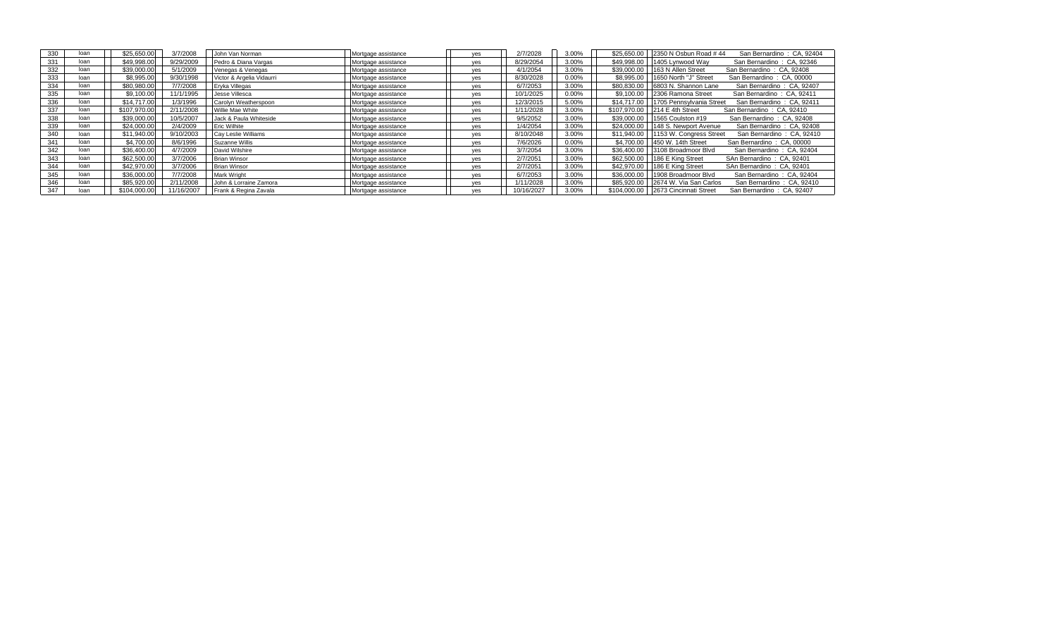| 330 | loan | \$25,650.00  | 3/7/2008   | John Van Norman           | Mortgage assistance | ves | 2/7/2028   | 3.00% |              | \$25,650,00   2350 N Osbun Road #44<br>San Bernardino: CA, 92404   |
|-----|------|--------------|------------|---------------------------|---------------------|-----|------------|-------|--------------|--------------------------------------------------------------------|
| 331 | loan | \$49,998.00  | 9/29/2009  | Pedro & Diana Vargas      | Mortgage assistance | ves | 8/29/2054  | 3.00% |              | \$49,998.00 1405 Lynwood Way<br>San Bernardino: CA, 92346          |
| 332 | loan | \$39,000.00  | 5/1/2009   | Venegas & Venegas         | Mortgage assistance | yes | 4/1/2054   | 3.00% | \$39,000.00  | 163 N Allen Street<br>San Bernardino: CA, 92408                    |
| 333 | loan | \$8,995.00   | 9/30/1998  | Victor & Argelia Vidaurri | Mortgage assistance | yes | 8/30/2028  | 0.00% | \$8,995.00   | 1650 North "J" Street<br>San Bernardino: CA, 00000                 |
| 334 | loan | \$80,980,00  | 7/7/2008   | Eryka Villegas            | Mortgage assistance | ves | 6/7/2053   | 3.00% | \$80,830,00  | 6803 N. Shannon Lane<br>San Bernardino: CA, 92407                  |
| 335 | loan | \$9.100.00   | 11/1/1995  | Jesse Villesca            | Mortgage assistance | yes | 10/1/2025  | 0.00% | \$9,100.00   | 2306 Ramona Street<br>San Bernardino: CA, 92411                    |
| 336 | loan | \$14,717.00  | 1/3/1996   | Carolyn Weatherspoon      | Mortgage assistance | ves | 12/3/2015  | 5.00% | \$14,717.00  | 1705 Pennsylvania Street<br>San Bernardino: CA, 92411              |
| 337 | loan | \$107.970.00 | 2/11/2008  | Willie Mae White          | Mortgage assistance | yes | 1/11/2028  | 3.00% | \$107.970.00 | 214 E 4th Street<br>San Bernardino: CA, 92410                      |
| 338 | loan | \$39,000.00  | 10/5/2007  | Jack & Paula Whiteside    | Mortgage assistance | ves | 9/5/2052   | 3.00% |              | \$39,000,00   1565 Coulston #19<br>San Bernardino: CA, 92408       |
| 339 | loan | \$24,000.00  | 2/4/2009   | <b>Eric Wilhite</b>       | Mortgage assistance | yes | 1/4/2054   | 3.00% |              | \$24,000.00   148 S. Newport Avenue<br>San Bernardino: CA, 92408   |
| 340 | loan | \$11.940.00  | 9/10/2003  | Cay Leslie Williams       | Mortgage assistance | yes | 8/10/2048  | 3.00% |              | \$11.940.00   1153 W. Congress Street<br>San Bernardino: CA, 92410 |
| 341 | loan | \$4,700.00   | 8/6/1996   | Suzanne Willis            | Mortgage assistance | ves | 7/6/2026   | 0.00% |              | \$4,700.00 450 W. 14th Street<br>San Bernardino: CA, 00000         |
| 342 | loan | \$36,400.00  | 4/7/2009   | David Wilshire            | Mortgage assistance | ves | 3/7/2054   | 3.00% |              | \$36,400.00 3108 Broadmoor Blvd<br>San Bernardino: CA, 92404       |
| 343 | loan | \$62,500.00  | 3/7/2006   | <b>Brian Winsor</b>       | Mortgage assistance | yes | 2/7/2051   | 3.00% |              | \$62,500.00   186 E King Street<br>SAn Bernardino: CA, 92401       |
| 344 | loan | \$42,970.00  | 3/7/2006   | <b>Brian Winsor</b>       | Mortgage assistance | yes | 2/7/2051   | 3.00% |              | \$42,970.00   186 E King Street<br>SAn Bernardino: CA, 92401       |
| 345 | loan | \$36,000.00  | 7/7/2008   | <b>Mark Wright</b>        | Mortgage assistance | yes | 6/7/2053   | 3.00% |              | \$36,000.00 1908 Broadmoor Blvd<br>San Bernardino: CA, 92404       |
| 346 | loan | \$85,920.00  | 2/11/2008  | John & Lorraine Zamora    | Mortgage assistance | yes | 1/11/2028  | 3.00% |              | \$85,920,00 2674 W. Via San Carlos<br>San Bernardino: CA, 92410    |
| 347 | loan | \$104,000,00 | 11/16/2007 | Frank & Regina Zavala     | Mortgage assistance | ves | 10/16/2027 | 3.00% |              | \$104,000,00   2673 Cincinnati Street<br>San Bernardino: CA, 92407 |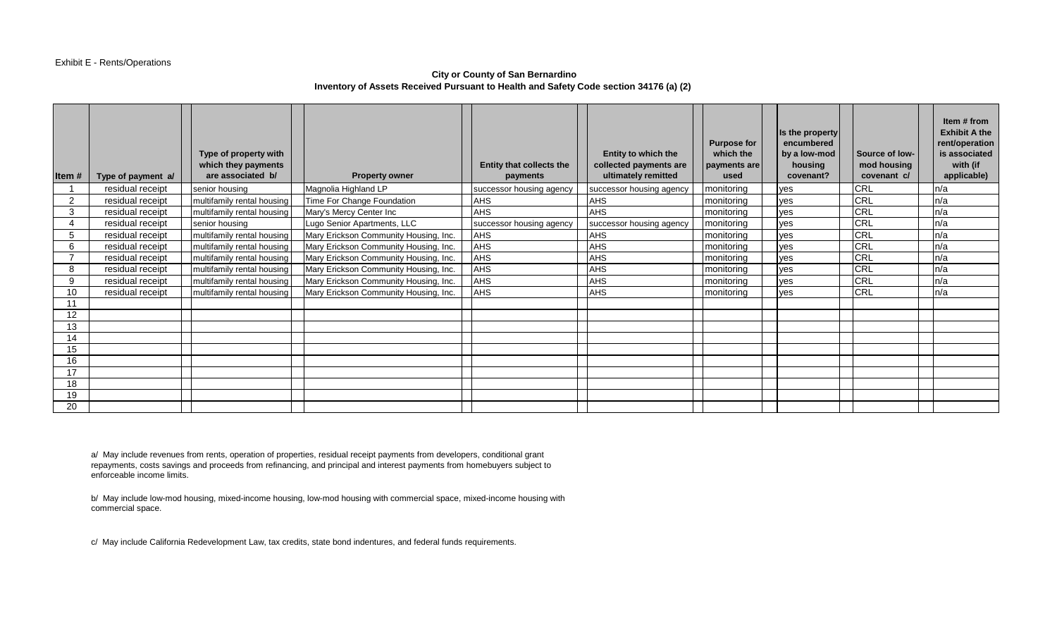# **City or County of San Bernardino Inventory of Assets Received Pursuant to Health and Safety Code section 34176 (a) (2)**

| Item# | Type of payment a/ | Type of property with<br>which they payments<br>are associated b/ | <b>Property owner</b>                 | Entity that collects the<br>payments | <b>Entity to which the</b><br>collected payments are<br>ultimately remitted | <b>Purpose for</b><br>which the<br>payments are<br>used | Is the property<br>encumbered<br>by a low-mod<br>housing<br>covenant? | Source of low-<br>mod housing<br>covenant c/ | Item # from<br><b>Exhibit A the</b><br>rent/operation<br>is associated<br>with (if<br>applicable) |
|-------|--------------------|-------------------------------------------------------------------|---------------------------------------|--------------------------------------|-----------------------------------------------------------------------------|---------------------------------------------------------|-----------------------------------------------------------------------|----------------------------------------------|---------------------------------------------------------------------------------------------------|
|       | residual receipt   | senior housing                                                    | Magnolia Highland LP                  | successor housing agency             | successor housing agency                                                    | monitoring                                              | yes                                                                   | <b>CRL</b>                                   | n/a                                                                                               |
| 2     | residual receipt   | multifamily rental housing                                        | Time For Change Foundation            | <b>AHS</b>                           | <b>AHS</b>                                                                  | monitoring                                              | yes                                                                   | <b>CRL</b>                                   | n/a                                                                                               |
| 3     | residual receipt   | multifamily rental housing                                        | Mary's Mercy Center Inc               | <b>AHS</b>                           | <b>AHS</b>                                                                  | monitoring                                              | yes                                                                   | CRL                                          | n/a                                                                                               |
|       | residual receipt   | senior housing                                                    | Lugo Senior Apartments, LLC           | successor housing agency             | successor housing agency                                                    | monitoring                                              | yes                                                                   | <b>CRL</b>                                   | n/a                                                                                               |
|       | residual receipt   | multifamily rental housing                                        | Mary Erickson Community Housing, Inc. | <b>AHS</b>                           | <b>AHS</b>                                                                  | monitoring                                              | yes                                                                   | <b>CRL</b>                                   | ln/a                                                                                              |
| 6     | residual receipt   | multifamily rental housing                                        | Mary Erickson Community Housing, Inc. | <b>AHS</b>                           | <b>AHS</b>                                                                  | monitoring                                              | yes                                                                   | <b>CRL</b>                                   | n/a                                                                                               |
|       | residual receipt   | multifamily rental housing                                        | Mary Erickson Community Housing, Inc. | <b>AHS</b>                           | <b>AHS</b>                                                                  | monitoring                                              | yes                                                                   | CRL                                          | n/a                                                                                               |
| 8     | residual receipt   | multifamily rental housing                                        | Mary Erickson Community Housing, Inc. | <b>AHS</b>                           | <b>AHS</b>                                                                  | monitoring                                              | yes                                                                   | <b>CRL</b>                                   | n/a                                                                                               |
| 9     | residual receipt   | multifamily rental housing                                        | Mary Erickson Community Housing, Inc. | <b>AHS</b>                           | <b>AHS</b>                                                                  | monitoring                                              | yes                                                                   | <b>CRL</b>                                   | n/a                                                                                               |
| 10    | residual receipt   | multifamily rental housing                                        | Mary Erickson Community Housing, Inc. | <b>AHS</b>                           | <b>AHS</b>                                                                  | monitoring                                              | ves                                                                   | <b>CRL</b>                                   | ln/a                                                                                              |
|       |                    |                                                                   |                                       |                                      |                                                                             |                                                         |                                                                       |                                              |                                                                                                   |
| 12    |                    |                                                                   |                                       |                                      |                                                                             |                                                         |                                                                       |                                              |                                                                                                   |
| 13    |                    |                                                                   |                                       |                                      |                                                                             |                                                         |                                                                       |                                              |                                                                                                   |
| 14    |                    |                                                                   |                                       |                                      |                                                                             |                                                         |                                                                       |                                              |                                                                                                   |
| 15    |                    |                                                                   |                                       |                                      |                                                                             |                                                         |                                                                       |                                              |                                                                                                   |
| 16    |                    |                                                                   |                                       |                                      |                                                                             |                                                         |                                                                       |                                              |                                                                                                   |
| 17    |                    |                                                                   |                                       |                                      |                                                                             |                                                         |                                                                       |                                              |                                                                                                   |
| 18    |                    |                                                                   |                                       |                                      |                                                                             |                                                         |                                                                       |                                              |                                                                                                   |
| 19    |                    |                                                                   |                                       |                                      |                                                                             |                                                         |                                                                       |                                              |                                                                                                   |
| 20    |                    |                                                                   |                                       |                                      |                                                                             |                                                         |                                                                       |                                              |                                                                                                   |

a/ May include revenues from rents, operation of properties, residual receipt payments from developers, conditional grant repayments, costs savings and proceeds from refinancing, and principal and interest payments from homebuyers subject to enforceable income limits.

b/ May include low-mod housing, mixed-income housing, low-mod housing with commercial space, mixed-income housing with commercial space.

c/ May include California Redevelopment Law, tax credits, state bond indentures, and federal funds requirements.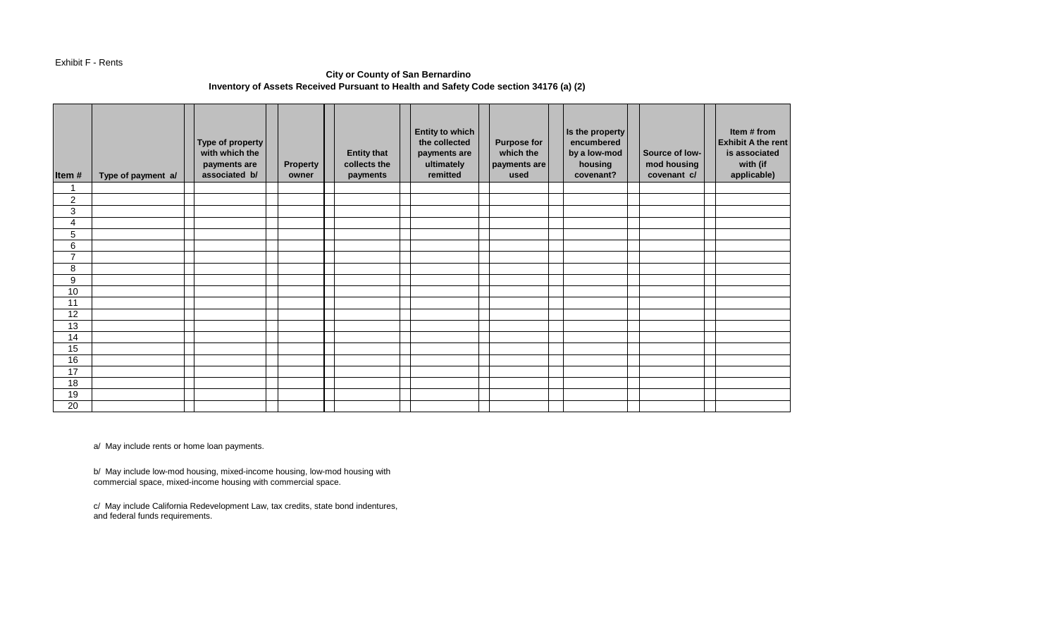#### Exhibit F - Rents

# **City or County of San Bernardino Inventory of Assets Received Pursuant to Health and Safety Code section 34176 (a) (2)**

| Item#          | Type of payment a/ | Type of property<br>with which the<br>payments are<br>associated b/ | Property<br>owner | <b>Entity that</b><br>collects the<br>payments | <b>Entity to which</b><br>the collected<br>payments are<br>ultimately<br>remitted | <b>Purpose for</b><br>which the<br>payments are<br>used | Is the property<br>encumbered<br>by a low-mod<br>housing<br>covenant? | Source of low-<br>mod housing<br>covenant c/ | Item # from<br><b>Exhibit A the rent</b><br>is associated<br>with (if<br>applicable) |
|----------------|--------------------|---------------------------------------------------------------------|-------------------|------------------------------------------------|-----------------------------------------------------------------------------------|---------------------------------------------------------|-----------------------------------------------------------------------|----------------------------------------------|--------------------------------------------------------------------------------------|
|                |                    |                                                                     |                   |                                                |                                                                                   |                                                         |                                                                       |                                              |                                                                                      |
| $\overline{2}$ |                    |                                                                     |                   |                                                |                                                                                   |                                                         |                                                                       |                                              |                                                                                      |
| 3              |                    |                                                                     |                   |                                                |                                                                                   |                                                         |                                                                       |                                              |                                                                                      |
| 4              |                    |                                                                     |                   |                                                |                                                                                   |                                                         |                                                                       |                                              |                                                                                      |
| 5              |                    |                                                                     |                   |                                                |                                                                                   |                                                         |                                                                       |                                              |                                                                                      |
| 6              |                    |                                                                     |                   |                                                |                                                                                   |                                                         |                                                                       |                                              |                                                                                      |
| $\overline{ }$ |                    |                                                                     |                   |                                                |                                                                                   |                                                         |                                                                       |                                              |                                                                                      |
| 8              |                    |                                                                     |                   |                                                |                                                                                   |                                                         |                                                                       |                                              |                                                                                      |
| 9              |                    |                                                                     |                   |                                                |                                                                                   |                                                         |                                                                       |                                              |                                                                                      |
| 10             |                    |                                                                     |                   |                                                |                                                                                   |                                                         |                                                                       |                                              |                                                                                      |
| 11             |                    |                                                                     |                   |                                                |                                                                                   |                                                         |                                                                       |                                              |                                                                                      |
| 12             |                    |                                                                     |                   |                                                |                                                                                   |                                                         |                                                                       |                                              |                                                                                      |
| 13             |                    |                                                                     |                   |                                                |                                                                                   |                                                         |                                                                       |                                              |                                                                                      |
| 14             |                    |                                                                     |                   |                                                |                                                                                   |                                                         |                                                                       |                                              |                                                                                      |
| 15             |                    |                                                                     |                   |                                                |                                                                                   |                                                         |                                                                       |                                              |                                                                                      |
| 16             |                    |                                                                     |                   |                                                |                                                                                   |                                                         |                                                                       |                                              |                                                                                      |
| 17             |                    |                                                                     |                   |                                                |                                                                                   |                                                         |                                                                       |                                              |                                                                                      |
| 18             |                    |                                                                     |                   |                                                |                                                                                   |                                                         |                                                                       |                                              |                                                                                      |
| 19             |                    |                                                                     |                   |                                                |                                                                                   |                                                         |                                                                       |                                              |                                                                                      |
| 20             |                    |                                                                     |                   |                                                |                                                                                   |                                                         |                                                                       |                                              |                                                                                      |

a/ May include rents or home loan payments.

b/ May include low-mod housing, mixed-income housing, low-mod housing with commercial space, mixed-income housing with commercial space.

c/ May include California Redevelopment Law, tax credits, state bond indentures, and federal funds requirements.